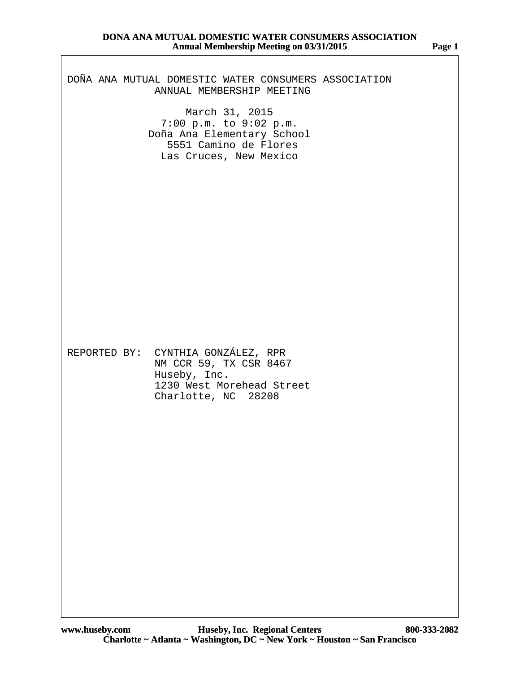# DOÑA ANA MUTUAL DOMESTIC WATER CONSUMERS ASSOCIATION ANNUAL MEMBERSHIP MEETING

March 31, 2015 7:00 p.m. to 9:02 p.m. Doña Ana Elementary School 5551 Camino de Flores Las Cruces, New Mexico

REPORTED BY: CYNTHIA GONZÁLEZ, RPR NM CCR 59, TX CSR 8467 Huseby, Inc. 1230 West Morehead Street Charlotte, NC 28208

**Page 1**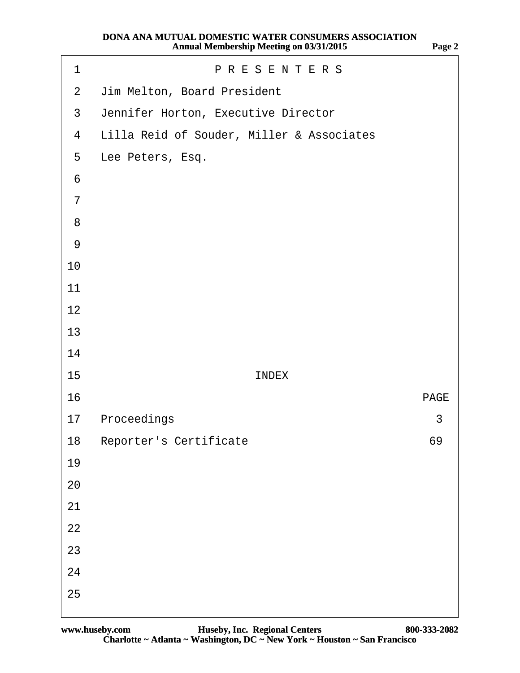| 1               | <b>PRESENTERS</b>                         |             |  |
|-----------------|-------------------------------------------|-------------|--|
| $\overline{2}$  | Jim Melton, Board President               |             |  |
| $\mathfrak{S}$  | Jennifer Horton, Executive Director       |             |  |
| $\overline{4}$  | Lilla Reid of Souder, Miller & Associates |             |  |
| 5               | Lee Peters, Esq.                          |             |  |
| $6\phantom{1}6$ |                                           |             |  |
| $\overline{7}$  |                                           |             |  |
| 8               |                                           |             |  |
| $\overline{9}$  |                                           |             |  |
| 10              |                                           |             |  |
| 11              |                                           |             |  |
| 12              |                                           |             |  |
| 13              |                                           |             |  |
| 14              |                                           |             |  |
| 15              | <b>INDEX</b>                              |             |  |
| 16              |                                           | <b>PAGE</b> |  |
| 17              | Proceedings                               | 3           |  |
|                 | 18 Reporter's Certificate                 | 69          |  |
| 19              |                                           |             |  |
| 20              |                                           |             |  |
| 21              |                                           |             |  |
| 22              |                                           |             |  |
| 23              |                                           |             |  |
| 24              |                                           |             |  |
| 25              |                                           |             |  |
|                 |                                           |             |  |

**Page 2**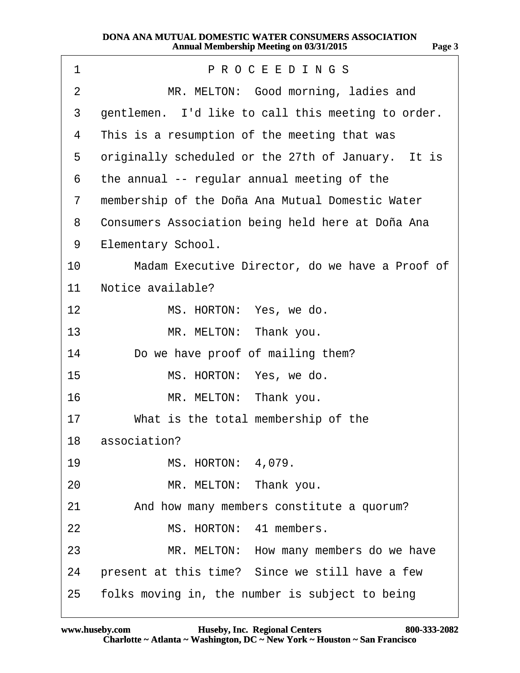| PROCEEDINGS<br>$\mathbf 1$                                         |
|--------------------------------------------------------------------|
| MR. MELTON: Good morning, ladies and<br>$\overline{2}$             |
| 3<br>gentlemen. I'd like to call this meeting to order.            |
| This is a resumption of the meeting that was<br>4                  |
| 5<br>originally scheduled or the 27th of January. It is            |
| the annual -- regular annual meeting of the<br>6                   |
| membership of the Doña Ana Mutual Domestic Water<br>$\overline{7}$ |
| Consumers Association being held here at Doña Ana<br>8             |
| <b>Elementary School.</b><br>9                                     |
| 10<br>Madam Executive Director, do we have a Proof of              |
| 11<br>Notice available?                                            |
| 12<br>MS. HORTON: Yes, we do.                                      |
| 13<br>MR. MELTON: Thank you.                                       |
| 14<br>Do we have proof of mailing them?                            |
| MS. HORTON: Yes, we do.<br>15                                      |
| 16<br>MR. MELTON: Thank you.                                       |
| 17<br>What is the total membership of the                          |
| 18 association?                                                    |
| <b>MS. HORTON: 4,079.</b><br>19                                    |
| MR. MELTON: Thank you.<br>20                                       |
| 21<br>And how many members constitute a quorum?                    |
| MS. HORTON: 41 members.<br>22                                      |
| 23<br>MR. MELTON: How many members do we have                      |
| present at this time? Since we still have a few<br>24              |
| folks moving in, the number is subject to being<br>25              |

**http://www.yeslaw.net/help**

w.yeslaw.net/help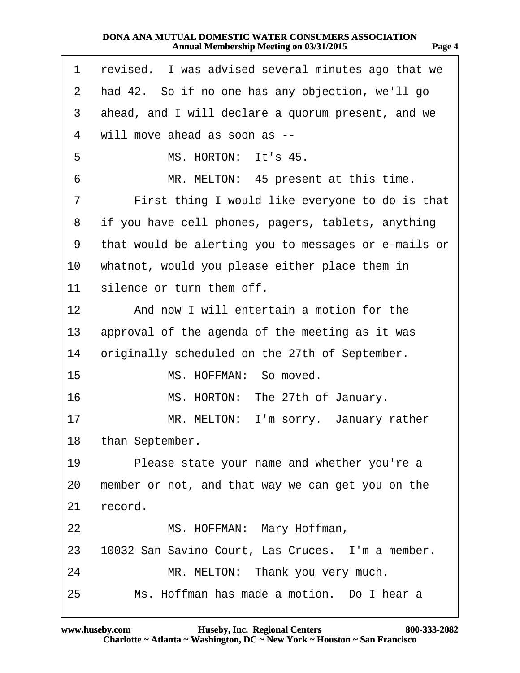| u M |  |
|-----|--|
|-----|--|

**http://www.yeslaw.net/help**

v.yeslaw.net/help

| 1  | revised. I was advised several minutes ago that we   |
|----|------------------------------------------------------|
| 2  | had 42. So if no one has any objection, we'll go     |
| 3  | ahead, and I will declare a quorum present, and we   |
| 4  | will move ahead as soon as --                        |
| 5  | MS. HORTON: It's 45.                                 |
| 6  | MR. MELTON: 45 present at this time.                 |
| 7  | First thing I would like everyone to do is that      |
| 8  | if you have cell phones, pagers, tablets, anything   |
| 9  | that would be alerting you to messages or e-mails or |
| 10 | whatnot, would you please either place them in       |
| 11 | silence or turn them off.                            |
| 12 | And now I will entertain a motion for the            |
| 13 | approval of the agenda of the meeting as it was      |
| 14 | originally scheduled on the 27th of September.       |
| 15 | MS. HOFFMAN: So moved.                               |
| 16 | MS. HORTON: The 27th of January.                     |
| 17 | MR. MELTON: I'm sorry. January rather                |
|    | 18 than September.                                   |
| 19 | Please state your name and whether you're a          |
| 20 | member or not, and that way we can get you on the    |
| 21 | record.                                              |
| 22 | MS. HOFFMAN: Mary Hoffman,                           |
| 23 | 10032 San Savino Court, Las Cruces. I'm a member.    |
| 24 | MR. MELTON: Thank you very much.                     |
| 25 | Ms. Hoffman has made a motion. Do I hear a           |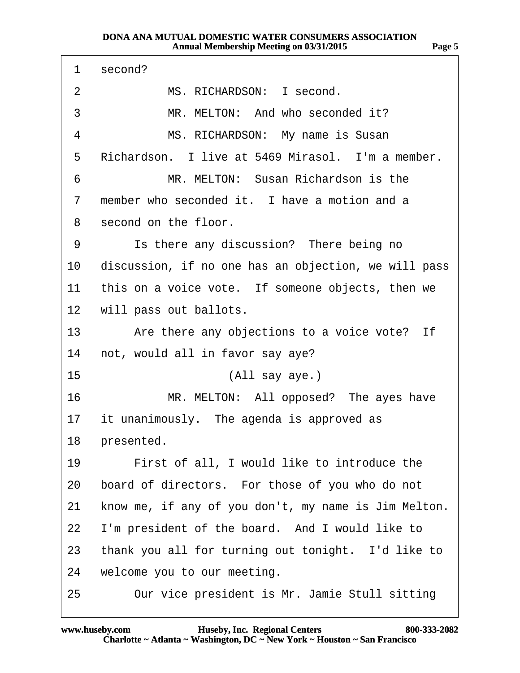| 1  | second?                                              |
|----|------------------------------------------------------|
| 2  | MS. RICHARDSON: I second.                            |
| 3  | MR. MELTON: And who seconded it?                     |
| 4  | MS. RICHARDSON: My name is Susan                     |
| 5  | Richardson. I live at 5469 Mirasol. I'm a member.    |
| 6  | MR. MELTON: Susan Richardson is the                  |
| 7  | member who seconded it. I have a motion and a        |
| 8  | second on the floor.                                 |
| 9  | Is there any discussion? There being no              |
| 10 | discussion, if no one has an objection, we will pass |
| 11 | this on a voice vote. If someone objects, then we    |
|    | 12 will pass out ballots.                            |
| 13 | Are there any objections to a voice vote? If         |
| 14 | not, would all in favor say aye?                     |
| 15 | (All say aye.)                                       |
| 16 | MR. MELTON: All opposed? The ayes have               |
| 17 | it unanimously. The agenda is approved as            |
|    | 18 presented.                                        |
| 19 | First of all, I would like to introduce the          |
| 20 | board of directors. For those of you who do not      |
| 21 | know me, if any of you don't, my name is Jim Melton. |
| 22 | I'm president of the board. And I would like to      |
| 23 | thank you all for turning out tonight. I'd like to   |
| 24 | welcome you to our meeting.                          |
| 25 | Our vice president is Mr. Jamie Stull sitting        |

**http://www.yeslaw.net/help**

ww.yeslaw.net/help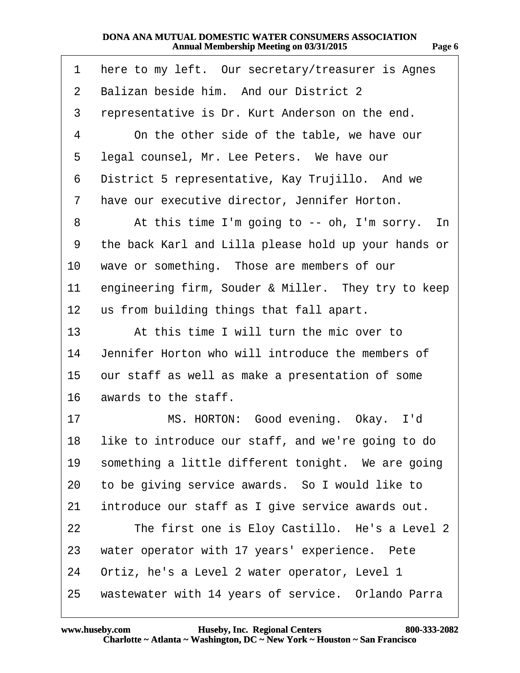| 1              | here to my left. Our secretary/treasurer is Agnes     |
|----------------|-------------------------------------------------------|
| $\overline{2}$ | Balizan beside him. And our District 2                |
| 3              | representative is Dr. Kurt Anderson on the end.       |
| 4              | On the other side of the table, we have our           |
| 5              | legal counsel, Mr. Lee Peters. We have our            |
| 6              | District 5 representative, Kay Trujillo. And we       |
| 7              | have our executive director, Jennifer Horton.         |
| 8              | At this time I'm going to -- oh, I'm sorry. In        |
| 9              | the back Karl and Lilla please hold up your hands or  |
| 10             | wave or something. Those are members of our           |
| 11             | engineering firm, Souder & Miller. They try to keep   |
| 12             | us from building things that fall apart.              |
| 13             | At this time I will turn the mic over to              |
| 14             | Jennifer Horton who will introduce the members of     |
| 15             | our staff as well as make a presentation of some      |
| 16             | awards to the staff.                                  |
| 17             | MS. HORTON: Good evening. Okay. I'd                   |
|                | 18 like to introduce our staff, and we're going to do |
| 19             | something a little different tonight. We are going    |
| 20             | to be giving service awards. So I would like to       |
| 21             | introduce our staff as I give service awards out.     |
| 22             | The first one is Eloy Castillo. He's a Level 2        |
| 23             | water operator with 17 years' experience. Pete        |
| 24             | Ortiz, he's a Level 2 water operator, Level 1         |
| 25             | wastewater with 14 years of service. Orlando Parra    |

**Page 6**

**http://www.yeslaw.net/help**

vw.yeslaw.net/help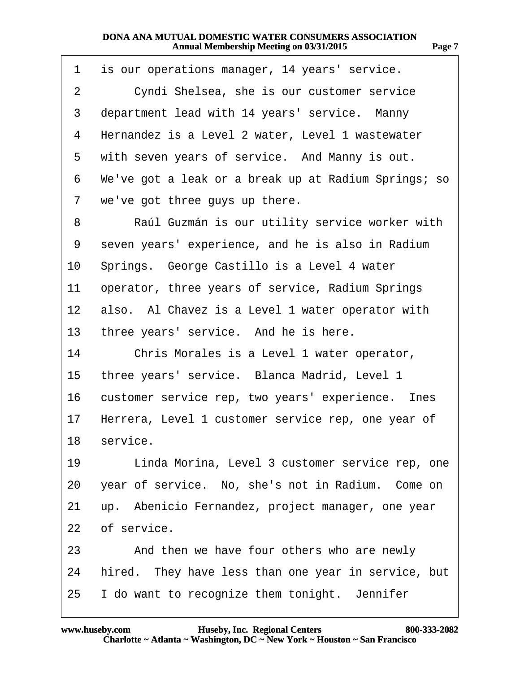| 1               | is our operations manager, 14 years' service.        |
|-----------------|------------------------------------------------------|
| $\overline{2}$  | Cyndi Shelsea, she is our customer service           |
| 3               | department lead with 14 years' service. Manny        |
| 4               | Hernandez is a Level 2 water, Level 1 wastewater     |
| 5               | with seven years of service. And Manny is out.       |
| 6               | We've got a leak or a break up at Radium Springs; so |
| 7               | we've got three guys up there.                       |
| 8               | Raúl Guzmán is our utility service worker with       |
| 9               | seven years' experience, and he is also in Radium    |
| 10              | Springs. George Castillo is a Level 4 water          |
| 11              | operator, three years of service, Radium Springs     |
| 12 <sup>°</sup> | also. Al Chavez is a Level 1 water operator with     |
| 13              | three years' service. And he is here.                |
| 14              | Chris Morales is a Level 1 water operator,           |
| 15              | three years' service. Blanca Madrid, Level 1         |
| 16              | customer service rep, two years' experience. Ines    |
| 17              | Herrera, Level 1 customer service rep, one year of   |
|                 | 18 service.                                          |
| 19              | Linda Morina, Level 3 customer service rep, one      |
| 20              | year of service. No, she's not in Radium. Come on    |
| 21              | up. Abenicio Fernandez, project manager, one year    |
| 22              | of service.                                          |
| 23              | And then we have four others who are newly           |
| 24              | hired. They have less than one year in service, but  |
| 25              | I do want to recognize them tonight. Jennifer        |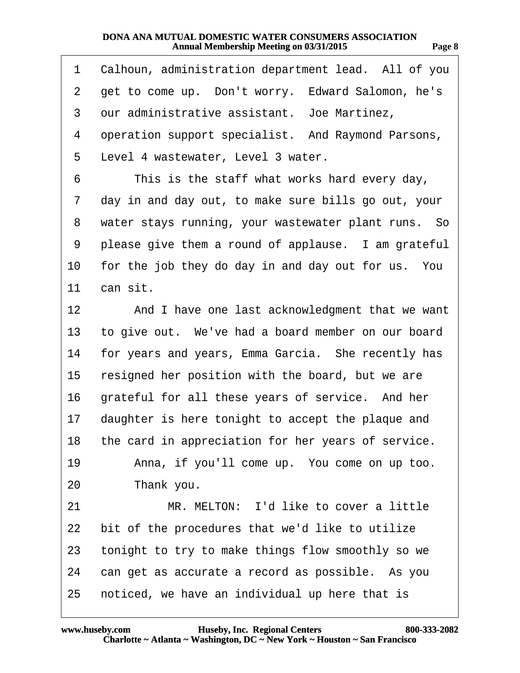| 1               | Calhoun, administration department lead. All of you   |
|-----------------|-------------------------------------------------------|
| $\overline{2}$  | get to come up. Don't worry. Edward Salomon, he's     |
| 3               | our administrative assistant. Joe Martinez,           |
| 4               | operation support specialist. And Raymond Parsons,    |
| 5               | Level 4 wastewater, Level 3 water.                    |
| 6               | This is the staff what works hard every day,          |
| 7               | day in and day out, to make sure bills go out, your   |
| 8               | water stays running, your wastewater plant runs. So   |
| 9               | please give them a round of applause. I am grateful   |
| 10              | for the job they do day in and day out for us. You    |
| 11              | can sit.                                              |
| 12 <sub>2</sub> | And I have one last acknowledgment that we want       |
| 13              | to give out. We've had a board member on our board    |
| 14              | for years and years, Emma Garcia. She recently has    |
| 15              | resigned her position with the board, but we are      |
| 16              | grateful for all these years of service. And her      |
| 17 <sub>1</sub> | daughter is here tonight to accept the plaque and     |
|                 | 18 the card in appreciation for her years of service. |
| 19              | Anna, if you'll come up. You come on up too.          |
| 20              | Thank you.                                            |
| 21              | MR. MELTON: I'd like to cover a little                |
| 22              | bit of the procedures that we'd like to utilize       |
| 23              | tonight to try to make things flow smoothly so we     |
| 24              | can get as accurate a record as possible. As you      |
| 25              | noticed, we have an individual up here that is        |

**http://www.yeslaw.net/help**

vw.yeslaw.net/help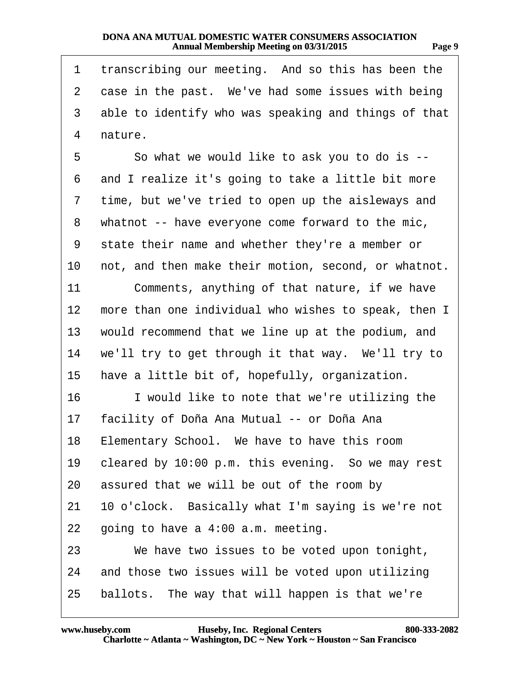| 1              | transcribing our meeting. And so this has been the   |
|----------------|------------------------------------------------------|
| $\overline{2}$ | case in the past. We've had some issues with being   |
| 3              | able to identify who was speaking and things of that |
| 4              | nature.                                              |
| 5              | So what we would like to ask you to do is --         |
| 6              | and I realize it's going to take a little bit more   |
| 7              | time, but we've tried to open up the aisleways and   |
| 8              | whatnot -- have everyone come forward to the mic,    |
| 9              | state their name and whether they're a member or     |
| 10             | not, and then make their motion, second, or whatnot. |
| 11             | Comments, anything of that nature, if we have        |
| 12             | more than one individual who wishes to speak, then I |
| 13             | would recommend that we line up at the podium, and   |
| 14             | we'll try to get through it that way. We'll try to   |
| 15             | have a little bit of, hopefully, organization.       |
| 16             | I would like to note that we're utilizing the        |
| 17             | facility of Doña Ana Mutual -- or Doña Ana           |
|                | 18 Elementary School. We have to have this room      |
| 19             | cleared by 10:00 p.m. this evening. So we may rest   |
| 20             | assured that we will be out of the room by           |
| 21             | 10 o'clock. Basically what I'm saying is we're not   |
| 22             | going to have a 4:00 a.m. meeting.                   |
| 23             | We have two issues to be voted upon tonight,         |
| 24             | and those two issues will be voted upon utilizing    |
| 25             | ballots. The way that will happen is that we're      |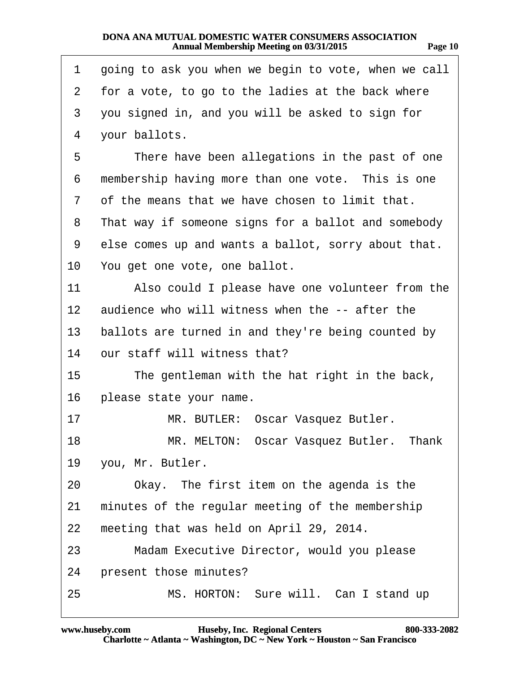**http://www.yeslaw.net/help**

ww.yeslaw.net/help

| 1               | going to ask you when we begin to vote, when we call |
|-----------------|------------------------------------------------------|
| $\overline{2}$  | for a vote, to go to the ladies at the back where    |
| 3               | you signed in, and you will be asked to sign for     |
| 4               | your ballots.                                        |
| 5               | There have been allegations in the past of one       |
| 6               | membership having more than one vote. This is one    |
| 7               | of the means that we have chosen to limit that.      |
| 8               | That way if someone signs for a ballot and somebody  |
| 9               | else comes up and wants a ballot, sorry about that.  |
| 10              | You get one vote, one ballot.                        |
| 11              | Also could I please have one volunteer from the      |
| 12 <sub>2</sub> | audience who will witness when the -- after the      |
| 13              | ballots are turned in and they're being counted by   |
| 14              | our staff will witness that?                         |
| 15              | The gentleman with the hat right in the back,        |
| 16              | please state your name.                              |
| 17              | MR. BUTLER: Oscar Vasquez Butler.                    |
| 18              | MR. MELTON: Oscar Vasquez Butler. Thank              |
| 19              | you, Mr. Butler.                                     |
| 20              | Okay. The first item on the agenda is the            |
| 21              | minutes of the regular meeting of the membership     |
| 22              | meeting that was held on April 29, 2014.             |
| 23              | Madam Executive Director, would you please           |
| 24              | present those minutes?                               |
| 25              | MS. HORTON: Sure will. Can I stand up                |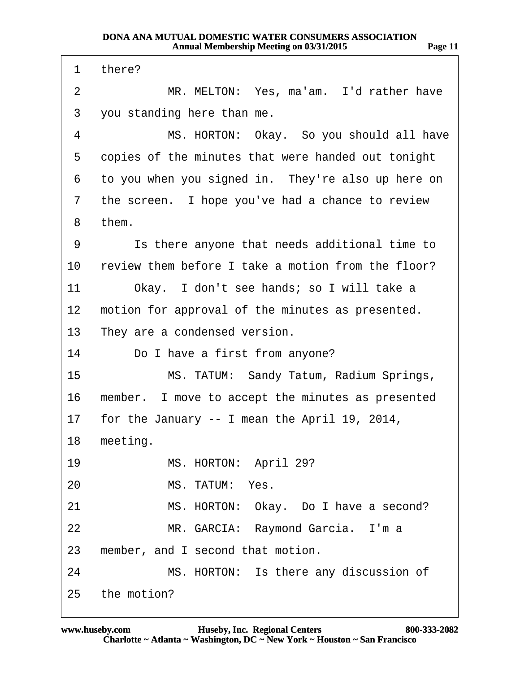1 there? 2 MR. MELTON: Yes, ma'am. I'd rather have 3 you standing here than me. 4 MS. HORTON: Okay. So you should all have 5 copies of the minutes that were handed out tonight 6 to you when you signed in. They're also up here on 7 the screen. I hope you've had a chance to review 8 them. 9 **Is there anyone that needs additional time to** 10 review them before I take a motion from the floor? 11 Okay. I don't see hands; so I will take a 12 motion for approval of the minutes as presented. 13 They are a condensed version. 14 Do I have a first from anyone? 15 MS. TATUM: Sandy Tatum, Radium Springs, 16 member. I move to accept the minutes as presented 17 for the January -- I mean the April 19, 2014, 18 meeting. 19 MS. HORTON: April 29? 20 MS. TATUM: Yes. 21 MS. HORTON: Okay. Do I have a second? 22 MR. GARCIA: Raymond Garcia. I'm a 23 member, and I second that motion. 24 MS. HORTON: Is there any discussion of 25 the motion?

**http://www.yeslaw.net/help**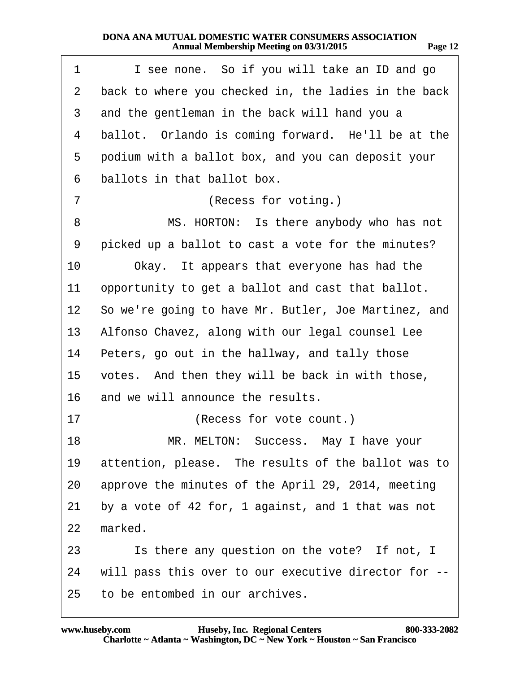| 1              | I see none. So if you will take an ID and go            |
|----------------|---------------------------------------------------------|
| $\overline{2}$ | back to where you checked in, the ladies in the back    |
| 3              | and the gentleman in the back will hand you a           |
| 4              | ballot. Orlando is coming forward. He'll be at the      |
| 5              | podium with a ballot box, and you can deposit your      |
| 6              | ballots in that ballot box.                             |
| 7              | (Recess for voting.)                                    |
| 8              | MS. HORTON: Is there anybody who has not                |
| 9              | picked up a ballot to cast a vote for the minutes?      |
| 10             | Okay. It appears that everyone has had the              |
| 11             | opportunity to get a ballot and cast that ballot.       |
|                | 12 So we're going to have Mr. Butler, Joe Martinez, and |
| 13             | Alfonso Chavez, along with our legal counsel Lee        |
| 14             | Peters, go out in the hallway, and tally those          |
| 15             | votes. And then they will be back in with those,        |
| 16             | and we will announce the results.                       |
| 17             | (Recess for vote count.)                                |
| 18             | MR. MELTON: Success. May I have your                    |
| 19             | attention, please. The results of the ballot was to     |
| 20             | approve the minutes of the April 29, 2014, meeting      |
| 21             | by a vote of 42 for, 1 against, and 1 that was not      |
| 22             | marked.                                                 |
| 23             | Is there any question on the vote? If not, I            |
| 24             | will pass this over to our executive director for --    |
| 25             | to be entombed in our archives.                         |

**http://www.yeslaw.net/help**

ww.yeslaw.net/help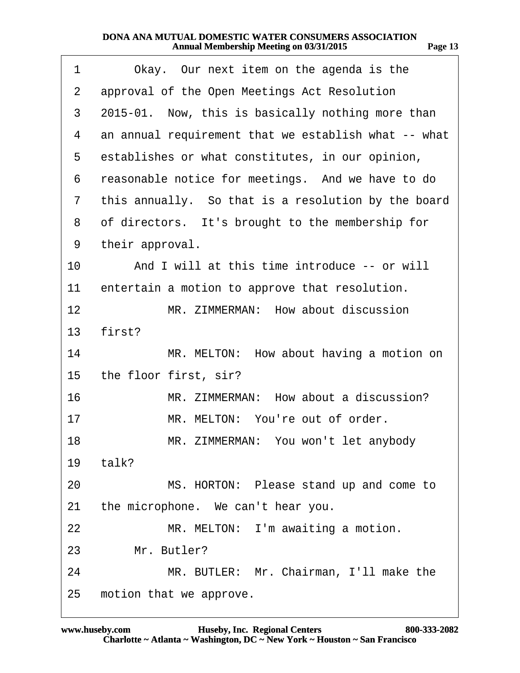| 1  | Okay. Our next item on the agenda is the             |
|----|------------------------------------------------------|
| 2  | approval of the Open Meetings Act Resolution         |
| 3  | 2015-01. Now, this is basically nothing more than    |
| 4  | an annual requirement that we establish what -- what |
| 5  | establishes or what constitutes, in our opinion,     |
| 6  | reasonable notice for meetings. And we have to do    |
| 7  | this annually. So that is a resolution by the board  |
| 8  | of directors. It's brought to the membership for     |
| 9  | their approval.                                      |
| 10 | And I will at this time introduce -- or will         |
| 11 | entertain a motion to approve that resolution.       |
| 12 | MR. ZIMMERMAN: How about discussion                  |
| 13 | first?                                               |
| 14 | MR. MELTON: How about having a motion on             |
| 15 | the floor first, sir?                                |
| 16 | MR. ZIMMERMAN: How about a discussion?               |
| 17 | MR. MELTON: You're out of order.                     |
| 18 | MR. ZIMMERMAN: You won't let anybody                 |
| 19 | talk?                                                |
| 20 | MS. HORTON: Please stand up and come to              |
| 21 | the microphone. We can't hear you.                   |
| 22 | MR. MELTON: I'm awaiting a motion.                   |
| 23 | Mr. Butler?                                          |
| 24 | MR. BUTLER: Mr. Chairman, I'll make the              |
| 25 | motion that we approve.                              |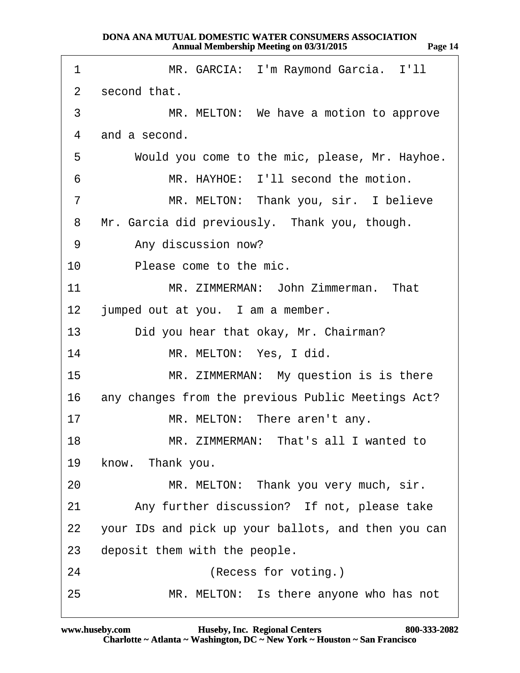| 1              | MR. GARCIA: I'm Raymond Garcia. I'll                |
|----------------|-----------------------------------------------------|
| 2              | second that.                                        |
| 3              | MR. MELTON: We have a motion to approve             |
| 4              | and a second.                                       |
| 5              | Would you come to the mic, please, Mr. Hayhoe.      |
| 6              | MR. HAYHOE: I'll second the motion.                 |
| $\overline{7}$ | MR. MELTON: Thank you, sir. I believe               |
| 8              | Mr. Garcia did previously. Thank you, though.       |
| 9              | Any discussion now?                                 |
| 10             | Please come to the mic.                             |
| 11             | MR. ZIMMERMAN: John Zimmerman. That                 |
| 12             | jumped out at you. I am a member.                   |
| 13             | Did you hear that okay, Mr. Chairman?               |
| 14             | MR. MELTON: Yes, I did.                             |
| 15             | MR. ZIMMERMAN: My question is is there              |
| 16             | any changes from the previous Public Meetings Act?  |
| 17             | MR. MELTON: There aren't any.                       |
| 18             | MR. ZIMMERMAN: That's all I wanted to               |
| 19             | know. Thank you.                                    |
| 20             | MR. MELTON: Thank you very much, sir.               |
| 21             | Any further discussion? If not, please take         |
| 22             | your IDs and pick up your ballots, and then you can |
| 23             | deposit them with the people.                       |
| 24             | (Recess for voting.)                                |
| 25             | MR. MELTON: Is there anyone who has not             |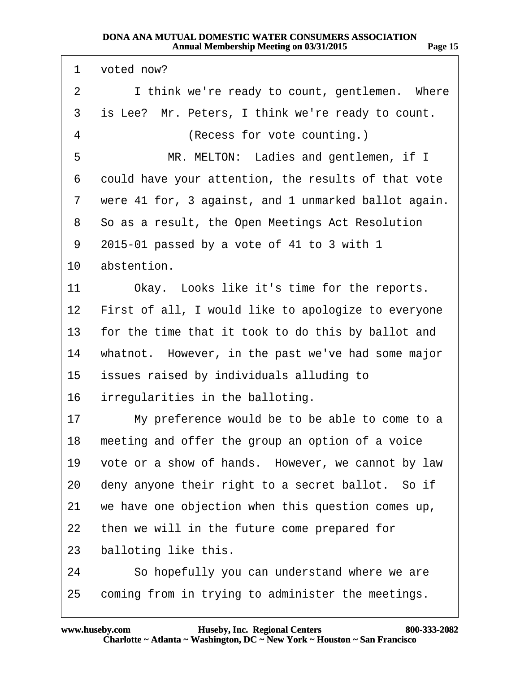| 1               | voted now?                                           |
|-----------------|------------------------------------------------------|
| $\overline{2}$  | I think we're ready to count, gentlemen. Where       |
| 3               | is Lee? Mr. Peters, I think we're ready to count.    |
| 4               | (Recess for vote counting.)                          |
| 5               | MR. MELTON: Ladies and gentlemen, if I               |
| 6               | could have your attention, the results of that vote  |
| 7               | were 41 for, 3 against, and 1 unmarked ballot again. |
| 8               | So as a result, the Open Meetings Act Resolution     |
| 9               | 2015-01 passed by a vote of 41 to 3 with 1           |
| 10              | abstention.                                          |
| 11              | Okay. Looks like it's time for the reports.          |
| 12 <sub>2</sub> | First of all, I would like to apologize to everyone  |
| 13              | for the time that it took to do this by ballot and   |
| 14              | whatnot. However, in the past we've had some major   |
| 15              | issues raised by individuals alluding to             |
| 16              | irregularities in the balloting.                     |
| 17              | My preference would be to be able to come to a       |
| 18              | meeting and offer the group an option of a voice     |
| 19              | vote or a show of hands. However, we cannot by law   |
| 20              | deny anyone their right to a secret ballot. So if    |
| 21              | we have one objection when this question comes up,   |
| 22              | then we will in the future come prepared for         |
| 23              | balloting like this.                                 |
|                 |                                                      |

- 24 So hopefully you can understand where we are
- 25 coming from in trying to administer the meetings.

**http://www.yeslaw.net/help**

eslaw.net/help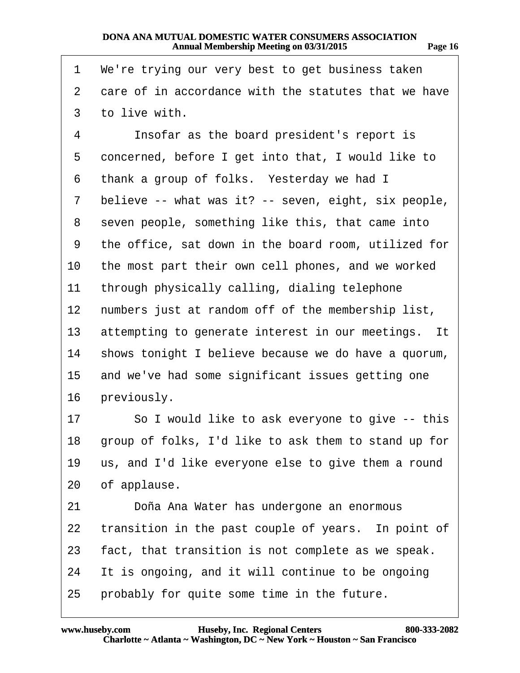| 1  | We're trying our very best to get business taken     |
|----|------------------------------------------------------|
| 2  | care of in accordance with the statutes that we have |
| 3  | to live with.                                        |
| 4  | Insofar as the board president's report is           |
| 5  | concerned, before I get into that, I would like to   |
| 6  | thank a group of folks. Yesterday we had I           |
| 7  | believe -- what was it? -- seven, eight, six people, |
| 8  | seven people, something like this, that came into    |
| 9  | the office, sat down in the board room, utilized for |
| 10 | the most part their own cell phones, and we worked   |
| 11 | through physically calling, dialing telephone        |
| 12 | numbers just at random off of the membership list,   |
| 13 | attempting to generate interest in our meetings. It  |
| 14 | shows tonight I believe because we do have a quorum, |
| 15 | and we've had some significant issues getting one    |
| 16 | previously.                                          |
| 17 | So I would like to ask everyone to give -- this      |
| 18 | group of folks, I'd like to ask them to stand up for |
| 19 | us, and I'd like everyone else to give them a round  |
| 20 | of applause.                                         |
| 21 | Doña Ana Water has undergone an enormous             |
| 22 | transition in the past couple of years. In point of  |
| 23 | fact, that transition is not complete as we speak.   |
| 24 | It is ongoing, and it will continue to be ongoing    |
| 25 | probably for quite some time in the future.          |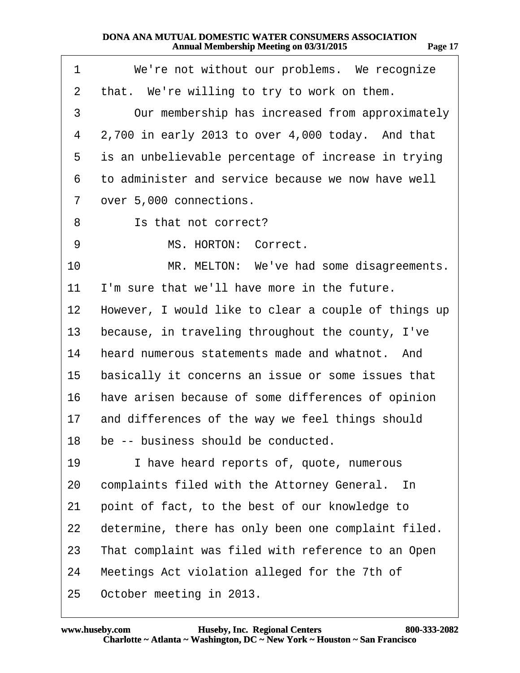**Page 17**

- 1 We're not without our problems. We recognize
- 2 that. We're willing to try to work on them.
- 3 Our membership has increased from approximately
- 4  $2,700$  in early 2013 to over 4,000 today. And that
- 5 is an unbelievable percentage of increase in trying
- ·6· ·to administer and service because we now have well
- 7 over 5,000 connections.
- 8 **S** Is that not correct?
- 9 MS. HORTON: Correct.
- 10 MR. MELTON: We've had some disagreements.
- 11 I'm sure that we'll have more in the future.
- 12 However, I would like to clear a couple of things up
- 13 because, in traveling throughout the county, I've
- 14 heard numerous statements made and whatnot. And
- 15 basically it concerns an issue or some issues that
- 16 have arisen because of some differences of opinion
- 17 and differences of the way we feel things should
- 18 be -- business should be conducted.
- 19 I have heard reports of, quote, numerous
- 20 complaints filed with the Attorney General. In
- 21 point of fact, to the best of our knowledge to
- 22 determine, there has only been one complaint filed.
- 23 That complaint was filed with reference to an Open
- 24 Meetings Act violation alleged for the 7th of
- 25 October meeting in 2013.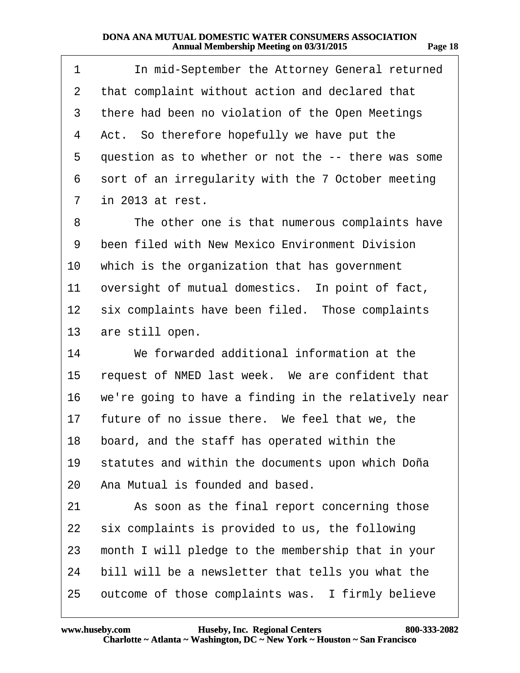| 1  | In mid-September the Attorney General returned       |
|----|------------------------------------------------------|
| 2  | that complaint without action and declared that      |
| 3  | there had been no violation of the Open Meetings     |
| 4  | Act. So therefore hopefully we have put the          |
| 5  | question as to whether or not the -- there was some  |
| 6  | sort of an irregularity with the 7 October meeting   |
| 7  | in 2013 at rest.                                     |
| 8  | The other one is that numerous complaints have       |
| 9  | been filed with New Mexico Environment Division      |
| 10 | which is the organization that has government        |
| 11 | oversight of mutual domestics. In point of fact,     |
| 12 | six complaints have been filed. Those complaints     |
| 13 | are still open.                                      |
| 14 | We forwarded additional information at the           |
| 15 | request of NMED last week. We are confident that     |
| 16 | we're going to have a finding in the relatively near |
| 17 | future of no issue there. We feel that we, the       |
| 18 | board, and the staff has operated within the         |
| 19 | statutes and within the documents upon which Doña    |
| 20 | Ana Mutual is founded and based.                     |
| 21 | As soon as the final report concerning those         |
| 22 | six complaints is provided to us, the following      |
| 23 | month I will pledge to the membership that in your   |
| 24 | bill will be a newsletter that tells you what the    |
| 25 | outcome of those complaints was. I firmly believe    |

v.yeslaw.net/help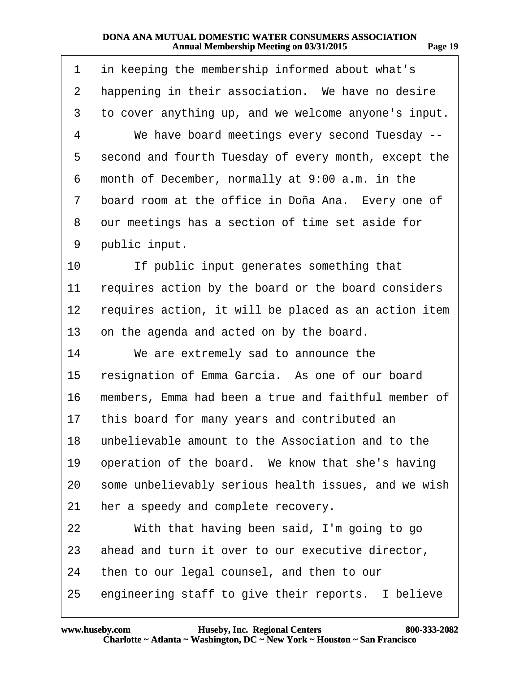| 1              | in keeping the membership informed about what's      |
|----------------|------------------------------------------------------|
| $\overline{2}$ | happening in their association. We have no desire    |
| 3              | to cover anything up, and we welcome anyone's input. |
| 4              | We have board meetings every second Tuesday --       |
| 5              | second and fourth Tuesday of every month, except the |
| 6              | month of December, normally at 9:00 a.m. in the      |
| 7              | board room at the office in Doña Ana. Every one of   |
| 8              | our meetings has a section of time set aside for     |
| 9              | public input.                                        |
| 10             | If public input generates something that             |
| 11             | requires action by the board or the board considers  |
| 12             | requires action, it will be placed as an action item |
| 13             | on the agenda and acted on by the board.             |
| 14             | We are extremely sad to announce the                 |
| 15             | resignation of Emma Garcia. As one of our board      |
| 16             | members, Emma had been a true and faithful member of |
| 17             | this board for many years and contributed an         |
| 18             | unbelievable amount to the Association and to the    |
| 19             | operation of the board. We know that she's having    |
| 20             | some unbelievably serious health issues, and we wish |
| 21             | her a speedy and complete recovery.                  |
| 22             | With that having been said, I'm going to go          |
| 23             | ahead and turn it over to our executive director,    |
| 24             | then to our legal counsel, and then to our           |
| 25             | engineering staff to give their reports. I believe   |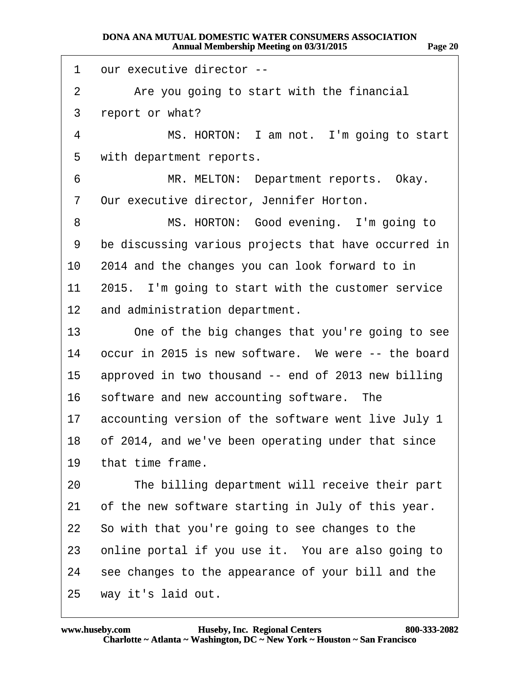| 1  | our executive director --                            |
|----|------------------------------------------------------|
| 2  | Are you going to start with the financial            |
| 3  | report or what?                                      |
| 4  | MS. HORTON: I am not. I'm going to start             |
| 5  | with department reports.                             |
| 6  | MR. MELTON: Department reports. Okay.                |
| 7  | Our executive director, Jennifer Horton.             |
| 8  | MS. HORTON: Good evening. I'm going to               |
| 9  | be discussing various projects that have occurred in |
| 10 | 2014 and the changes you can look forward to in      |
| 11 | 2015. I'm going to start with the customer service   |
| 12 | and administration department.                       |
| 13 | One of the big changes that you're going to see      |
| 14 | occur in 2015 is new software. We were -- the board  |
| 15 | approved in two thousand -- end of 2013 new billing  |
| 16 | software and new accounting software. The            |
| 17 | accounting version of the software went live July 1  |
| 18 | of 2014, and we've been operating under that since   |
| 19 | that time frame.                                     |
| 20 | The billing department will receive their part       |
| 21 | of the new software starting in July of this year.   |
|    | 22 So with that you're going to see changes to the   |
| 23 | online portal if you use it. You are also going to   |
| 24 | see changes to the appearance of your bill and the   |
| 25 | way it's laid out.                                   |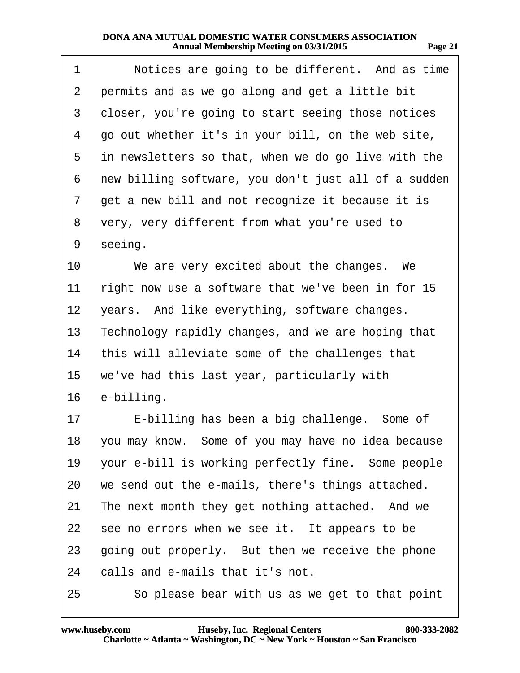| 1               | Notices are going to be different. And as time        |
|-----------------|-------------------------------------------------------|
| 2               | permits and as we go along and get a little bit       |
| 3               | closer, you're going to start seeing those notices    |
| 4               | go out whether it's in your bill, on the web site,    |
| 5               | in newsletters so that, when we do go live with the   |
| 6               | new billing software, you don't just all of a sudden  |
| 7               | get a new bill and not recognize it because it is     |
| 8               | very, very different from what you're used to         |
| 9               | seeing.                                               |
| 10              | We are very excited about the changes. We             |
| 11              | right now use a software that we've been in for 15    |
| 12 <sub>2</sub> | years. And like everything, software changes.         |
| 13              | Technology rapidly changes, and we are hoping that    |
| 14              | this will alleviate some of the challenges that       |
| 15              | we've had this last year, particularly with           |
| 16              | e-billing.                                            |
| 17              | E-billing has been a big challenge. Some of           |
|                 | 18 you may know. Some of you may have no idea because |
| 19              | your e-bill is working perfectly fine. Some people    |
| 20              | we send out the e-mails, there's things attached.     |
| 21              | The next month they get nothing attached. And we      |
| 22              | see no errors when we see it. It appears to be        |
| 23              | going out properly. But then we receive the phone     |
| 24              | calls and e-mails that it's not.                      |
| 25              | So please bear with us as we get to that point        |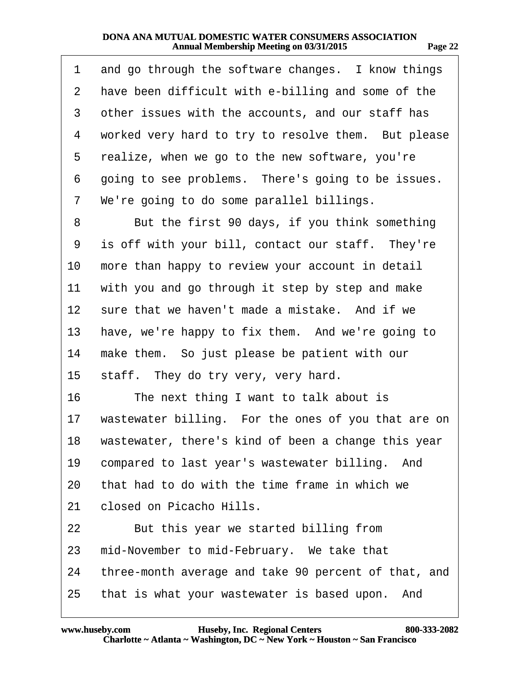| 1              | and go through the software changes. I know things   |
|----------------|------------------------------------------------------|
| $\overline{2}$ | have been difficult with e-billing and some of the   |
| 3              | other issues with the accounts, and our staff has    |
| 4              | worked very hard to try to resolve them. But please  |
| 5              | realize, when we go to the new software, you're      |
| 6              | going to see problems. There's going to be issues.   |
| 7              | We're going to do some parallel billings.            |
| 8              | But the first 90 days, if you think something        |
| 9              | is off with your bill, contact our staff. They're    |
| 10             | more than happy to review your account in detail     |
| 11             | with you and go through it step by step and make     |
| 12             | sure that we haven't made a mistake. And if we       |
| 13             | have, we're happy to fix them. And we're going to    |
| 14             | make them. So just please be patient with our        |
| 15             | staff. They do try very, very hard.                  |
| 16             | The next thing I want to talk about is               |
| 17             | wastewater billing. For the ones of you that are on  |
| 18             | wastewater, there's kind of been a change this year  |
| 19             | compared to last year's wastewater billing. And      |
| 20             | that had to do with the time frame in which we       |
| 21             | closed on Picacho Hills.                             |
| 22             | But this year we started billing from                |
| 23             | mid-November to mid-February. We take that           |
| 24             | three-month average and take 90 percent of that, and |
| 25             | that is what your wastewater is based upon. And      |

**http://www.yeslaw.net/help**

w.yeslaw.net/help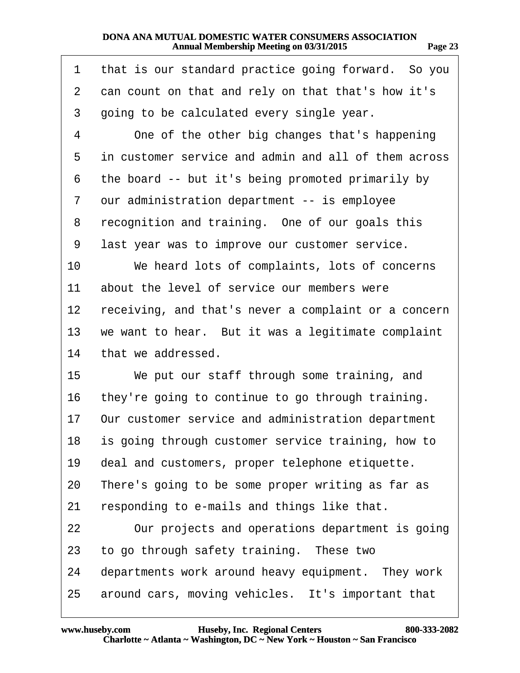| 1  | that is our standard practice going forward. So you  |
|----|------------------------------------------------------|
| 2  | can count on that and rely on that that's how it's   |
| 3  | going to be calculated every single year.            |
| 4  | One of the other big changes that's happening        |
| 5  | in customer service and admin and all of them across |
| 6  | the board -- but it's being promoted primarily by    |
| 7  | our administration department -- is employee         |
| 8  | recognition and training. One of our goals this      |
| 9  | last year was to improve our customer service.       |
| 10 | We heard lots of complaints, lots of concerns        |
| 11 | about the level of service our members were          |
| 12 | receiving, and that's never a complaint or a concern |
| 13 | we want to hear. But it was a legitimate complaint   |
| 14 | that we addressed.                                   |
| 15 | We put our staff through some training, and          |
| 16 | they're going to continue to go through training.    |
| 17 | Our customer service and administration department   |
| 18 | is going through customer service training, how to   |
| 19 | deal and customers, proper telephone etiquette.      |
| 20 | There's going to be some proper writing as far as    |
| 21 | responding to e-mails and things like that.          |
| 22 | Our projects and operations department is going      |
| 23 | to go through safety training. These two             |
| 24 | departments work around heavy equipment. They work   |
| 25 | around cars, moving vehicles. It's important that    |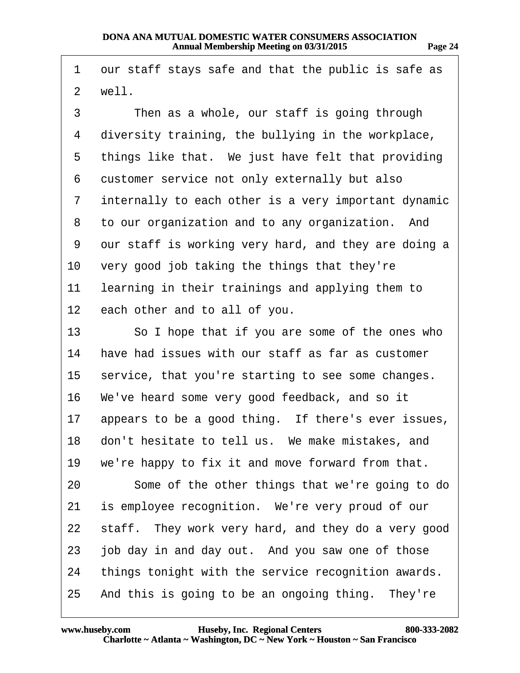**Page 24**

| 1              | our staff stays safe and that the public is safe as  |
|----------------|------------------------------------------------------|
| $\overline{2}$ | well.                                                |
| 3              | Then as a whole, our staff is going through          |
| 4              | diversity training, the bullying in the workplace,   |
| 5              | things like that. We just have felt that providing   |
| 6              | customer service not only externally but also        |
| 7              | internally to each other is a very important dynamic |
| 8              | to our organization and to any organization. And     |
| 9              | our staff is working very hard, and they are doing a |
| 10             | very good job taking the things that they're         |
| 11             | learning in their trainings and applying them to     |
| 12             | each other and to all of you.                        |
| 13             | So I hope that if you are some of the ones who       |
| 14             | have had issues with our staff as far as customer    |
| 15             | service, that you're starting to see some changes.   |
| 16             | We've heard some very good feedback, and so it       |
| 17             | appears to be a good thing. If there's ever issues,  |
| 18             | don't hesitate to tell us. We make mistakes, and     |
| 19             | we're happy to fix it and move forward from that.    |
| 20             | Some of the other things that we're going to do      |
| 21             | is employee recognition. We're very proud of our     |
| 22             | staff. They work very hard, and they do a very good  |
| 23             | job day in and day out. And you saw one of those     |
| 24             | things tonight with the service recognition awards.  |
|                | 25 And this is going to be an ongoing thing. They're |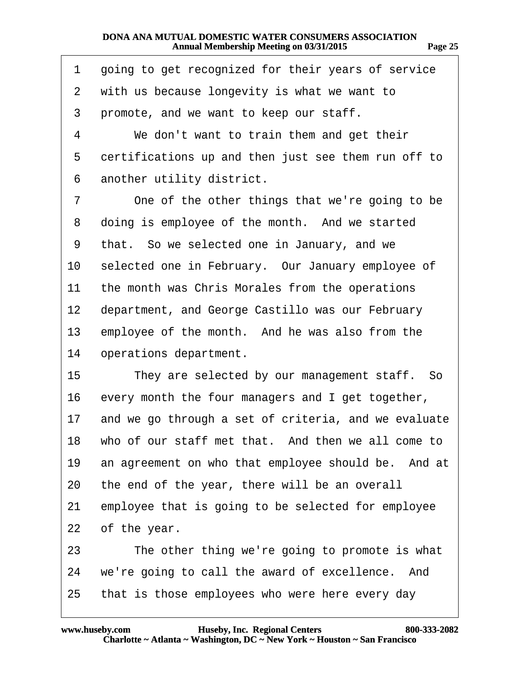| 1              | going to get recognized for their years of service   |
|----------------|------------------------------------------------------|
| $\overline{2}$ | with us because longevity is what we want to         |
| 3              | promote, and we want to keep our staff.              |
| 4              | We don't want to train them and get their            |
| 5              | certifications up and then just see them run off to  |
| 6              | another utility district.                            |
| 7              | One of the other things that we're going to be       |
| 8              | doing is employee of the month. And we started       |
| 9              | that. So we selected one in January, and we          |
| 10             | selected one in February. Our January employee of    |
| 11             | the month was Chris Morales from the operations      |
| 12             | department, and George Castillo was our February     |
| 13             | employee of the month. And he was also from the      |
| 14             | operations department.                               |
| 15             | They are selected by our management staff. So        |
| 16             | every month the four managers and I get together,    |
| 17             | and we go through a set of criteria, and we evaluate |
| 18             | who of our staff met that. And then we all come to   |
| 19             | an agreement on who that employee should be. And at  |
| 20             | the end of the year, there will be an overall        |
| 21             | employee that is going to be selected for employee   |
| 22             | of the year.                                         |
| 23             | The other thing we're going to promote is what       |
| 24             | we're going to call the award of excellence. And     |
| 25             | that is those employees who were here every day      |

**http://www.yeslaw.net/help**

w.yeslaw.net/help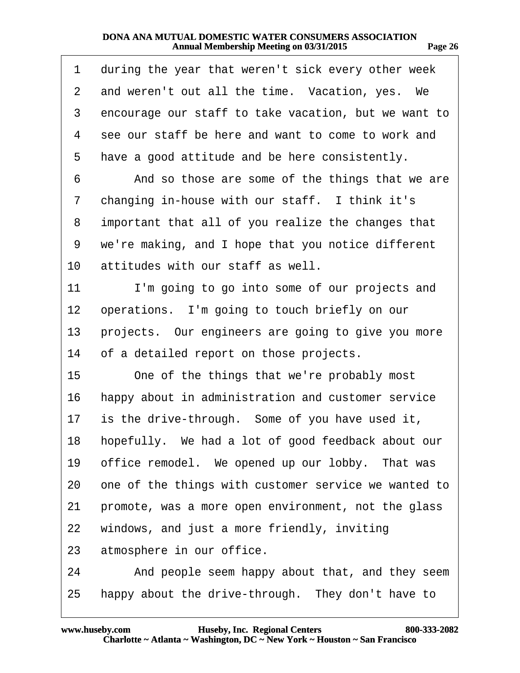| 1               | during the year that weren't sick every other week    |
|-----------------|-------------------------------------------------------|
| $\overline{2}$  | and weren't out all the time. Vacation, yes. We       |
| 3               | encourage our staff to take vacation, but we want to  |
| 4               | see our staff be here and want to come to work and    |
| 5               | have a good attitude and be here consistently.        |
| 6               | And so those are some of the things that we are       |
| 7               | changing in-house with our staff. I think it's        |
| 8               | important that all of you realize the changes that    |
| 9               | we're making, and I hope that you notice different    |
| 10              | attitudes with our staff as well.                     |
| 11              | I'm going to go into some of our projects and         |
| 12 <sup>°</sup> | operations. I'm going to touch briefly on our         |
| 13              | projects. Our engineers are going to give you more    |
| 14              | of a detailed report on those projects.               |
| 15              | One of the things that we're probably most            |
| 16              | happy about in administration and customer service    |
| 17              | is the drive-through. Some of you have used it,       |
|                 | 18 hopefully. We had a lot of good feedback about our |
| 19              | office remodel. We opened up our lobby. That was      |
| 20              | one of the things with customer service we wanted to  |
| 21              | promote, was a more open environment, not the glass   |
| 22              | windows, and just a more friendly, inviting           |
| 23              | atmosphere in our office.                             |
| 24              | And people seem happy about that, and they seem       |
| 25              | happy about the drive-through. They don't have to     |

.yeslaw.net/help **http://www.yeslaw.net/help**

**Page 26**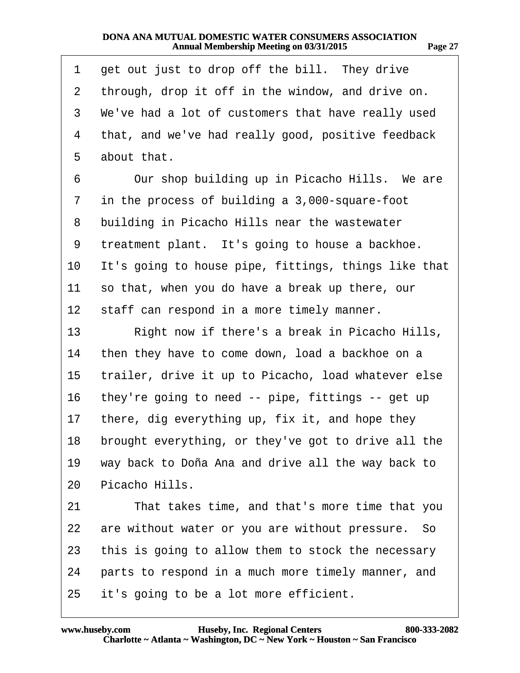| 1  | get out just to drop off the bill. They drive          |  |
|----|--------------------------------------------------------|--|
| 2  | through, drop it off in the window, and drive on.      |  |
| 3  | We've had a lot of customers that have really used     |  |
| 4  | that, and we've had really good, positive feedback     |  |
| 5  | about that.                                            |  |
| 6  | Our shop building up in Picacho Hills. We are          |  |
| 7  | in the process of building a 3,000-square-foot         |  |
| 8  | building in Picacho Hills near the wastewater          |  |
| 9  | treatment plant. It's going to house a backhoe.        |  |
| 10 | It's going to house pipe, fittings, things like that   |  |
| 11 | so that, when you do have a break up there, our        |  |
| 12 | staff can respond in a more timely manner.             |  |
| 13 | Right now if there's a break in Picacho Hills,         |  |
| 14 | then they have to come down, load a backhoe on a       |  |
| 15 | trailer, drive it up to Picacho, load whatever else    |  |
| 16 | they're going to need -- pipe, fittings -- get up      |  |
| 17 | there, dig everything up, fix it, and hope they        |  |
|    | 18 brought everything, or they've got to drive all the |  |
| 19 | way back to Doña Ana and drive all the way back to     |  |
| 20 | Picacho Hills.                                         |  |
| 21 | That takes time, and that's more time that you         |  |
| 22 | are without water or you are without pressure. So      |  |
| 23 | this is going to allow them to stock the necessary     |  |
| 24 | parts to respond in a much more timely manner, and     |  |
| 25 | it's going to be a lot more efficient.                 |  |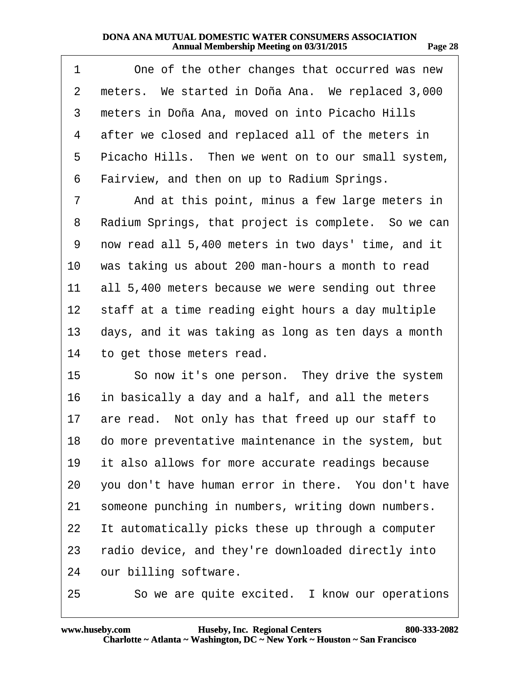| 1               | One of the other changes that occurred was new         |
|-----------------|--------------------------------------------------------|
| $\overline{2}$  | meters. We started in Doña Ana. We replaced 3,000      |
| 3               | meters in Doña Ana, moved on into Picacho Hills        |
| 4               | after we closed and replaced all of the meters in      |
| 5               | Picacho Hills. Then we went on to our small system,    |
| 6               | Fairview, and then on up to Radium Springs.            |
| $\overline{7}$  | And at this point, minus a few large meters in         |
| 8               | Radium Springs, that project is complete. So we can    |
| 9               | now read all 5,400 meters in two days' time, and it    |
| 10              | was taking us about 200 man-hours a month to read      |
| 11              | all 5,400 meters because we were sending out three     |
| 12 <sup>°</sup> | staff at a time reading eight hours a day multiple     |
| 13              | days, and it was taking as long as ten days a month    |
| 14              | to get those meters read.                              |
| 15              | So now it's one person. They drive the system          |
| 16              | in basically a day and a half, and all the meters      |
| 17              | are read. Not only has that freed up our staff to      |
|                 | 18 do more preventative maintenance in the system, but |
| 19              | it also allows for more accurate readings because      |
| 20              | you don't have human error in there. You don't have    |
| 21              | someone punching in numbers, writing down numbers.     |
| 22              | It automatically picks these up through a computer     |
| 23              | radio device, and they're downloaded directly into     |
| 24              | our billing software.                                  |
| 25              | So we are quite excited. I know our operations         |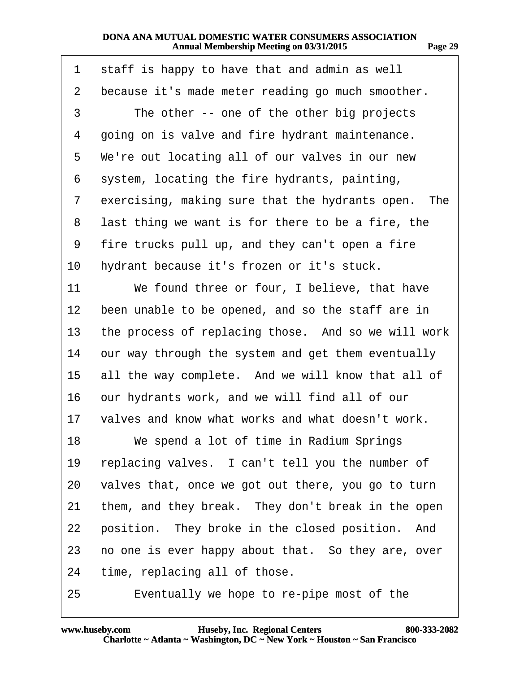| 1  | staff is happy to have that and admin as well       |
|----|-----------------------------------------------------|
| 2  | because it's made meter reading go much smoother.   |
| 3  | The other -- one of the other big projects          |
| 4  | going on is valve and fire hydrant maintenance.     |
| 5  | We're out locating all of our valves in our new     |
| 6  | system, locating the fire hydrants, painting,       |
| 7  | exercising, making sure that the hydrants open. The |
| 8  | last thing we want is for there to be a fire, the   |
| 9  | fire trucks pull up, and they can't open a fire     |
| 10 | hydrant because it's frozen or it's stuck.          |
| 11 | We found three or four, I believe, that have        |
| 12 | been unable to be opened, and so the staff are in   |
| 13 | the process of replacing those. And so we will work |
| 14 | our way through the system and get them eventually  |
| 15 | all the way complete. And we will know that all of  |
| 16 | our hydrants work, and we will find all of our      |
| 17 | valves and know what works and what doesn't work.   |
| 18 | We spend a lot of time in Radium Springs            |
| 19 | replacing valves. I can't tell you the number of    |
| 20 | valves that, once we got out there, you go to turn  |
| 21 | them, and they break. They don't break in the open  |
| 22 | position. They broke in the closed position. And    |
| 23 | no one is ever happy about that. So they are, over  |
| 24 | time, replacing all of those.                       |
|    |                                                     |

25 Eventually we hope to re-pipe most of the

**http://www.yeslaw.net/help**

.yeslaw.net/help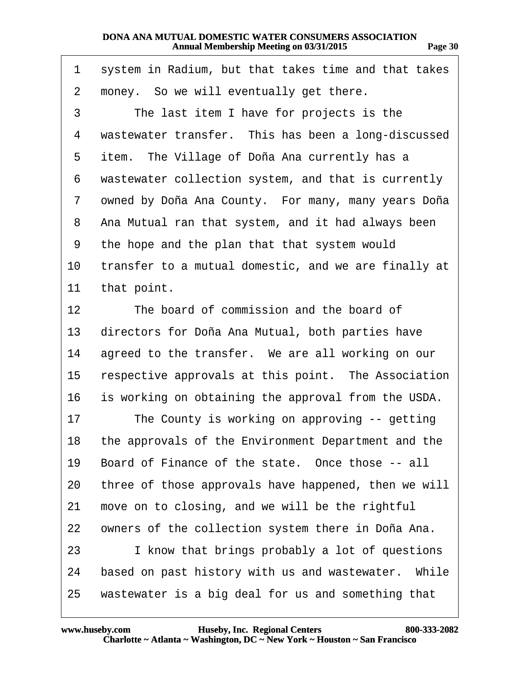**http://www.yeslaw.net/help**

ww.yeslaw.net/help

| 1  | system in Radium, but that takes time and that takes |
|----|------------------------------------------------------|
| 2  | money. So we will eventually get there.              |
| 3  | The last item I have for projects is the             |
| 4  | wastewater transfer. This has been a long-discussed  |
| 5  | item. The Village of Doña Ana currently has a        |
| 6  | wastewater collection system, and that is currently  |
| 7  | owned by Doña Ana County. For many, many years Doña  |
| 8  | Ana Mutual ran that system, and it had always been   |
| 9  | the hope and the plan that that system would         |
| 10 | transfer to a mutual domestic, and we are finally at |
| 11 | that point.                                          |
| 12 | The board of commission and the board of             |
| 13 | directors for Doña Ana Mutual, both parties have     |
| 14 | agreed to the transfer. We are all working on our    |
| 15 | respective approvals at this point. The Association  |
| 16 | is working on obtaining the approval from the USDA.  |
| 17 | The County is working on approving -- getting        |
| 18 | the approvals of the Environment Department and the  |
| 19 | Board of Finance of the state. Once those -- all     |
| 20 | three of those approvals have happened, then we will |
| 21 | move on to closing, and we will be the rightful      |
| 22 | owners of the collection system there in Doña Ana.   |
| 23 | I know that brings probably a lot of questions       |
| 24 | based on past history with us and wastewater. While  |
| 25 | wastewater is a big deal for us and something that   |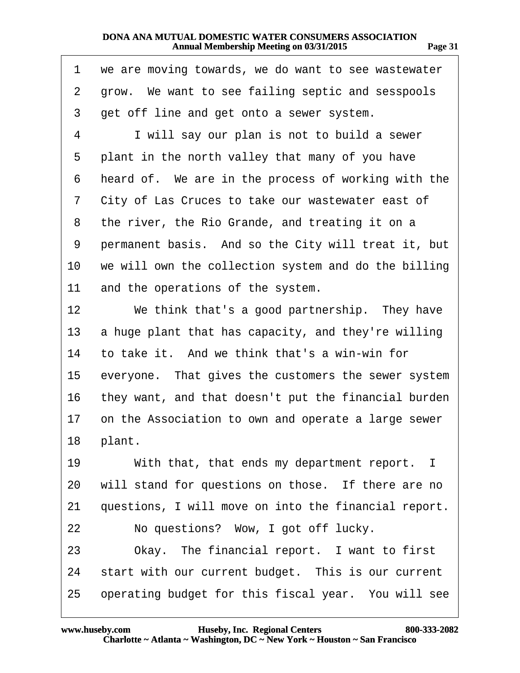| 1               | we are moving towards, we do want to see wastewater  |
|-----------------|------------------------------------------------------|
| $\overline{2}$  | grow. We want to see failing septic and sesspools    |
| 3               | get off line and get onto a sewer system.            |
| $\overline{4}$  | I will say our plan is not to build a sewer          |
| 5               | plant in the north valley that many of you have      |
| 6               | heard of. We are in the process of working with the  |
| 7               | City of Las Cruces to take our wastewater east of    |
| 8               | the river, the Rio Grande, and treating it on a      |
| 9               | permanent basis. And so the City will treat it, but  |
| 10              | we will own the collection system and do the billing |
| 11              | and the operations of the system.                    |
| 12              | We think that's a good partnership. They have        |
| 13              | a huge plant that has capacity, and they're willing  |
|                 | 14 to take it. And we think that's a win-win for     |
| 15 <sup>1</sup> | everyone. That gives the customers the sewer system  |
| 16              | they want, and that doesn't put the financial burden |
| 17              | on the Association to own and operate a large sewer  |
|                 | 18 plant.                                            |
| 19              | With that, that ends my department report. I         |
| 20              | will stand for questions on those. If there are no   |
| 21              | questions, I will move on into the financial report. |
| 22              | No questions? Wow, I got off lucky.                  |
| 23              | Okay. The financial report. I want to first          |
| 24              | start with our current budget. This is our current   |
| 25              | operating budget for this fiscal year. You will see  |

**http://www.yeslaw.net/help**

ww.yeslaw.net/help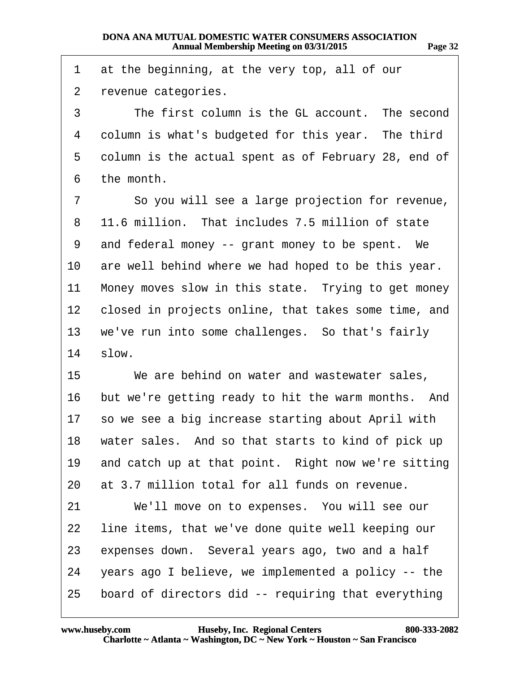1 at the beginning, at the very top, all of our 2 revenue categories. 3 The first column is the GL account. The second 4 column is what's budgeted for this year. The third 5 column is the actual spent as of February 28, end of 6 the month. 7 So you will see a large projection for revenue, 8 11.6 million. That includes 7.5 million of state 9 and federal money -- grant money to be spent. We 10 are well behind where we had hoped to be this year. 11 Money moves slow in this state. Trying to get money 12 closed in projects online, that takes some time, and 13 we've run into some challenges. So that's fairly  $14$  slow. 15 We are behind on water and wastewater sales, 16 but we're getting ready to hit the warm months. And 17 so we see a big increase starting about April with 18 water sales. And so that starts to kind of pick up 19 and catch up at that point. Right now we're sitting 20 at 3.7 million total for all funds on revenue. 21 We'll move on to expenses. You will see our 22 line items, that we've done quite well keeping our 23 expenses down. Several years ago, two and a half 24 years ago I believe, we implemented a policy -- the 25 board of directors did -- requiring that everything

**http://www.yeslaw.net/help**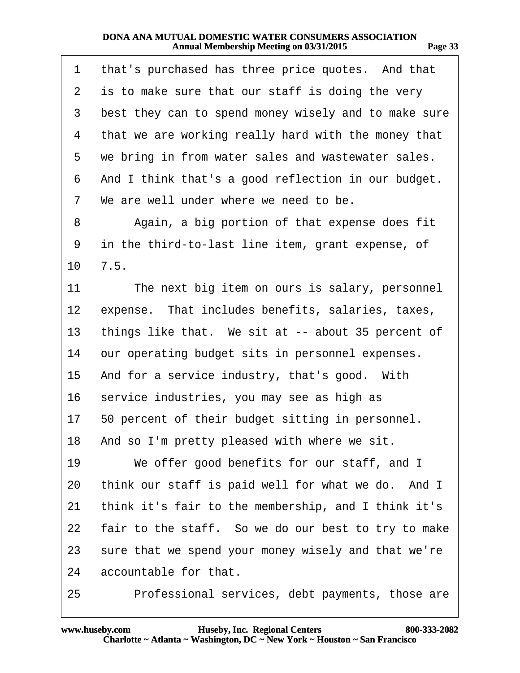| <br>тто<br>о |  |
|--------------|--|
|              |  |

| 1                 | that's purchased has three price quotes. And that    |
|-------------------|------------------------------------------------------|
| 2                 | is to make sure that our staff is doing the very     |
| 3                 | best they can to spend money wisely and to make sure |
| 4                 | that we are working really hard with the money that  |
| 5                 | we bring in from water sales and wastewater sales.   |
| 6                 | And I think that's a good reflection in our budget.  |
| 7                 | We are well under where we need to be.               |
| 8                 | Again, a big portion of that expense does fit        |
| 9                 | in the third-to-last line item, grant expense, of    |
| 10                | 7.5.                                                 |
| 11                | The next big item on ours is salary, personnel       |
| $12 \overline{ }$ | expense. That includes benefits, salaries, taxes,    |
| 13                | things like that. We sit at -- about 35 percent of   |
| 14                | our operating budget sits in personnel expenses.     |
| 15                | And for a service industry, that's good. With        |
| 16                | service industries, you may see as high as           |
|                   | 17 50 percent of their budget sitting in personnel.  |
| 18                | And so I'm pretty pleased with where we sit.         |
| 19                | We offer good benefits for our staff, and I          |
| 20                | think our staff is paid well for what we do. And I   |
| 21                | think it's fair to the membership, and I think it's  |
| 22                | fair to the staff. So we do our best to try to make  |
| 23                | sure that we spend your money wisely and that we're  |
| 24                | accountable for that.                                |
| 25                | Professional services, debt payments, those are      |

**http://www.yeslaw.net/help**

vw.yeslaw.net/help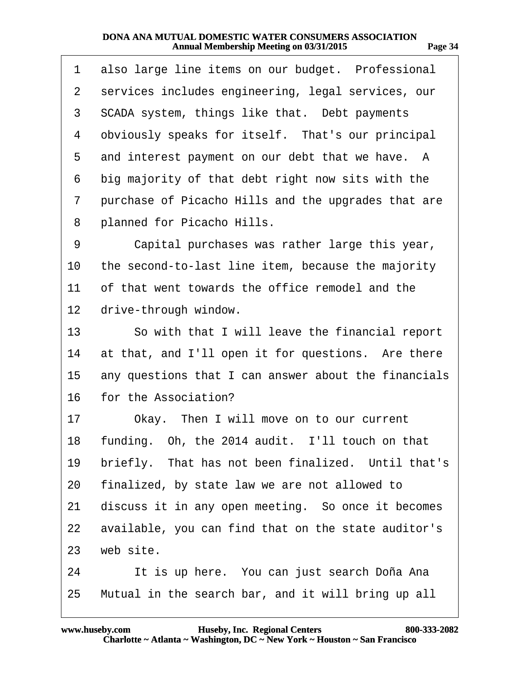| 1               | also large line items on our budget. Professional    |
|-----------------|------------------------------------------------------|
| 2               | services includes engineering, legal services, our   |
| 3               | SCADA system, things like that. Debt payments        |
| 4               | obviously speaks for itself. That's our principal    |
| 5               | and interest payment on our debt that we have. A     |
| 6               | big majority of that debt right now sits with the    |
| 7               | purchase of Picacho Hills and the upgrades that are  |
| 8               | planned for Picacho Hills.                           |
| 9               | Capital purchases was rather large this year,        |
| 10              | the second-to-last line item, because the majority   |
| 11              | of that went towards the office remodel and the      |
| 12 <sub>2</sub> | drive-through window.                                |
| 13              | So with that I will leave the financial report       |
| 14              | at that, and I'll open it for questions. Are there   |
| 15              | any questions that I can answer about the financials |
| 16              | for the Association?                                 |
| 17              | Okay. Then I will move on to our current             |
| 18              | funding. Oh, the 2014 audit. I'll touch on that      |
| 19              | briefly. That has not been finalized. Until that's   |
| 20              | finalized, by state law we are not allowed to        |
| 21              | discuss it in any open meeting. So once it becomes   |
| 22              | available, you can find that on the state auditor's  |
| 23              | web site.                                            |
| 24              | It is up here. You can just search Doña Ana          |
| 25              | Mutual in the search bar, and it will bring up all   |

**http://www.yeslaw.net/help**

vw.yeslaw.net/help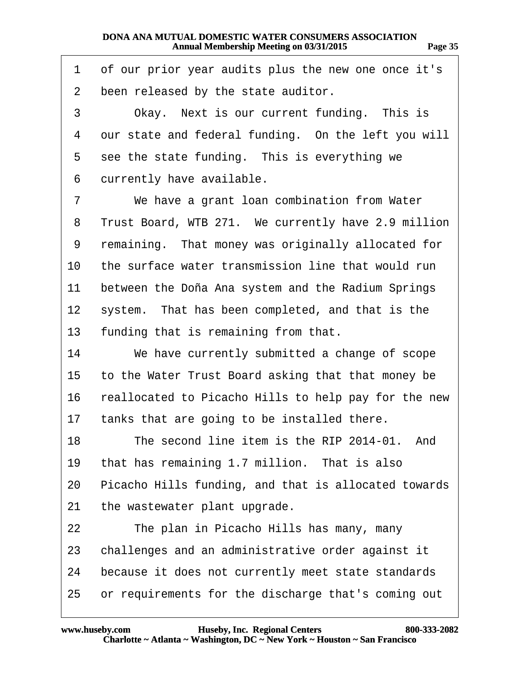| 1              | of our prior year audits plus the new one once it's  |
|----------------|------------------------------------------------------|
| $\overline{2}$ | been released by the state auditor.                  |
| 3              | Okay. Next is our current funding. This is           |
| 4              | our state and federal funding. On the left you will  |
| 5              | see the state funding. This is everything we         |
| 6              | currently have available.                            |
| 7              | We have a grant loan combination from Water          |
| 8              | Trust Board, WTB 271. We currently have 2.9 million  |
| 9              | remaining. That money was originally allocated for   |
| 10             | the surface water transmission line that would run   |
| 11             | between the Doña Ana system and the Radium Springs   |
| 12             | system. That has been completed, and that is the     |
| 13             | funding that is remaining from that.                 |
| 14             | We have currently submitted a change of scope        |
| 15             | to the Water Trust Board asking that that money be   |
| 16             | reallocated to Picacho Hills to help pay for the new |
| 17             | tanks that are going to be installed there.          |
| 18             | The second line item is the RIP 2014-01. And         |
| 19             | that has remaining 1.7 million. That is also         |
| 20             | Picacho Hills funding, and that is allocated towards |
| 21             | the wastewater plant upgrade.                        |
| 22             | The plan in Picacho Hills has many, many             |
| 23             | challenges and an administrative order against it    |
| 24             | because it does not currently meet state standards   |
| 25             | or requirements for the discharge that's coming out  |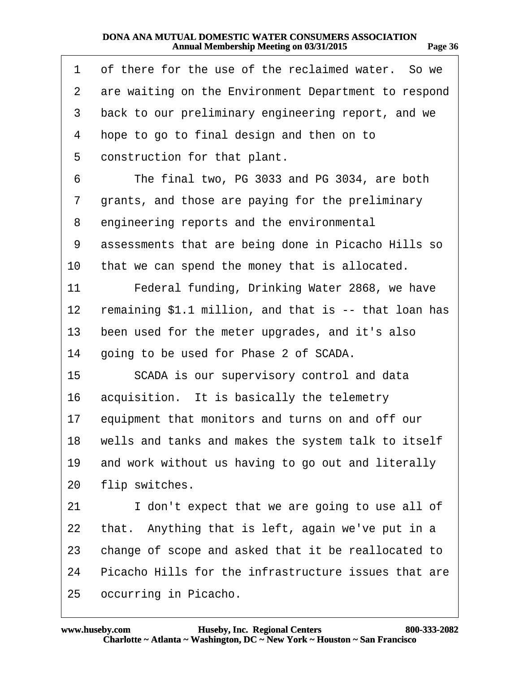| . .<br>мю<br>л | n<br>٠ |
|----------------|--------|
|                |        |

**http://www.yeslaw.net/help**

ww.yeslaw.net/help

| 1              | of there for the use of the reclaimed water. So we    |
|----------------|-------------------------------------------------------|
| $\overline{2}$ | are waiting on the Environment Department to respond  |
| 3              | back to our preliminary engineering report, and we    |
| 4              | hope to go to final design and then on to             |
| 5              | construction for that plant.                          |
| 6              | The final two, PG 3033 and PG 3034, are both          |
| 7              | grants, and those are paying for the preliminary      |
| 8              | engineering reports and the environmental             |
| 9              | assessments that are being done in Picacho Hills so   |
| 10             | that we can spend the money that is allocated.        |
| 11             | Federal funding, Drinking Water 2868, we have         |
| 12             | remaining \$1.1 million, and that is -- that loan has |
| 13             | been used for the meter upgrades, and it's also       |
| 14             | going to be used for Phase 2 of SCADA.                |
| 15             | SCADA is our supervisory control and data             |
| 16             | acquisition. It is basically the telemetry            |
| 17             | equipment that monitors and turns on and off our      |
| 18             | wells and tanks and makes the system talk to itself   |
| 19             | and work without us having to go out and literally    |
| 20             | flip switches.                                        |
| 21             | I don't expect that we are going to use all of        |
| 22             | that. Anything that is left, again we've put in a     |
| 23             | change of scope and asked that it be reallocated to   |
| 24             | Picacho Hills for the infrastructure issues that are  |
| 25             | occurring in Picacho.                                 |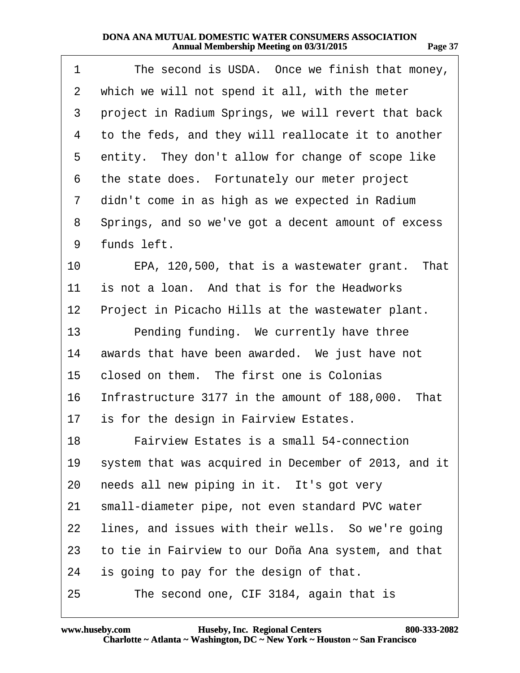<span id="page-36-0"></span>

| 1               | The second is USDA. Once we finish that money,       |
|-----------------|------------------------------------------------------|
| $\overline{2}$  | which we will not spend it all, with the meter       |
| 3               | project in Radium Springs, we will revert that back  |
| 4               | to the feds, and they will reallocate it to another  |
| 5               | entity. They don't allow for change of scope like    |
| 6               | the state does. Fortunately our meter project        |
| 7               | didn't come in as high as we expected in Radium      |
| 8               | Springs, and so we've got a decent amount of excess  |
| 9               | funds left.                                          |
| 10              | EPA, 120,500, that is a wastewater grant. That       |
| 11              | is not a loan. And that is for the Headworks         |
| 12 <sub>2</sub> | Project in Picacho Hills at the wastewater plant.    |
| 13              | Pending funding. We currently have three             |
| 14              | awards that have been awarded. We just have not      |
| 15              | closed on them. The first one is Colonias            |
| 16              | Infrastructure 3177 in the amount of 188,000. That   |
|                 | 17 is for the design in Fairview Estates.            |
| 18              | <b>Fairview Estates is a small 54-connection</b>     |
| 19              | system that was acquired in December of 2013, and it |
| 20              | needs all new piping in it. It's got very            |
| 21              | small-diameter pipe, not even standard PVC water     |
| 22              | lines, and issues with their wells. So we're going   |
| 23              | to tie in Fairview to our Doña Ana system, and that  |
| 24              | is going to pay for the design of that.              |
| 25              | The second one, CIF 3184, again that is              |

**http://www.yeslaw.net/help**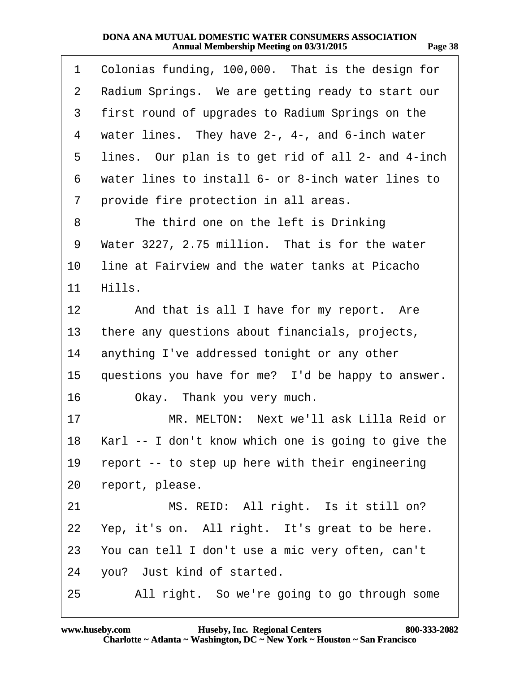<span id="page-37-0"></span>

| 1              | Colonias funding, 100,000. That is the design for   |
|----------------|-----------------------------------------------------|
| $\overline{2}$ | Radium Springs. We are getting ready to start our   |
| 3              | first round of upgrades to Radium Springs on the    |
| 4              | water lines. They have 2-, 4-, and 6-inch water     |
| 5              | lines. Our plan is to get rid of all 2- and 4-inch  |
| 6              | water lines to install 6- or 8-inch water lines to  |
| 7              | provide fire protection in all areas.               |
| 8              | The third one on the left is Drinking               |
| 9              | Water 3227, 2.75 million. That is for the water     |
| 10             | line at Fairview and the water tanks at Picacho     |
| 11             | Hills.                                              |
| 12             | And that is all I have for my report. Are           |
| 13             | there any questions about financials, projects,     |
| 14             | anything I've addressed tonight or any other        |
| 15             | questions you have for me? I'd be happy to answer.  |
| 16             | Okay. Thank you very much.                          |
| 17             | MR. MELTON: Next we'll ask Lilla Reid or            |
| 18             | Karl -- I don't know which one is going to give the |
| 19             | report -- to step up here with their engineering    |
| 20             | report, please.                                     |
| 21             | MS. REID: All right. Is it still on?                |
|                | 22 Yep, it's on. All right. It's great to be here.  |
|                | 23 You can tell I don't use a mic very often, can't |
| 24             | you? Just kind of started.                          |
| 25             | All right. So we're going to go through some        |

**http://www.yeslaw.net/help**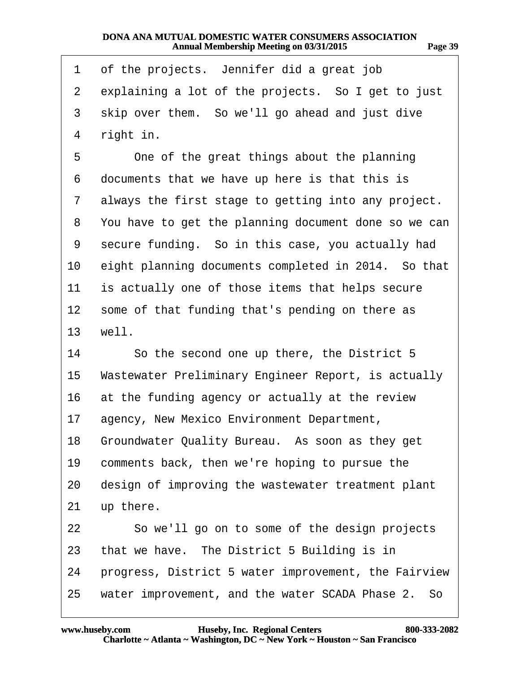<span id="page-38-0"></span>

| 1               | of the projects. Jennifer did a great job            |
|-----------------|------------------------------------------------------|
| $\overline{2}$  | explaining a lot of the projects. So I get to just   |
| 3               | skip over them. So we'll go ahead and just dive      |
| 4               | right in.                                            |
| 5               | One of the great things about the planning           |
| 6               | documents that we have up here is that this is       |
| 7               | always the first stage to getting into any project.  |
| 8               | You have to get the planning document done so we can |
| 9               | secure funding. So in this case, you actually had    |
| 10              | eight planning documents completed in 2014. So that  |
| 11              | is actually one of those items that helps secure     |
| 12              | some of that funding that's pending on there as      |
| 13 <sup>2</sup> | well.                                                |
| 14              | So the second one up there, the District 5           |
| 15              | Wastewater Preliminary Engineer Report, is actually  |
| 16              | at the funding agency or actually at the review      |
| 17              | agency, New Mexico Environment Department,           |
|                 | 18 Groundwater Quality Bureau. As soon as they get   |
| 19              | comments back, then we're hoping to pursue the       |
| 20              | design of improving the wastewater treatment plant   |
| 21              | up there.                                            |
| 22              | So we'll go on to some of the design projects        |
| 23              | that we have. The District 5 Building is in          |
| 24              | progress, District 5 water improvement, the Fairview |
| 25              | water improvement, and the water SCADA Phase 2. So   |

**http://www.yeslaw.net/help**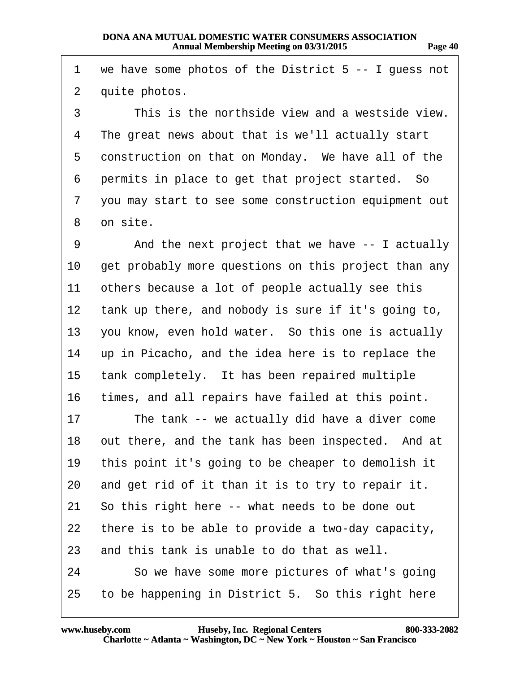<span id="page-39-0"></span>

| 1              | we have some photos of the District 5 -- I guess not |
|----------------|------------------------------------------------------|
| $\overline{2}$ | quite photos.                                        |
| 3              | This is the northside view and a westside view.      |
| 4              | The great news about that is we'll actually start    |
| 5              | construction on that on Monday. We have all of the   |
| 6              | permits in place to get that project started. So     |
| 7              | you may start to see some construction equipment out |
| 8              | on site.                                             |
| 9              | And the next project that we have -- I actually      |
| 10             | get probably more questions on this project than any |
| 11             | others because a lot of people actually see this     |
| 12             | tank up there, and nobody is sure if it's going to,  |
| 13             | you know, even hold water. So this one is actually   |
| 14             | up in Picacho, and the idea here is to replace the   |
| 15             | tank completely. It has been repaired multiple       |
| 16             | times, and all repairs have failed at this point.    |
| 17             | The tank -- we actually did have a diver come        |
| 18             | out there, and the tank has been inspected. And at   |
| 19             | this point it's going to be cheaper to demolish it   |
| 20             | and get rid of it than it is to try to repair it.    |
| 21             | So this right here -- what needs to be done out      |
| 22             | there is to be able to provide a two-day capacity,   |
| 23             | and this tank is unable to do that as well.          |
| 24             | So we have some more pictures of what's going        |
| 25             | to be happening in District 5. So this right here    |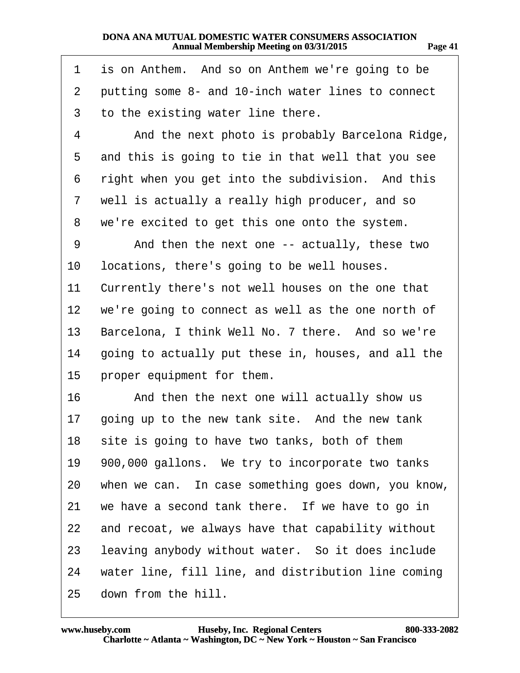<span id="page-40-0"></span>

| 1  | is on Anthem. And so on Anthem we're going to be    |
|----|-----------------------------------------------------|
| 2  | putting some 8- and 10-inch water lines to connect  |
| 3  | to the existing water line there.                   |
| 4  | And the next photo is probably Barcelona Ridge,     |
| 5  | and this is going to tie in that well that you see  |
| 6  | right when you get into the subdivision. And this   |
| 7  | well is actually a really high producer, and so     |
| 8  | we're excited to get this one onto the system.      |
| 9  | And then the next one -- actually, these two        |
| 10 | locations, there's going to be well houses.         |
| 11 | Currently there's not well houses on the one that   |
| 12 | we're going to connect as well as the one north of  |
| 13 | Barcelona, I think Well No. 7 there. And so we're   |
| 14 | going to actually put these in, houses, and all the |
| 15 | proper equipment for them.                          |
| 16 | And then the next one will actually show us         |
| 17 | going up to the new tank site. And the new tank     |
| 18 | site is going to have two tanks, both of them       |
| 19 | 900,000 gallons. We try to incorporate two tanks    |
| 20 | when we can. In case something goes down, you know, |
| 21 | we have a second tank there. If we have to go in    |
| 22 | and recoat, we always have that capability without  |
| 23 | leaving anybody without water. So it does include   |
| 24 | water line, fill line, and distribution line coming |
| 25 | down from the hill.                                 |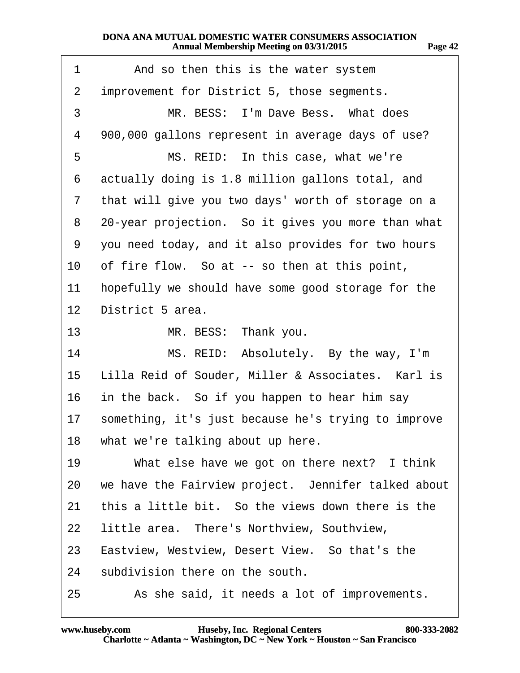<span id="page-41-0"></span>

| 1               | And so then this is the water system                |
|-----------------|-----------------------------------------------------|
| 2               | improvement for District 5, those segments.         |
| 3               | MR. BESS: I'm Dave Bess. What does                  |
| 4               | 900,000 gallons represent in average days of use?   |
| 5               | MS. REID: In this case, what we're                  |
| 6               | actually doing is 1.8 million gallons total, and    |
| 7               | that will give you two days' worth of storage on a  |
| 8               | 20-year projection. So it gives you more than what  |
| 9               | you need today, and it also provides for two hours  |
| 10              | of fire flow. So at -- so then at this point,       |
| 11              | hopefully we should have some good storage for the  |
| 12 <sub>2</sub> | District 5 area.                                    |
| 13              | MR. BESS: Thank you.                                |
| 14              | MS. REID: Absolutely. By the way, I'm               |
| 15              | Lilla Reid of Souder, Miller & Associates. Karl is  |
| 16              | in the back. So if you happen to hear him say       |
| 17              | something, it's just because he's trying to improve |
| 18              | what we're talking about up here.                   |
| 19              | What else have we got on there next? I think        |
| 20              | we have the Fairview project. Jennifer talked about |
| 21              | this a little bit. So the views down there is the   |
| 22              | little area. There's Northview, Southview,          |
| 23              | Eastview, Westview, Desert View. So that's the      |
| 24              | subdivision there on the south.                     |
| 25              | As she said, it needs a lot of improvements.        |

**http://www.yeslaw.net/help**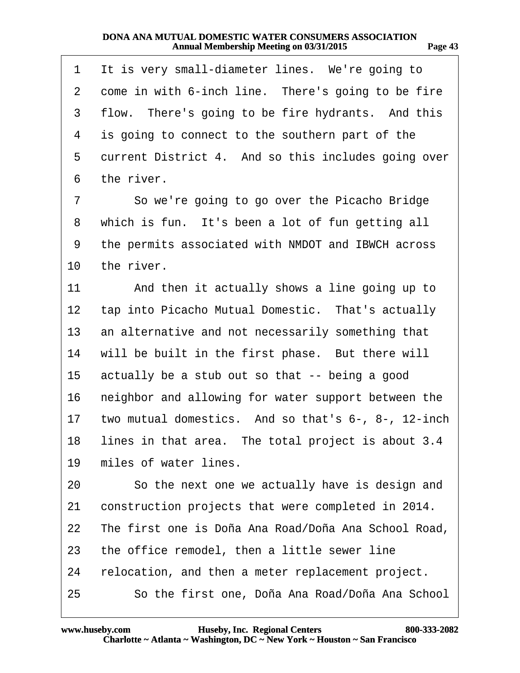<span id="page-42-0"></span>

| 1            | It is very small-diameter lines. We're going to        |
|--------------|--------------------------------------------------------|
| $\mathbf{2}$ | come in with 6-inch line. There's going to be fire     |
| 3            | flow. There's going to be fire hydrants. And this      |
| 4            | is going to connect to the southern part of the        |
| 5            | current District 4. And so this includes going over    |
| 6            | the river.                                             |
| 7            | So we're going to go over the Picacho Bridge           |
| 8            | which is fun. It's been a lot of fun getting all       |
| 9            | the permits associated with NMDOT and IBWCH across     |
| 10           | the river.                                             |
| 11           | And then it actually shows a line going up to          |
| 12           | tap into Picacho Mutual Domestic. That's actually      |
| 13           | an alternative and not necessarily something that      |
| 14           | will be built in the first phase. But there will       |
| 15           | actually be a stub out so that -- being a good         |
| 16           | neighbor and allowing for water support between the    |
|              | 17 two mutual domestics. And so that's 6-, 8-, 12-inch |
|              | 18 lines in that area. The total project is about 3.4  |
| 19           | miles of water lines.                                  |
| 20           | So the next one we actually have is design and         |
| 21           | construction projects that were completed in 2014.     |
| 22           | The first one is Doña Ana Road/Doña Ana School Road,   |
| 23           | the office remodel, then a little sewer line           |
| 24           | relocation, and then a meter replacement project.      |
| 25           | So the first one, Doña Ana Road/Doña Ana School        |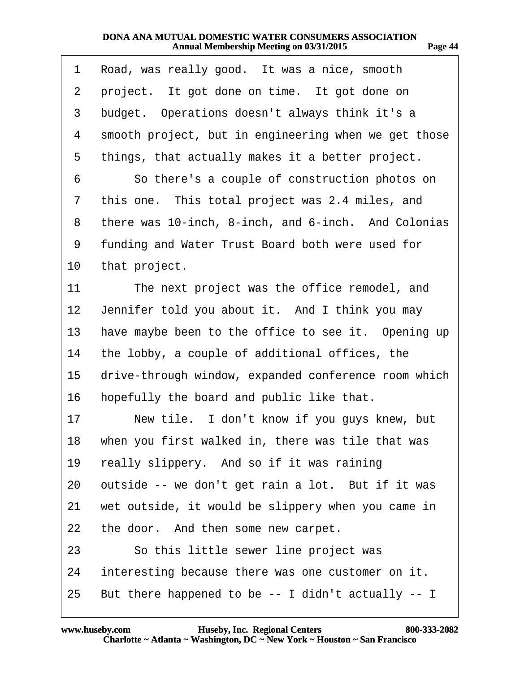<span id="page-43-0"></span>

|                 | 1 Road, was really good. It was a nice, smooth        |
|-----------------|-------------------------------------------------------|
| $\mathbf{2}$    | project. It got done on time. It got done on          |
| 3               | budget. Operations doesn't always think it's a        |
| 4               | smooth project, but in engineering when we get those  |
| 5               | things, that actually makes it a better project.      |
| 6               | So there's a couple of construction photos on         |
| $\overline{7}$  | this one. This total project was 2.4 miles, and       |
|                 | 8 there was 10-inch, 8-inch, and 6-inch. And Colonias |
|                 | 9 funding and Water Trust Board both were used for    |
|                 | 10 that project.                                      |
| 11              | The next project was the office remodel, and          |
| 12 <sub>2</sub> | Jennifer told you about it. And I think you may       |
| 13 <sup>°</sup> | have maybe been to the office to see it. Opening up   |
|                 | 14 the lobby, a couple of additional offices, the     |
| 15              | drive-through window, expanded conference room which  |
|                 | 16 hopefully the board and public like that.          |
| 17              | New tile. I don't know if you guys knew, but          |
|                 | 18 when you first walked in, there was tile that was  |
| 19              | really slippery. And so if it was raining             |
| 20              | outside -- we don't get rain a lot. But if it was     |
| 21              | wet outside, it would be slippery when you came in    |
|                 | 22 the door. And then some new carpet.                |
| 23              | So this little sewer line project was                 |
| 24              | interesting because there was one customer on it.     |
|                 | 25 But there happened to be -- I didn't actually -- I |
|                 |                                                       |

10

**http://www.yeslaw.net/help**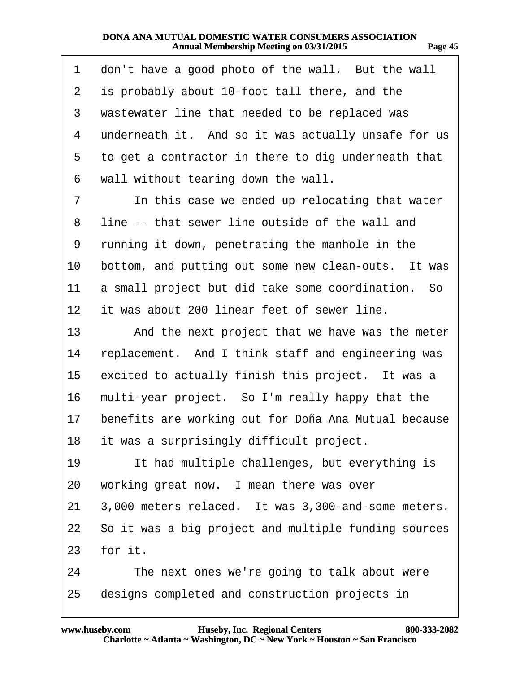|  |  | 'AOP |  |
|--|--|------|--|
|--|--|------|--|

<span id="page-44-0"></span>

| 1  | don't have a good photo of the wall. But the wall       |
|----|---------------------------------------------------------|
| 2  | is probably about 10-foot tall there, and the           |
| 3  | wastewater line that needed to be replaced was          |
| 4  | underneath it. And so it was actually unsafe for us     |
| 5  | to get a contractor in there to dig underneath that     |
| 6  | wall without tearing down the wall.                     |
| 7  | In this case we ended up relocating that water          |
| 8  | line -- that sewer line outside of the wall and         |
| 9  | running it down, penetrating the manhole in the         |
| 10 | bottom, and putting out some new clean-outs. It was     |
| 11 | a small project but did take some coordination. So      |
| 12 | it was about 200 linear feet of sewer line.             |
| 13 | And the next project that we have was the meter         |
| 14 | replacement. And I think staff and engineering was      |
| 15 | excited to actually finish this project. It was a       |
| 16 | multi-year project. So I'm really happy that the        |
| 17 | benefits are working out for Doña Ana Mutual because    |
| 18 | it was a surprisingly difficult project.                |
| 19 | It had multiple challenges, but everything is           |
| 20 | working great now. I mean there was over                |
| 21 | 3,000 meters relaced. It was 3,300-and-some meters.     |
|    | 22 So it was a big project and multiple funding sources |
|    | 23 for it.                                              |
| 24 | The next ones we're going to talk about were            |
| 25 | designs completed and construction projects in          |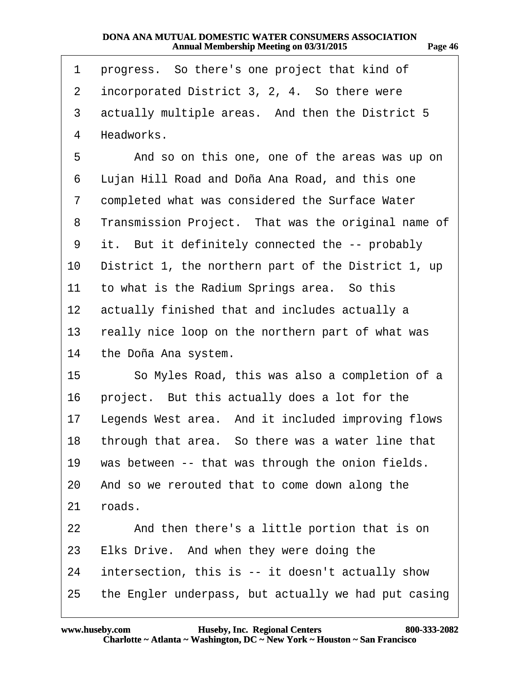<span id="page-45-0"></span>

| 1       | progress. So there's one project that kind of        |
|---------|------------------------------------------------------|
| 2       | incorporated District 3, 2, 4. So there were         |
| 3       | actually multiple areas. And then the District 5     |
| 4       | Headworks.                                           |
| 5       | And so on this one, one of the areas was up on       |
| 6       | Lujan Hill Road and Doña Ana Road, and this one      |
| 7       | completed what was considered the Surface Water      |
| 8       | Transmission Project. That was the original name of  |
| 9       | it. But it definitely connected the -- probably      |
| 10      | District 1, the northern part of the District 1, up  |
| 11      | to what is the Radium Springs area. So this          |
| $12 \,$ | actually finished that and includes actually a       |
| 13      | really nice loop on the northern part of what was    |
| 14      | the Doña Ana system.                                 |
| 15      | So Myles Road, this was also a completion of a       |
| 16      | project. But this actually does a lot for the        |
| 17      | Legends West area. And it included improving flows   |
| 18      | through that area. So there was a water line that    |
| 19      | was between -- that was through the onion fields.    |
| 20      | And so we rerouted that to come down along the       |
| 21      | roads.                                               |
| 22      | And then there's a little portion that is on         |
| 23      | Elks Drive. And when they were doing the             |
| 24      | intersection, this is -- it doesn't actually show    |
| 25      | the Engler underpass, but actually we had put casing |

**http://www.yeslaw.net/help**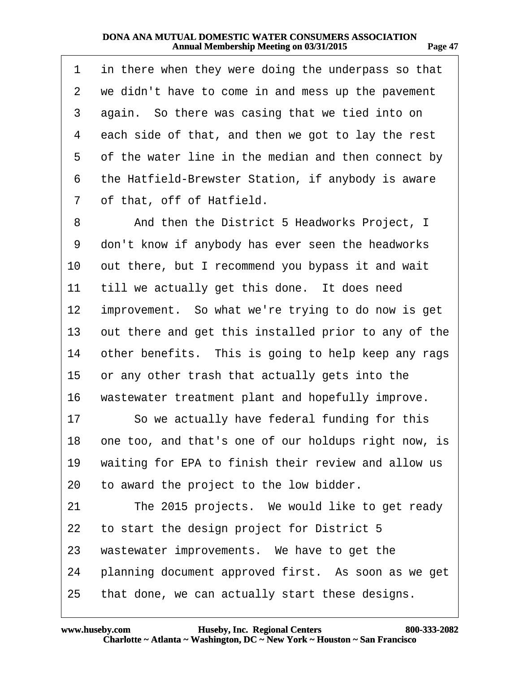<span id="page-46-0"></span>

| 1  | in there when they were doing the underpass so that     |
|----|---------------------------------------------------------|
| 2  | we didn't have to come in and mess up the pavement      |
| 3  | again. So there was casing that we tied into on         |
| 4  | each side of that, and then we got to lay the rest      |
| 5  | of the water line in the median and then connect by     |
| 6  | the Hatfield-Brewster Station, if anybody is aware      |
| 7  | of that, off of Hatfield.                               |
| 8  | And then the District 5 Headworks Project, I            |
| 9  | don't know if anybody has ever seen the headworks       |
| 10 | out there, but I recommend you bypass it and wait       |
| 11 | till we actually get this done. It does need            |
| 12 | improvement. So what we're trying to do now is get      |
| 13 | out there and get this installed prior to any of the    |
| 14 | other benefits. This is going to help keep any rags     |
| 15 | or any other trash that actually gets into the          |
| 16 | wastewater treatment plant and hopefully improve.       |
| 17 | So we actually have federal funding for this            |
|    | 18 one too, and that's one of our holdups right now, is |
| 19 | waiting for EPA to finish their review and allow us     |
| 20 | to award the project to the low bidder.                 |
| 21 | The 2015 projects. We would like to get ready           |
| 22 | to start the design project for District 5              |
| 23 | wastewater improvements. We have to get the             |
| 24 | planning document approved first. As soon as we get     |
| 25 | that done, we can actually start these designs.         |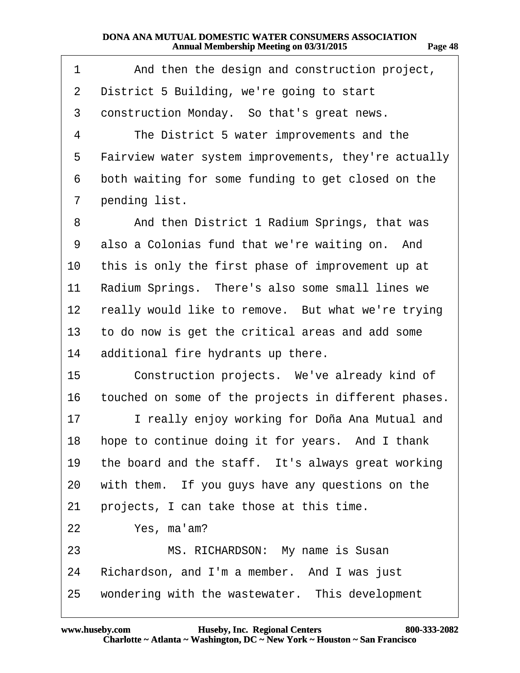| 78 F<br>o<br>. . | х |
|------------------|---|
|------------------|---|

<span id="page-47-0"></span>

| 1  | And then the design and construction project,        |
|----|------------------------------------------------------|
| 2  | District 5 Building, we're going to start            |
| 3  | construction Monday. So that's great news.           |
| 4  | The District 5 water improvements and the            |
| 5  | Fairview water system improvements, they're actually |
| 6  | both waiting for some funding to get closed on the   |
| 7  | pending list.                                        |
| 8  | And then District 1 Radium Springs, that was         |
| 9  | also a Colonias fund that we're waiting on. And      |
| 10 | this is only the first phase of improvement up at    |
| 11 | Radium Springs. There's also some small lines we     |
| 12 | really would like to remove. But what we're trying   |
| 13 | to do now is get the critical areas and add some     |
| 14 | additional fire hydrants up there.                   |
| 15 | Construction projects. We've already kind of         |
| 16 | touched on some of the projects in different phases. |
| 17 | I really enjoy working for Doña Ana Mutual and       |
| 18 | hope to continue doing it for years. And I thank     |
| 19 | the board and the staff. It's always great working   |
| 20 | with them. If you guys have any questions on the     |
| 21 | projects, I can take those at this time.             |
| 22 | Yes, ma'am?                                          |
| 23 | MS. RICHARDSON: My name is Susan                     |
| 24 | Richardson, and I'm a member. And I was just         |
| 25 | wondering with the wastewater. This development      |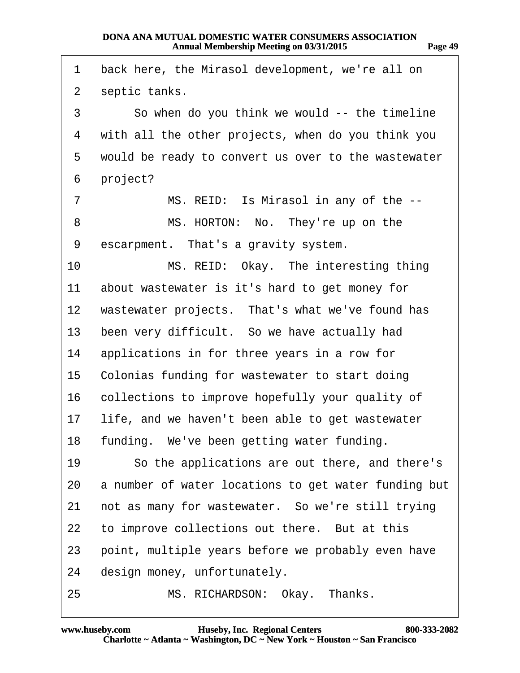<span id="page-48-0"></span>

| 1              | back here, the Mirasol development, we're all on     |
|----------------|------------------------------------------------------|
| $\overline{2}$ | septic tanks.                                        |
| 3              | So when do you think we would -- the timeline        |
| 4              | with all the other projects, when do you think you   |
| 5              | would be ready to convert us over to the wastewater  |
| 6              | project?                                             |
| $\overline{7}$ | MS. REID: Is Mirasol in any of the --                |
| 8              | MS. HORTON: No. They're up on the                    |
| 9              | escarpment. That's a gravity system.                 |
| 10             | MS. REID: Okay. The interesting thing                |
| 11             | about wastewater is it's hard to get money for       |
|                | 12 wastewater projects. That's what we've found has  |
| 13             | been very difficult. So we have actually had         |
| 14             | applications in for three years in a row for         |
|                | 15 Colonias funding for wastewater to start doing    |
| 16             | collections to improve hopefully your quality of     |
| 17             | life, and we haven't been able to get wastewater     |
|                | 18 funding. We've been getting water funding.        |
| 19             | So the applications are out there, and there's       |
| 20             | a number of water locations to get water funding but |
| 21             | not as many for wastewater. So we're still trying    |
| 22             | to improve collections out there. But at this        |
| 23             | point, multiple years before we probably even have   |
| 24             | design money, unfortunately.                         |
| 25             | MS. RICHARDSON: Okay. Thanks.                        |

**http://www.yeslaw.net/help**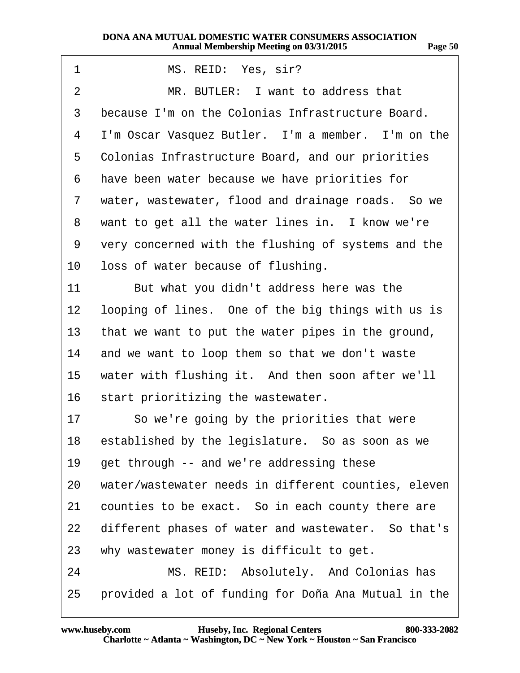<span id="page-49-0"></span>

| 1  | MS. REID: Yes, sir?                                  |
|----|------------------------------------------------------|
| 2  | MR. BUTLER: I want to address that                   |
| 3  | because I'm on the Colonias Infrastructure Board.    |
| 4  | I'm Oscar Vasquez Butler. I'm a member. I'm on the   |
| 5  | Colonias Infrastructure Board, and our priorities    |
| 6  | have been water because we have priorities for       |
| 7  | water, wastewater, flood and drainage roads. So we   |
| 8  | want to get all the water lines in. I know we're     |
| 9  | very concerned with the flushing of systems and the  |
| 10 | loss of water because of flushing.                   |
| 11 | But what you didn't address here was the             |
| 12 | looping of lines. One of the big things with us is   |
| 13 | that we want to put the water pipes in the ground,   |
| 14 | and we want to loop them so that we don't waste      |
| 15 | water with flushing it. And then soon after we'll    |
| 16 | start prioritizing the wastewater.                   |
| 17 | So we're going by the priorities that were           |
| 18 | established by the legislature. So as soon as we     |
| 19 | get through -- and we're addressing these            |
| 20 | water/wastewater needs in different counties, eleven |
| 21 | counties to be exact. So in each county there are    |
| 22 | different phases of water and wastewater. So that's  |
| 23 | why wastewater money is difficult to get.            |
| 24 | MS. REID: Absolutely. And Colonias has               |
| 25 | provided a lot of funding for Doña Ana Mutual in the |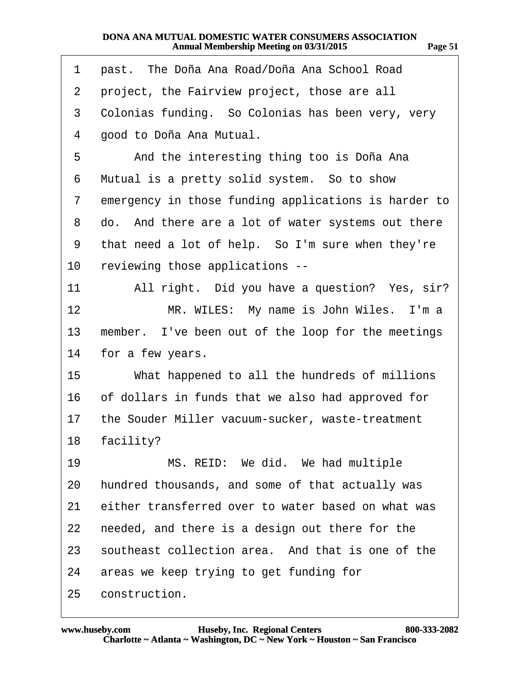|--|

**http://www.yeslaw.net/help**

<span id="page-50-0"></span>

| 1              | past. The Doña Ana Road/Doña Ana School Road         |
|----------------|------------------------------------------------------|
| $\overline{2}$ | project, the Fairview project, those are all         |
| 3              | Colonias funding. So Colonias has been very, very    |
| 4              | good to Doña Ana Mutual.                             |
| 5              | And the interesting thing too is Doña Ana            |
| 6              | Mutual is a pretty solid system. So to show          |
| 7              | emergency in those funding applications is harder to |
| 8              | do. And there are a lot of water systems out there   |
| 9              | that need a lot of help. So I'm sure when they're    |
| 10             | reviewing those applications --                      |
| 11             | All right. Did you have a question? Yes, sir?        |
| 12             | MR. WILES: My name is John Wiles. I'm a              |
| 13             | member. I've been out of the loop for the meetings   |
| 14             | for a few years.                                     |
| 15             | What happened to all the hundreds of millions        |
| 16             | of dollars in funds that we also had approved for    |
| 17             | the Souder Miller vacuum-sucker, waste-treatment     |
| 18             | facility?                                            |
| 19             | MS. REID: We did. We had multiple                    |
| 20             | hundred thousands, and some of that actually was     |
| 21             | either transferred over to water based on what was   |
| 22             | needed, and there is a design out there for the      |
| 23             | southeast collection area. And that is one of the    |
| 24             | areas we keep trying to get funding for              |
| 25             | construction.                                        |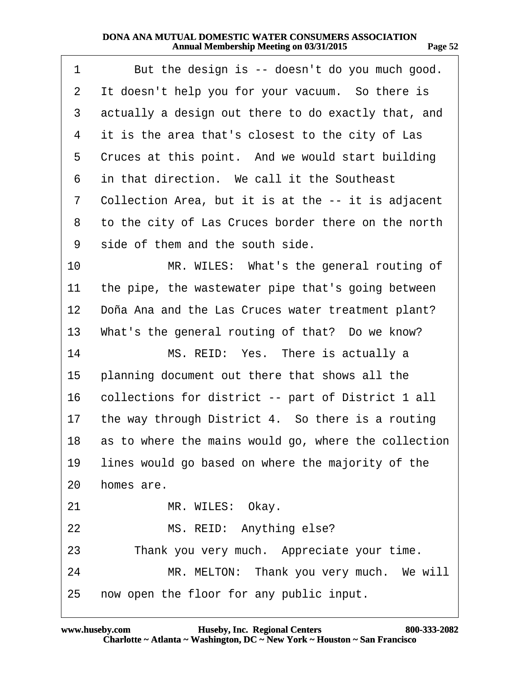<span id="page-51-0"></span>

| 1              | But the design is -- doesn't do you much good.       |
|----------------|------------------------------------------------------|
| $\overline{2}$ | It doesn't help you for your vacuum. So there is     |
| 3              | actually a design out there to do exactly that, and  |
| 4              | it is the area that's closest to the city of Las     |
| 5              | Cruces at this point. And we would start building    |
| 6              | in that direction. We call it the Southeast          |
| 7              | Collection Area, but it is at the -- it is adjacent  |
| 8              | to the city of Las Cruces border there on the north  |
| 9              | side of them and the south side.                     |
| 10             | MR. WILES: What's the general routing of             |
| 11             | the pipe, the wastewater pipe that's going between   |
| $12 \,$        | Doña Ana and the Las Cruces water treatment plant?   |
| 13             | What's the general routing of that? Do we know?      |
| 14             | MS. REID: Yes. There is actually a                   |
| 15             | planning document out there that shows all the       |
| 16             | collections for district -- part of District 1 all   |
| 17             | the way through District 4. So there is a routing    |
| 18             | as to where the mains would go, where the collection |
| 19             | lines would go based on where the majority of the    |
| 20             | homes are.                                           |
| 21             | MR. WILES: Okay.                                     |
| 22             | MS. REID: Anything else?                             |
| 23             | Thank you very much. Appreciate your time.           |
| 24             | MR. MELTON: Thank you very much. We will             |
| 25             | now open the floor for any public input.             |

**http://www.yeslaw.net/help**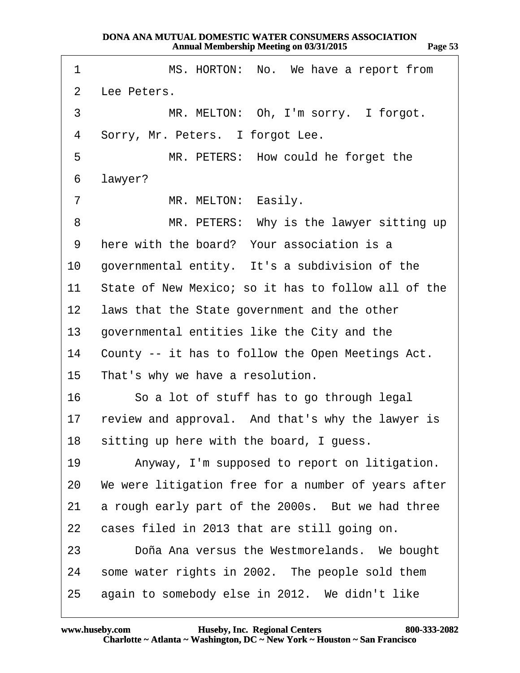<span id="page-52-0"></span>

| 1               | MS. HORTON: No. We have a report from                |
|-----------------|------------------------------------------------------|
| $\overline{2}$  | Lee Peters.                                          |
| 3               | MR. MELTON: Oh, I'm sorry. I forgot.                 |
| 4               | Sorry, Mr. Peters. I forgot Lee.                     |
| 5               | MR. PETERS: How could he forget the                  |
| 6               | lawyer?                                              |
| $\overline{7}$  | MR. MELTON: Easily.                                  |
| 8               | MR. PETERS: Why is the lawyer sitting up             |
| 9               | here with the board? Your association is a           |
| 10              | governmental entity. It's a subdivision of the       |
| 11              | State of New Mexico; so it has to follow all of the  |
| 12 <sup>1</sup> | laws that the State government and the other         |
| 13              | governmental entities like the City and the          |
| 14              | County -- it has to follow the Open Meetings Act.    |
| 15              | That's why we have a resolution.                     |
| 16              | So a lot of stuff has to go through legal            |
|                 | 17 review and approval. And that's why the lawyer is |
|                 | 18 sitting up here with the board, I guess.          |
| 19              | Anyway, I'm supposed to report on litigation.        |
| 20              | We were litigation free for a number of years after  |
| 21              | a rough early part of the 2000s. But we had three    |
| 22              | cases filed in 2013 that are still going on.         |
| 23              | Doña Ana versus the Westmorelands. We bought         |
| 24              | some water rights in 2002. The people sold them      |
| 25              | again to somebody else in 2012. We didn't like       |

**http://www.yeslaw.net/help**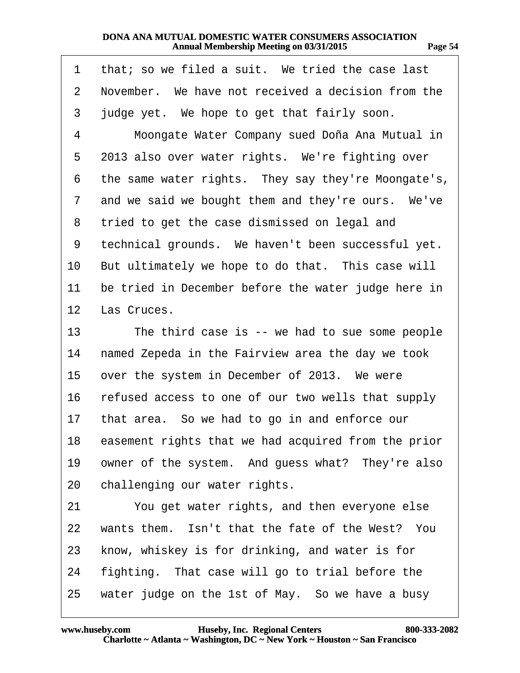<span id="page-53-0"></span>

| 1              | that; so we filed a suit. We tried the case last    |
|----------------|-----------------------------------------------------|
| $\overline{2}$ | November. We have not received a decision from the  |
| 3              | judge yet. We hope to get that fairly soon.         |
| 4              | Moongate Water Company sued Doña Ana Mutual in      |
| 5              | 2013 also over water rights. We're fighting over    |
| 6              | the same water rights. They say they're Moongate's, |
| $\overline{7}$ | and we said we bought them and they're ours. We've  |
| 8              | tried to get the case dismissed on legal and        |
| 9              | technical grounds. We haven't been successful yet.  |
| 10             | But ultimately we hope to do that. This case will   |
| 11             | be tried in December before the water judge here in |
|                | 12 Las Cruces.                                      |
| 13             | The third case is -- we had to sue some people      |
| 14             | named Zepeda in the Fairview area the day we took   |
| 15             | over the system in December of 2013. We were        |
| 16             | refused access to one of our two wells that supply  |
| 17             | that area. So we had to go in and enforce our       |
| 18             | easement rights that we had acquired from the prior |
| 19             | owner of the system. And guess what? They're also   |
| 20             | challenging our water rights.                       |
| 21             | You get water rights, and then everyone else        |
| 22             | wants them. Isn't that the fate of the West? You    |
| 23             | know, whiskey is for drinking, and water is for     |
| 24             | fighting. That case will go to trial before the     |
| 25             | water judge on the 1st of May. So we have a busy    |

**http://www.yeslaw.net/help**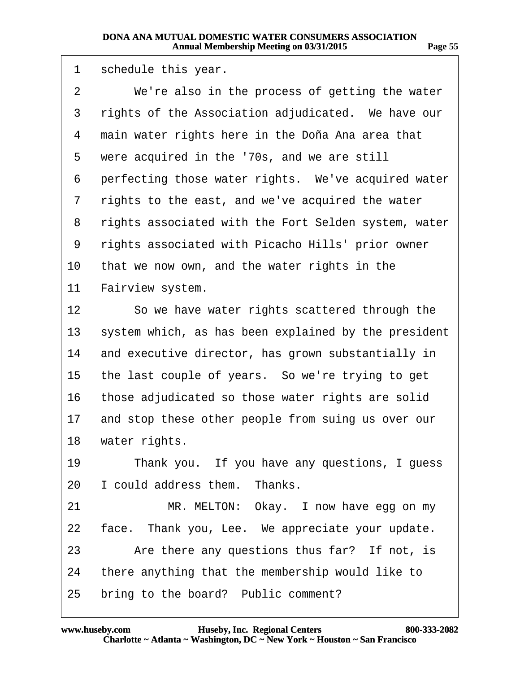<span id="page-54-0"></span>

| 1  | schedule this year.                                  |
|----|------------------------------------------------------|
| 2  | We're also in the process of getting the water       |
| 3  | rights of the Association adjudicated. We have our   |
| 4  | main water rights here in the Doña Ana area that     |
| 5  | were acquired in the '70s, and we are still          |
| 6  | perfecting those water rights. We've acquired water  |
| 7  | rights to the east, and we've acquired the water     |
| 8  | rights associated with the Fort Selden system, water |
| 9  | rights associated with Picacho Hills' prior owner    |
| 10 | that we now own, and the water rights in the         |
| 11 | Fairview system.                                     |
| 12 | So we have water rights scattered through the        |
| 13 | system which, as has been explained by the president |
| 14 | and executive director, has grown substantially in   |
| 15 | the last couple of years. So we're trying to get     |
| 16 | those adjudicated so those water rights are solid    |
| 17 | and stop these other people from suing us over our   |
| 18 | water rights.                                        |
| 19 | Thank you. If you have any questions, I guess        |
| 20 | I could address them. Thanks.                        |
| 21 | MR. MELTON: Okay. I now have egg on my               |
| 22 | face. Thank you, Lee. We appreciate your update.     |
| 23 | Are there any questions thus far? If not, is         |
| 24 | there anything that the membership would like to     |
| 25 | bring to the board? Public comment?                  |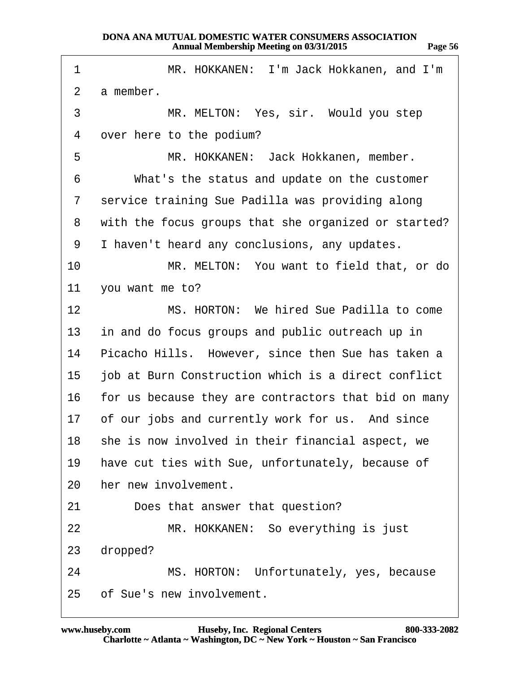<span id="page-55-0"></span>

| 1               | MR. HOKKANEN: I'm Jack Hokkanen, and I'm             |
|-----------------|------------------------------------------------------|
| $\overline{2}$  | a member.                                            |
| 3               | MR. MELTON: Yes, sir. Would you step                 |
| 4               | over here to the podium?                             |
| 5               | MR. HOKKANEN: Jack Hokkanen, member.                 |
| 6               | What's the status and update on the customer         |
| 7               | service training Sue Padilla was providing along     |
| 8               | with the focus groups that she organized or started? |
| 9               | I haven't heard any conclusions, any updates.        |
| 10              | MR. MELTON: You want to field that, or do            |
| 11              | you want me to?                                      |
| 12              | MS. HORTON: We hired Sue Padilla to come             |
| 13 <sup>1</sup> | in and do focus groups and public outreach up in     |
| 14              | Picacho Hills. However, since then Sue has taken a   |
| 15              | job at Burn Construction which is a direct conflict  |
| 16              | for us because they are contractors that bid on many |
|                 | 17 of our jobs and currently work for us. And since  |
| 18              | she is now involved in their financial aspect, we    |
| 19              | have cut ties with Sue, unfortunately, because of    |
| 20              | her new involvement.                                 |
| 21              | Does that answer that question?                      |
| 22              | MR. HOKKANEN: So everything is just                  |
| 23              | dropped?                                             |
| 24              | MS. HORTON: Unfortunately, yes, because              |
|                 | 25 of Sue's new involvement.                         |

**http://www.yeslaw.net/help**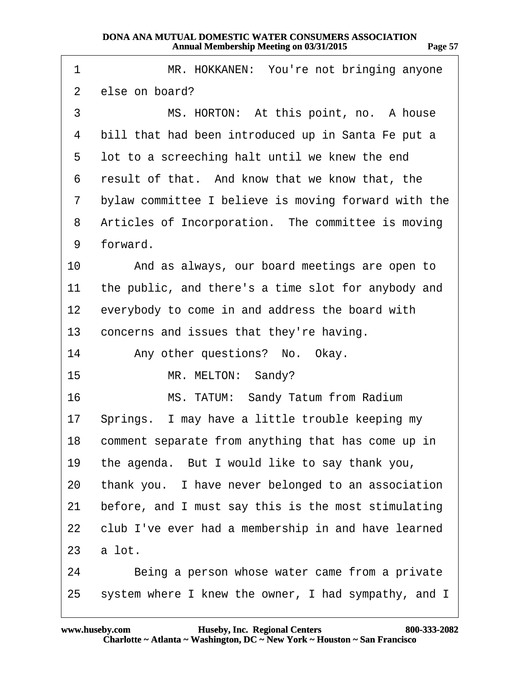<span id="page-56-0"></span>

| 1              | MR. HOKKANEN: You're not bringing anyone              |
|----------------|-------------------------------------------------------|
| $\overline{2}$ | else on board?                                        |
| 3              | MS. HORTON: At this point, no. A house                |
| 4              | bill that had been introduced up in Santa Fe put a    |
| 5              | lot to a screeching halt until we knew the end        |
| 6              | result of that. And know that we know that, the       |
| 7              | bylaw committee I believe is moving forward with the  |
| 8              | Articles of Incorporation. The committee is moving    |
| 9              | forward.                                              |
| 10             | And as always, our board meetings are open to         |
| 11             | the public, and there's a time slot for anybody and   |
| 12             | everybody to come in and address the board with       |
| 13             | concerns and issues that they're having.              |
| 14             | Any other questions? No. Okay.                        |
| 15             | MR. MELTON: Sandy?                                    |
| 16             | MS. TATUM: Sandy Tatum from Radium                    |
| 17             | Springs. I may have a little trouble keeping my       |
|                | 18 comment separate from anything that has come up in |
| 19             | the agenda. But I would like to say thank you,        |
| 20             | thank you. I have never belonged to an association    |
| 21             | before, and I must say this is the most stimulating   |
| 22             | club I've ever had a membership in and have learned   |
| 23             | a lot.                                                |
| 24             | Being a person whose water came from a private        |
| 25             | system where I knew the owner, I had sympathy, and I  |

**http://www.yeslaw.net/help**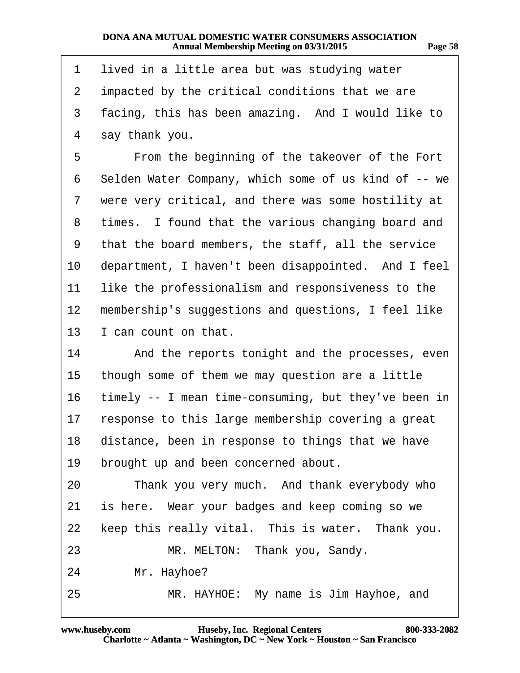**http://www.yeslaw.net/help**

<span id="page-57-0"></span>

| 1  | lived in a little area but was studying water        |
|----|------------------------------------------------------|
| 2  | impacted by the critical conditions that we are      |
| 3  | facing, this has been amazing. And I would like to   |
| 4  | say thank you.                                       |
| 5  | From the beginning of the takeover of the Fort       |
| 6  | Selden Water Company, which some of us kind of -- we |
| 7  | were very critical, and there was some hostility at  |
| 8  | times. I found that the various changing board and   |
| 9  | that the board members, the staff, all the service   |
| 10 | department, I haven't been disappointed. And I feel  |
| 11 | like the professionalism and responsiveness to the   |
| 12 | membership's suggestions and questions, I feel like  |
| 13 | I can count on that.                                 |
| 14 | And the reports tonight and the processes, even      |
| 15 | though some of them we may question are a little     |
| 16 | timely -- I mean time-consuming, but they've been in |
| 17 | response to this large membership covering a great   |
| 18 | distance, been in response to things that we have    |
| 19 | brought up and been concerned about.                 |
| 20 | Thank you very much. And thank everybody who         |
| 21 | is here. Wear your badges and keep coming so we      |
| 22 | keep this really vital. This is water. Thank you.    |
| 23 | MR. MELTON: Thank you, Sandy.                        |
| 24 | Mr. Hayhoe?                                          |
| 25 | MR. HAYHOE: My name is Jim Hayhoe, and               |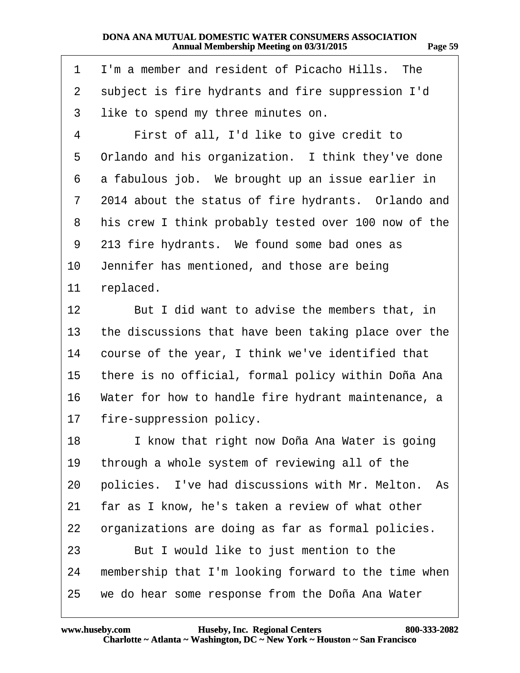**http://www.yeslaw.net/help**

<span id="page-58-0"></span>

| 1  | I'm a member and resident of Picacho Hills. The      |
|----|------------------------------------------------------|
| 2  | subject is fire hydrants and fire suppression I'd    |
| 3  | like to spend my three minutes on.                   |
| 4  | First of all, I'd like to give credit to             |
| 5  | Orlando and his organization. I think they've done   |
| 6  | a fabulous job. We brought up an issue earlier in    |
| 7  | 2014 about the status of fire hydrants. Orlando and  |
| 8  | his crew I think probably tested over 100 now of the |
| 9  | 213 fire hydrants. We found some bad ones as         |
| 10 | Jennifer has mentioned, and those are being          |
| 11 | replaced.                                            |
| 12 | But I did want to advise the members that, in        |
| 13 | the discussions that have been taking place over the |
| 14 | course of the year, I think we've identified that    |
| 15 | there is no official, formal policy within Doña Ana  |
| 16 | Water for how to handle fire hydrant maintenance, a  |
| 17 | fire-suppression policy.                             |
| 18 | I know that right now Doña Ana Water is going        |
| 19 | through a whole system of reviewing all of the       |
| 20 | policies. I've had discussions with Mr. Melton. As   |
| 21 | far as I know, he's taken a review of what other     |
| 22 | organizations are doing as far as formal policies.   |
| 23 | But I would like to just mention to the              |
| 24 | membership that I'm looking forward to the time when |
| 25 | we do hear some response from the Doña Ana Water     |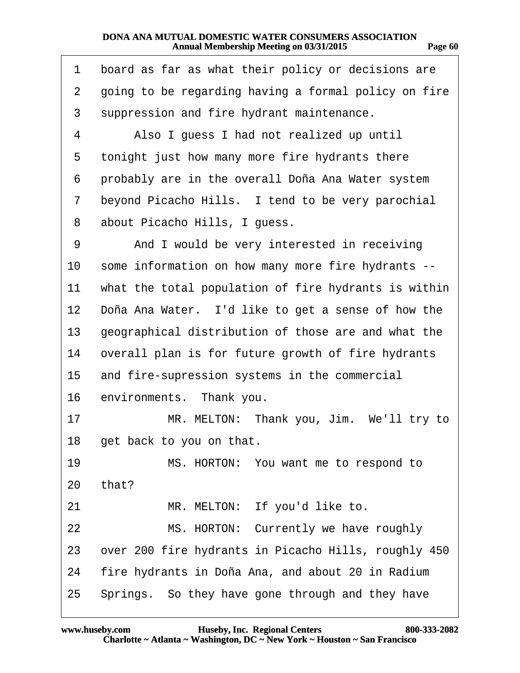<span id="page-59-0"></span>

| 1              | board as far as what their policy or decisions are   |
|----------------|------------------------------------------------------|
| $\overline{2}$ | going to be regarding having a formal policy on fire |
| 3              | suppression and fire hydrant maintenance.            |
| 4              | Also I guess I had not realized up until             |
| 5              | tonight just how many more fire hydrants there       |
| 6              | probably are in the overall Doña Ana Water system    |
| 7              | beyond Picacho Hills. I tend to be very parochial    |
| 8              | about Picacho Hills, I guess.                        |
| 9              | And I would be very interested in receiving          |
| 10             | some information on how many more fire hydrants --   |
| 11             | what the total population of fire hydrants is within |
| 12             | Doña Ana Water. I'd like to get a sense of how the   |
| 13             | geographical distribution of those are and what the  |
| 14             | overall plan is for future growth of fire hydrants   |
| 15             | and fire-supression systems in the commercial        |
| 16             | environments. Thank you.                             |
| 17             | MR. MELTON: Thank you, Jim. We'll try to             |
| 18             | get back to you on that.                             |
| 19             | MS. HORTON: You want me to respond to                |
| 20             | that?                                                |
| 21             | MR. MELTON: If you'd like to.                        |
| 22             | MS. HORTON: Currently we have roughly                |
| 23             | over 200 fire hydrants in Picacho Hills, roughly 450 |
| 24             | fire hydrants in Doña Ana, and about 20 in Radium    |
| 25             | Springs. So they have gone through and they have     |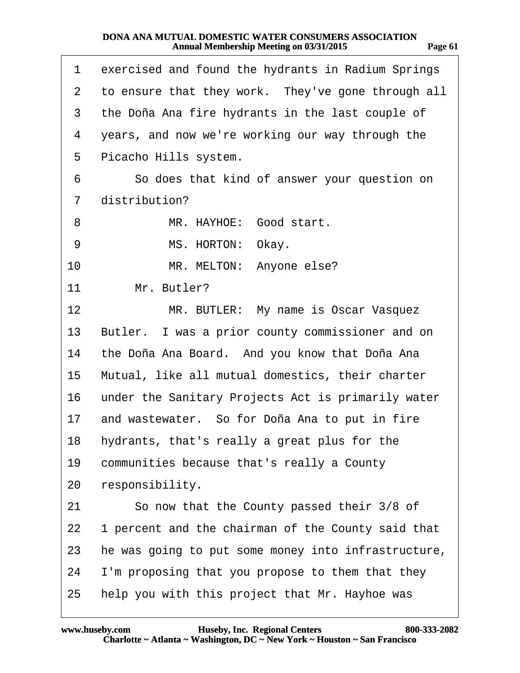<span id="page-60-0"></span>

| 1               | exercised and found the hydrants in Radium Springs  |
|-----------------|-----------------------------------------------------|
| 2               | to ensure that they work. They've gone through all  |
| 3               | the Doña Ana fire hydrants in the last couple of    |
| 4               | years, and now we're working our way through the    |
| 5               | Picacho Hills system.                               |
| 6               | So does that kind of answer your question on        |
| 7               | distribution?                                       |
| 8               | MR. HAYHOE: Good start.                             |
| 9               | MS. HORTON: Okay.                                   |
| 10              | MR. MELTON: Anyone else?                            |
| 11              | Mr. Butler?                                         |
| 12 <sub>2</sub> | MR. BUTLER: My name is Oscar Vasquez                |
| 13              | Butler. I was a prior county commissioner and on    |
| 14              | the Doña Ana Board. And you know that Doña Ana      |
| 15              | Mutual, like all mutual domestics, their charter    |
| 16              | under the Sanitary Projects Act is primarily water  |
| 17              | and wastewater. So for Doña Ana to put in fire      |
| 18              | hydrants, that's really a great plus for the        |
| 19              | communities because that's really a County          |
| 20              | responsibility.                                     |
| 21              | So now that the County passed their 3/8 of          |
| 22              | 1 percent and the chairman of the County said that  |
| 23              | he was going to put some money into infrastructure, |
| 24              | I'm proposing that you propose to them that they    |
| 25              | help you with this project that Mr. Hayhoe was      |

**http://www.yeslaw.net/help**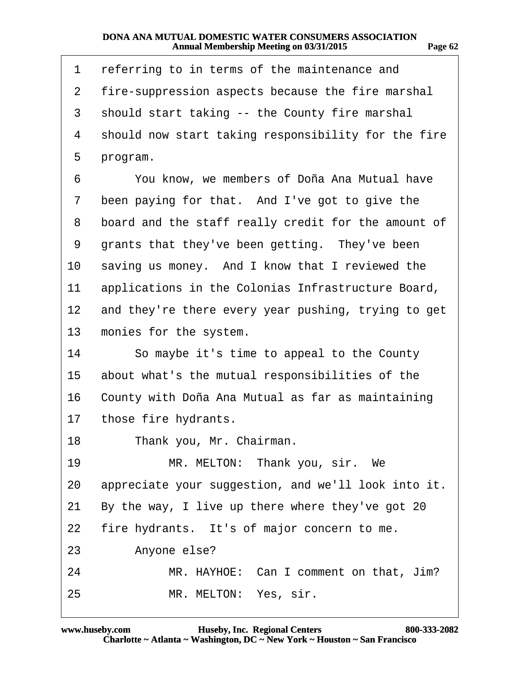<span id="page-61-0"></span>

| 1              | referring to in terms of the maintenance and        |
|----------------|-----------------------------------------------------|
| $\overline{2}$ | fire-suppression aspects because the fire marshal   |
| 3              | should start taking -- the County fire marshal      |
| 4              | should now start taking responsibility for the fire |
| 5              | program.                                            |
| 6              | You know, we members of Doña Ana Mutual have        |
| 7              | been paying for that. And I've got to give the      |
| 8              | board and the staff really credit for the amount of |
| 9              | grants that they've been getting. They've been      |
| 10             | saving us money. And I know that I reviewed the     |
| 11             | applications in the Colonias Infrastructure Board,  |
| 12             | and they're there every year pushing, trying to get |
| 13             | monies for the system.                              |
| 14             | So maybe it's time to appeal to the County          |
| 15             | about what's the mutual responsibilities of the     |
| 16             | County with Doña Ana Mutual as far as maintaining   |
| 17             | those fire hydrants.                                |
| 18             | Thank you, Mr. Chairman.                            |
| 19             | MR. MELTON: Thank you, sir. We                      |
| 20             | appreciate your suggestion, and we'll look into it. |
| 21             | By the way, I live up there where they've got 20    |
| 22             | fire hydrants. It's of major concern to me.         |
| 23             | Anyone else?                                        |
| 24             | MR. HAYHOE: Can I comment on that, Jim?             |
| 25             | MR. MELTON: Yes, sir.                               |

**http://www.yeslaw.net/help**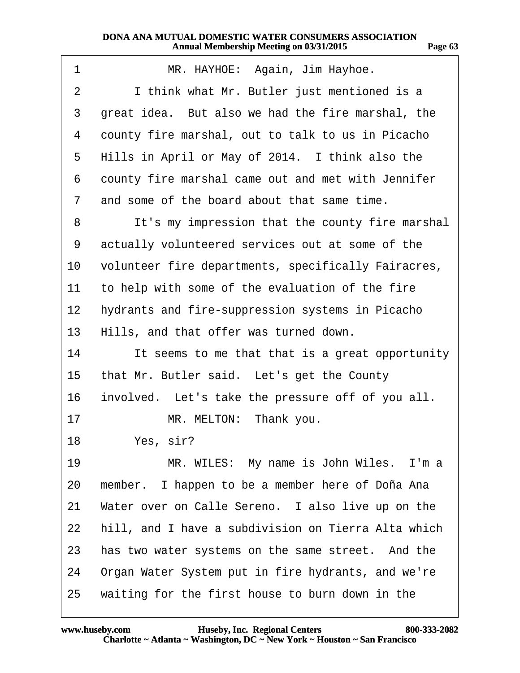<span id="page-62-0"></span>

| 1               | MR. HAYHOE: Again, Jim Hayhoe.                      |
|-----------------|-----------------------------------------------------|
| 2               | I think what Mr. Butler just mentioned is a         |
| 3               | great idea. But also we had the fire marshal, the   |
| 4               | county fire marshal, out to talk to us in Picacho   |
| 5               | Hills in April or May of 2014. I think also the     |
| 6               | county fire marshal came out and met with Jennifer  |
| 7               | and some of the board about that same time.         |
| 8               | It's my impression that the county fire marshal     |
| 9               | actually volunteered services out at some of the    |
| 10              | volunteer fire departments, specifically Fairacres, |
| 11              | to help with some of the evaluation of the fire     |
| 12 <sub>2</sub> | hydrants and fire-suppression systems in Picacho    |
| 13              | Hills, and that offer was turned down.              |
| 14              | It seems to me that that is a great opportunity     |
| 15              | that Mr. Butler said. Let's get the County          |
| 16              | involved. Let's take the pressure off of you all.   |
| 17              | MR. MELTON: Thank you.                              |
| 18              | Yes, sir?                                           |
| 19              | MR. WILES: My name is John Wiles. I'm a             |
| 20              | member. I happen to be a member here of Doña Ana    |
| 21              | Water over on Calle Sereno. I also live up on the   |
| 22              | hill, and I have a subdivision on Tierra Alta which |
| 23              | has two water systems on the same street. And the   |
| 24              | Organ Water System put in fire hydrants, and we're  |
| 25              | waiting for the first house to burn down in the     |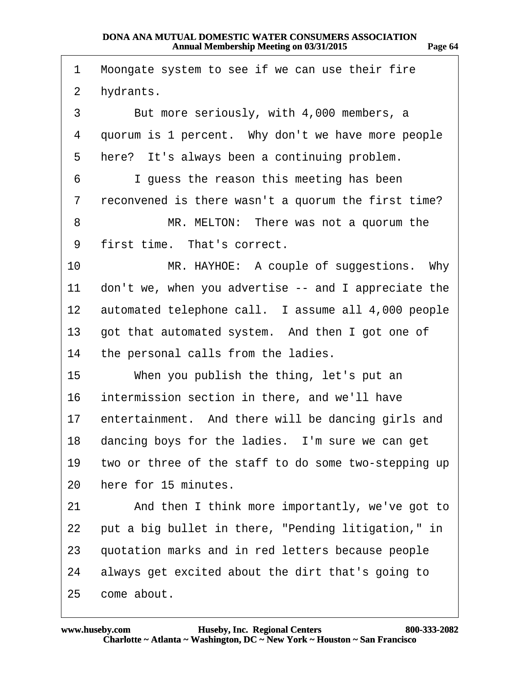<span id="page-63-0"></span>

| 1  | Moongate system to see if we can use their fire        |
|----|--------------------------------------------------------|
| 2  | hydrants.                                              |
| 3  | But more seriously, with 4,000 members, a              |
| 4  | quorum is 1 percent. Why don't we have more people     |
| 5  | here? It's always been a continuing problem.           |
| 6  | I guess the reason this meeting has been               |
| 7  | reconvened is there wasn't a quorum the first time?    |
| 8  | MR. MELTON: There was not a quorum the                 |
| 9  | first time. That's correct.                            |
| 10 | MR. HAYHOE: A couple of suggestions. Why               |
| 11 | don't we, when you advertise -- and I appreciate the   |
|    | 12 automated telephone call. I assume all 4,000 people |
| 13 | got that automated system. And then I got one of       |
| 14 | the personal calls from the ladies.                    |
| 15 | When you publish the thing, let's put an               |
| 16 | intermission section in there, and we'll have          |
| 17 | entertainment. And there will be dancing girls and     |
|    | 18 dancing boys for the ladies. I'm sure we can get    |
| 19 | two or three of the staff to do some two-stepping up   |
| 20 | here for 15 minutes.                                   |
| 21 | And then I think more importantly, we've got to        |
| 22 | put a big bullet in there, "Pending litigation," in    |
| 23 | quotation marks and in red letters because people      |
| 24 | always get excited about the dirt that's going to      |
| 25 | come about.                                            |

**http://www.yeslaw.net/help**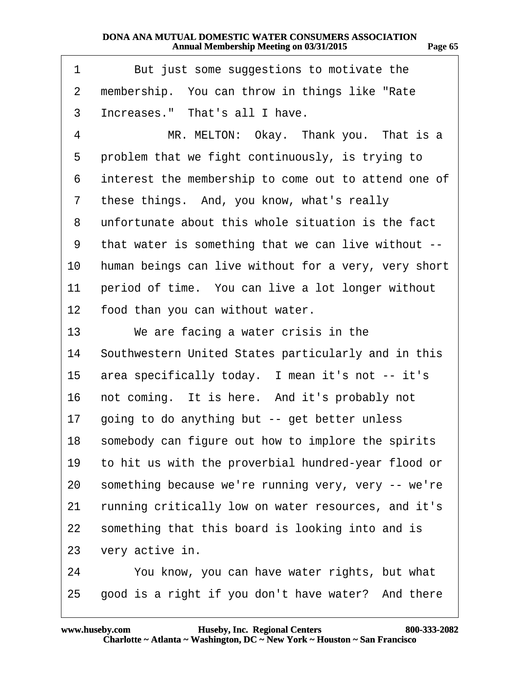<span id="page-64-0"></span>

| 1  | But just some suggestions to motivate the            |
|----|------------------------------------------------------|
| 2  | membership. You can throw in things like "Rate"      |
| 3  | Increases." That's all I have.                       |
| 4  | MR. MELTON: Okay. Thank you. That is a               |
| 5  | problem that we fight continuously, is trying to     |
| 6  | interest the membership to come out to attend one of |
| 7  | these things. And, you know, what's really           |
| 8  | unfortunate about this whole situation is the fact   |
| 9  | that water is something that we can live without --  |
| 10 | human beings can live without for a very, very short |
| 11 | period of time. You can live a lot longer without    |
| 12 | food than you can without water.                     |
| 13 | We are facing a water crisis in the                  |
| 14 | Southwestern United States particularly and in this  |
| 15 | area specifically today. I mean it's not -- it's     |
| 16 | not coming. It is here. And it's probably not        |
| 17 | going to do anything but -- get better unless        |
| 18 | somebody can figure out how to implore the spirits   |
| 19 | to hit us with the proverbial hundred-year flood or  |
| 20 | something because we're running very, very -- we're  |
| 21 | running critically low on water resources, and it's  |
| 22 | something that this board is looking into and is     |
| 23 | very active in.                                      |
| 24 | You know, you can have water rights, but what        |
| 25 | good is a right if you don't have water? And there   |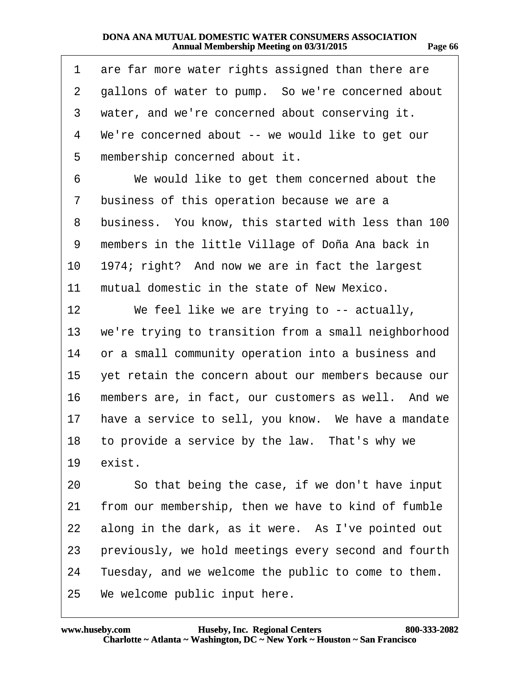<span id="page-65-0"></span>

| 1  | are far more water rights assigned than there are    |
|----|------------------------------------------------------|
| 2  | gallons of water to pump. So we're concerned about   |
| 3  | water, and we're concerned about conserving it.      |
| 4  | We're concerned about -- we would like to get our    |
| 5  | membership concerned about it.                       |
| 6  | We would like to get them concerned about the        |
| 7  | business of this operation because we are a          |
| 8  | business. You know, this started with less than 100  |
| 9  | members in the little Village of Doña Ana back in    |
| 10 | 1974; right? And now we are in fact the largest      |
| 11 | mutual domestic in the state of New Mexico.          |
| 12 | We feel like we are trying to -- actually,           |
| 13 | we're trying to transition from a small neighborhood |
| 14 | or a small community operation into a business and   |
| 15 | yet retain the concern about our members because our |
| 16 | members are, in fact, our customers as well. And we  |
| 17 | have a service to sell, you know. We have a mandate  |
|    | 18 to provide a service by the law. That's why we    |
| 19 | exist.                                               |
| 20 | So that being the case, if we don't have input       |
| 21 | from our membership, then we have to kind of fumble  |
| 22 | along in the dark, as it were. As I've pointed out   |
| 23 | previously, we hold meetings every second and fourth |
| 24 | Tuesday, and we welcome the public to come to them.  |
|    | 25 We welcome public input here.                     |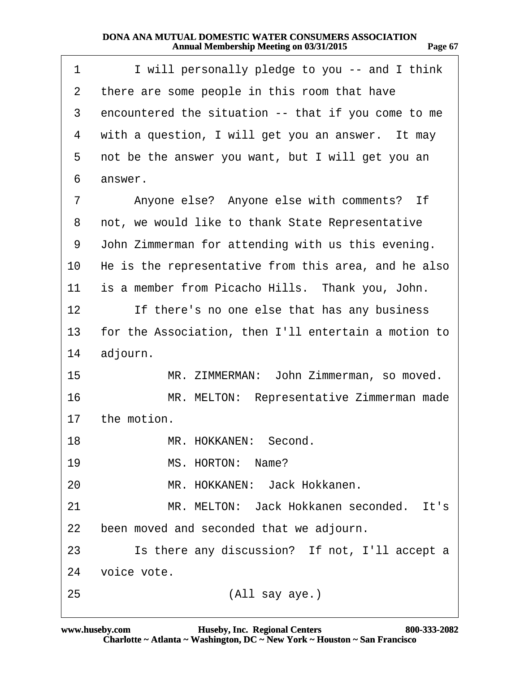<span id="page-66-0"></span>

| 1  | I will personally pledge to you -- and I think       |
|----|------------------------------------------------------|
| 2  | there are some people in this room that have         |
| 3  | encountered the situation -- that if you come to me  |
| 4  | with a question, I will get you an answer. It may    |
| 5  | not be the answer you want, but I will get you an    |
| 6  | answer.                                              |
| 7  | Anyone else? Anyone else with comments? If           |
| 8  | not, we would like to thank State Representative     |
| 9  | John Zimmerman for attending with us this evening.   |
| 10 | He is the representative from this area, and he also |
| 11 | is a member from Picacho Hills. Thank you, John.     |
| 12 | If there's no one else that has any business         |
| 13 | for the Association, then I'll entertain a motion to |
| 14 | adjourn.                                             |
| 15 | MR. ZIMMERMAN: John Zimmerman, so moved.             |
| 16 | MR. MELTON: Representative Zimmerman made            |
| 17 | the motion.                                          |
| 18 | MR. HOKKANEN: Second.                                |
| 19 | MS. HORTON: Name?                                    |
| 20 | MR. HOKKANEN: Jack Hokkanen.                         |
| 21 | MR. MELTON: Jack Hokkanen seconded. It's             |
| 22 | been moved and seconded that we adjourn.             |
|    |                                                      |
| 23 | Is there any discussion? If not, I'll accept a       |
| 24 | voice vote.                                          |

**http://www.yeslaw.net/help**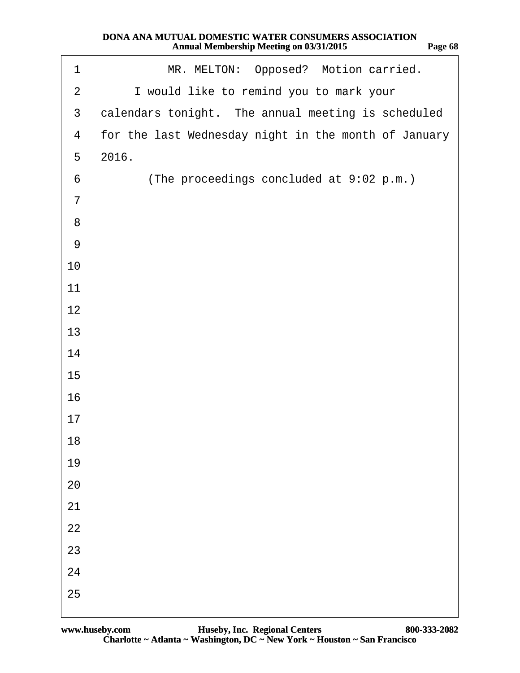| .op<br>. . | . .<br>ĸ<br>m |
|------------|---------------|
|            |               |

**http://www.yeslaw.net/help**

<span id="page-67-0"></span>

| 1               | MR. MELTON: Opposed? Motion carried.                 |
|-----------------|------------------------------------------------------|
| $\overline{2}$  | I would like to remind you to mark your              |
| $\mathfrak{B}$  | calendars tonight. The annual meeting is scheduled   |
| $\overline{4}$  | for the last Wednesday night in the month of January |
| 5               | 2016.                                                |
| $6\phantom{1}6$ | (The proceedings concluded at 9:02 p.m.)             |
| $\overline{7}$  |                                                      |
| 8               |                                                      |
| $9$             |                                                      |
| 10              |                                                      |
| 11              |                                                      |
| 12              |                                                      |
| 13              |                                                      |
| 14              |                                                      |
| 15              |                                                      |
| 16              |                                                      |
| 17              |                                                      |
| 18              |                                                      |
| 19              |                                                      |
| 20              |                                                      |
| 21              |                                                      |
| 22              |                                                      |
| 23              |                                                      |
| 24              |                                                      |
| 25              |                                                      |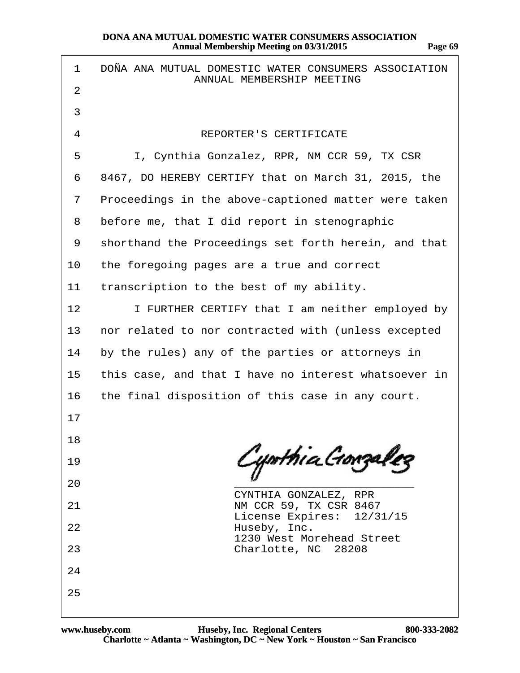| 1  | DOÑA ANA MUTUAL DOMESTIC WATER CONSUMERS ASSOCIATION<br>ANNUAL MEMBERSHIP MEETING |
|----|-----------------------------------------------------------------------------------|
| 2  |                                                                                   |
| 3  |                                                                                   |
| 4  | <b>REPORTER'S CERTIFICATE</b>                                                     |
| 5  | I, Cynthia Gonzalez, RPR, NM CCR 59, TX CSR                                       |
| 6  | 8467, DO HEREBY CERTIFY that on March 31, 2015, the                               |
| 7  | Proceedings in the above-captioned matter were taken                              |
| 8  | before me, that I did report in stenographic                                      |
| 9  | shorthand the Proceedings set forth herein, and that                              |
| 10 | the foregoing pages are a true and correct                                        |
| 11 | transcription to the best of my ability.                                          |
| 12 | I FURTHER CERTIFY that I am neither employed by                                   |
| 13 | nor related to nor contracted with (unless excepted                               |
| 14 | by the rules) any of the parties or attorneys in                                  |
| 15 | this case, and that I have no interest whatsoever in                              |
| 16 | the final disposition of this case in any court.                                  |
| 17 |                                                                                   |
| 18 |                                                                                   |
| 19 |                                                                                   |
| 20 | CYNTHIA GONZALEZ, RPR                                                             |
| 21 | NM CCR 59, TX CSR 8467<br>License Expires: 12/31/15                               |
| 22 | Huseby, Inc.<br>1230 West Morehead Street                                         |
| 23 | Charlotte, NC 28208                                                               |
| 24 |                                                                                   |
| 25 |                                                                                   |
|    |                                                                                   |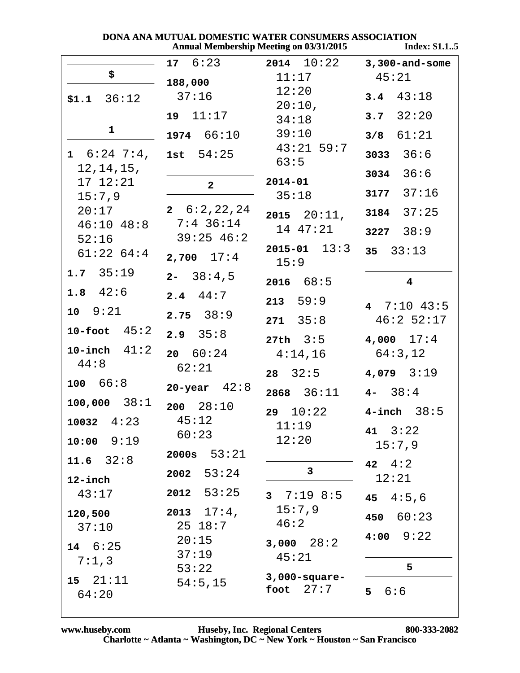| DONA ANA MUTUAL DOMESTIC WATER CONSUMERS ASSOCIATION |  |                                                |      |
|------------------------------------------------------|--|------------------------------------------------|------|
|                                                      |  | <b>Annual Membership Meeting on 03/31/2015</b> | Inde |

| ndex: \$1.15 |  |  |
|--------------|--|--|
|              |  |  |

|                                         | $17 \quad 6:23$                | $2014$ $10:22$             | $3,300$ -and-some       |
|-----------------------------------------|--------------------------------|----------------------------|-------------------------|
| \$                                      | 188,000                        | 11:17                      | 45:21                   |
| $$1.1$ $36:12$                          | 37:16                          | 12:20<br>$20:10$ ,         | 3.4 $43:18$             |
|                                         | 19 11:17                       | 34:18                      | $3.7 \quad 32:20$       |
| $\mathbf{1}$                            | 1974 66:10                     | 39:10                      | $3/8$ $61:21$           |
| $1\quad 6:24\quad 7:4$ ,<br>12, 14, 15, | 1st $54:25$                    | $43:21$ 59:7<br>63:5       | $3033 \quad 36:6$       |
| 17 12:21                                | $\overline{2}$                 | $2014 - 01$                | $3034$ $36:6$           |
| 15:7,9                                  |                                | 35:18                      | 3177 $37:16$            |
|                                         | $20:17$ <b>2</b> 6:2, 22, 24   | $2015$ $20:11$ ,           | 3184 $37:25$            |
| $46:10$ $48:8$<br>52:16                 | $7:4$ 36:14<br>$39:25$ 46:2    | 14 47:21                   | $3227 \quad 38:9$       |
| 61:2264:4                               | $2,700$ $17:4$                 | $2015 - 01$ $13:3$<br>15:9 | $35 \quad 33:13$        |
| $1.7 \quad 35:19$                       | $2 - 38:4,5$                   | 2016 68:5                  | $\overline{\mathbf{4}}$ |
| 1.8 $42:6$                              | $2.4$ 44:7                     | 213 59:9                   | 4 $7:10$ 43:5           |
| $10 \t 9:21$                            | $2.75$ $38:9$                  | $271 \quad 35:8$           | 46:252:17               |
| 10-foot $45:2$                          | $2.9$ $35:8$                   | $27th$ $3:5$               | $4,000$ $17:4$          |
| 10-inch $41:2$                          | 20 60:24                       | 4:14,16                    | 64:3,12                 |
| 44:8                                    | 62:21                          | $28 \quad 32:5$            | $4,079$ $3:19$          |
| 100 66:8                                | 20-year $42:8$                 | 2868 $36:11$ 4- 38:4       |                         |
| $100,000$ $38:1$                        | $200 \quad 28:10$              | 29 $10:22$ 4-inch $38:5$   |                         |
| $10032 \quad 4:23$                      | 45:12<br>60:23                 | 11:19                      | $41 \quad 3:22$         |
| $10:00$ $9:19$                          |                                | 12:20                      | 15:7,9                  |
| $11.6$ $32:8$                           | 53:21<br>2000s                 | 3                          | 42 $4:2$                |
| $12$ -inch                              | 53:24<br>2002                  |                            | 12:21                   |
| 43:17                                   | $2012$ 53:25                   | 37:198:5                   | 45<br>4:5,6             |
| 120,500                                 | $2013$ $17:4$ ,<br>$25 \t18:7$ | 15:7,9<br>46:2             | 60:23<br>450            |
| 37:10                                   | 20:15                          | $3,000$ $28:2$             | 9:22<br>4:00            |
| $14 \quad 6:25$<br>7:1,3                | 37:19                          | 45:21                      |                         |
| 15 21:11                                | 53:22                          | $3,000$ -square-           | 5                       |
| 64:20                                   | 54:5,15                        | 27:7<br>foot               | 6:6<br>5 <sup>1</sup>   |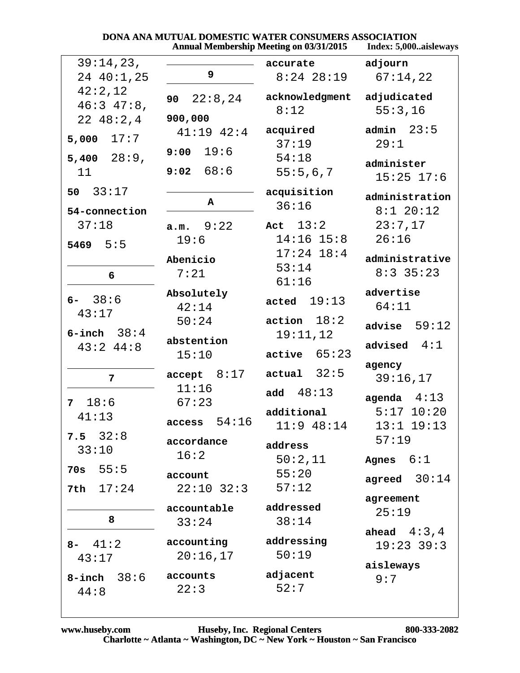|                                                 | <b>Annual Membership Meeting on 03/31/2015</b> | Index: 5,000aisleways                                |                                                            |
|-------------------------------------------------|------------------------------------------------|------------------------------------------------------|------------------------------------------------------------|
| 39:14,23,<br>24 40:1,25                         | 9                                              | accurate<br>$8:24$ 28:19                             | adjourn<br>67:14,22                                        |
| 42:2,12<br>$46:3$ $47:8$ ,<br>2248:2,4          | 90<br>22:8,24<br>900,000                       | acknowledgment<br>8:12                               | adjudicated<br>55:3,16                                     |
| 17:7<br>5,000<br>$5,400$ $28:9$ ,<br>11         | $41:19$ $42:4$<br>$9:00$ 19:6<br>9:02 68:6     | acquired<br>37:19<br>54:18<br>55:5,6,7               | admin $23:5$<br>29:1<br>administer<br>$15:25$ $17:6$       |
| 33:17<br>50<br>54-connection                    | A                                              | acquisition<br>36:16                                 | administration<br>$8:1$ 20:12                              |
| 37:18<br>$5469$ $5:5$                           | a.m. 9:22<br>19:6<br>Abenicio                  | Act $13:2$<br>$14:16$ $15:8$<br>$17:24$ 18:4         | 23:7,17<br>26:16<br>administrative                         |
| 6                                               | 7:21                                           | 53:14<br>61:16                                       | $8:3$ 35:23                                                |
| $6 - 38:6$<br>43:17                             | Absolutely<br>42:14                            | acted $19:13$<br>action 18:2                         | advertise<br>64:11                                         |
| $6$ -inch $38:4$<br>$43:2$ $44:8$               | 50:24<br>abstention<br>15:10                   | 19:11,12<br>$active$ 65:23                           | advise $59:12$<br>advised $4:1$                            |
| $\overline{7}$                                  | accept 8:17<br>11:16                           | $actual$ 32:5                                        | agency<br>39:16,17                                         |
| 18:6<br>7<br>41:13<br>$7.5 \quad 32:8$<br>33:10 | 67:23<br>access 54:16<br>accordance            | add $48:13$<br>additional<br>$11:9$ 48:14<br>address | agenda $4:13$<br>$5:17$ $10:20$<br>$13:1$ $19:13$<br>57:19 |
| 55:5<br>70s                                     | 16:2<br>account                                | 50:2,11<br>55:20                                     | 6:1<br>Agnes<br>agreed $30:14$                             |
| 17:24<br>7th                                    | $22:10$ $32:3$<br>accountable                  | 57:12<br>addressed                                   | agreement<br>25:19                                         |
| 8<br>$8 - 41:2$                                 | 33:24<br>accounting                            | 38:14<br>addressing                                  | ahead $4:3,4$<br>$19:23$ 39:3                              |
| 43:17<br>$8$ -inch $38:6$<br>44:8               | 20:16,17<br>accounts<br>22:3                   | 50:19<br>adjacent<br>52:7                            | aisleways<br>9:7                                           |

# DONA ANA MUTUAL DOMESTIC WATER CONSUMERS ASSOCIATION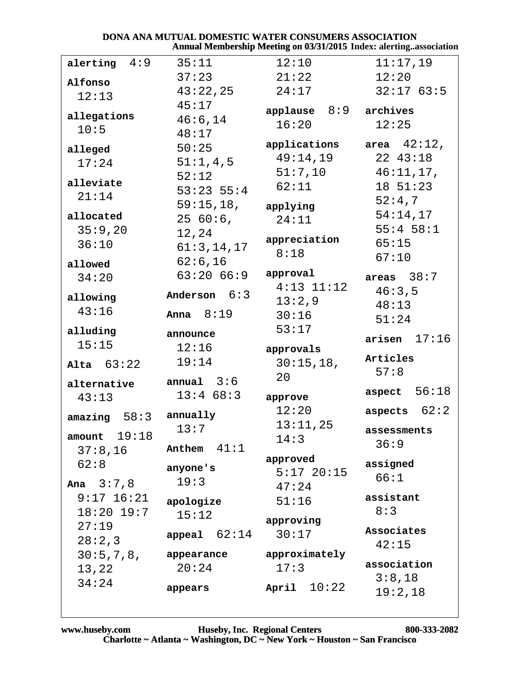#### DONA ANA MUTUAL DOMESTIC WATER CONSUMERS ASSOCIATION Annual Membership Meeting on 03/31/2015 Index: alerting..association

| alerting $4:9$     | 35:11          | 12:10                       | 11:17,19         |
|--------------------|----------------|-----------------------------|------------------|
| Alfonso            | 37:23          | 21:22                       | 12:20            |
| 12:13              | 43:22,25       | 24:17                       | 32:1763:5        |
|                    | 45:17          | applause $8:9$ archives     |                  |
| allegations        | 46:6,14        | 16:20                       | 12:25            |
| 10:5               | 48:17          |                             |                  |
| alleged            | 50:25          | applications area $42:12$ , |                  |
| 17:24              | 51:1,4,5       | 49:14,19                    | 22 43:18         |
|                    | 52:12          | 51:7,10                     | 46:11,17,        |
| alleviate<br>21:14 | $53:23$ $55:4$ | 62:11                       | $18 \t51:23$     |
|                    | 59:15,18,      | applying                    | 52:4,7           |
| allocated          | 2560:6,        | 24:11                       | 54:14,17         |
| 35:9,20            | 12,24          |                             | $55:4$ $58:1$    |
| 36:10              | 61:3, 14, 17   | appreciation                | 65:15            |
| allowed            | 62:6,16        | 8:18                        | 67:10            |
| 34:20              | 63:2066:9      | approval                    | areas $38:7$     |
|                    |                | $4:13$ $11:12$              | 46:3,5           |
| allowing           | Anderson $6:3$ | 13:2,9                      | 48:13            |
| 43:16              | Anna $8:19$    | 30:16                       | 51:24            |
| alluding           | announce       | 53:17                       |                  |
| 15:15              | 12:16          | approvals                   | $arisen$ $17:16$ |
| Alta $63:22$       | 19:14          | 30:15,18,                   | Articles         |
|                    |                | 20                          | 57:8             |
| alternative        | annual $3:6$   |                             | aspect $56:18$   |
| 43:13              | 13:468:3       | approve                     |                  |
| 58:3<br>amazing    | annually       | 12:20                       | aspects $62:2$   |
|                    | 13:7           | 13:11,25                    | assessments      |
| $amount$ 19:18     | Anthem $41:1$  | 14:3                        | 36:9             |
| 37:8,16            |                | approved                    |                  |
| 62:8               | anyone's       | $5:17$ 20:15                | assigned         |
| Ana $3:7,8$        | 19:3           | 47:24                       | 66:1             |
| $9:17$ $16:21$     | apologize      | 51:16                       | assistant        |
| $18:20$ 19:7       | 15:12          |                             | 8:3              |
| 27:19              |                | approving                   | Associates       |
| 28:2,3             | appeal $62:14$ | 30:17                       | 42:15            |
| 30:5,7,8,          | appearance     | approximately               |                  |
| 13,22              | 20:24          | 17:3                        | association      |
|                    |                |                             |                  |
| 34:24              |                |                             | 3:8,18           |
|                    | appears        | April $10:22$               | 19:2,18          |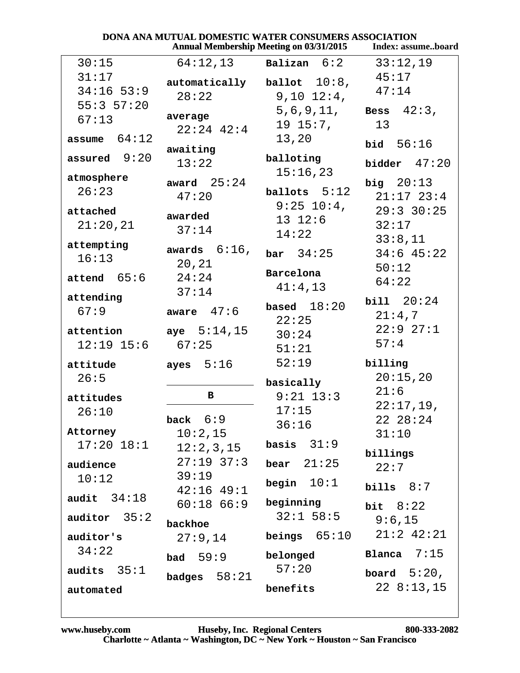|                 |                 | <b>Annual Membership Meeting on 03/31/2015</b> | Index: assumeboard |
|-----------------|-----------------|------------------------------------------------|--------------------|
| 30:15           | 64:12,13        | Balizan 6:2                                    | 33:12,19           |
| 31:17           | automatically   | ballot $10:8$ ,                                | 45:17              |
| $34:16$ 53:9    | 28:22           | $9,10$ $12:4$ ,                                | 47:14              |
| 55:357:20       |                 | 5,6,9,11,                                      | Bess $42:3$ ,      |
| 67:13           | average         | $19\;15:7$ ,                                   | 13                 |
| 64:12<br>assume | $22:24$ 42:4    | 13,20                                          |                    |
|                 | awaiting        |                                                | bid $56:16$        |
| assured $9:20$  | 13:22           | balloting                                      | bidder $47:20$     |
| atmosphere      | award $25:24$   | 15:16,23                                       | big $20:13$        |
| 26:23           | 47:20           | ballots $5:12$                                 | $21:17$ $23:4$     |
| attached        |                 | $9:25$ 10:4,                                   | $29:3$ 30:25       |
| 21:20,21        | awarded         | $13 \t12:6$                                    | 32:17              |
|                 | 37:14           | 14:22                                          | 33:8,11            |
| attempting      | awards $6:16$ , | bar 34:25                                      | $34:6$ 45:22       |
| 16:13           | 20,21           |                                                | 50:12              |
| attend 65:6     | 24:24           | Barcelona                                      | 64:22              |
|                 | 37:14           | 41:4,13                                        |                    |
| attending       | aware $47:6$    | based $18:20$                                  | bill 20:24         |
| 67:9            |                 | 22:25                                          | 21:4,7             |
| attention       | aye $5:14,15$   | 30:24                                          | 22:927:1           |
| $12:19$ $15:6$  | 67:25           | 51:21                                          | 57:4               |
| attitude        | ayes $5:16$     | 52:19                                          | billing            |
| 26:5            |                 |                                                | 20:15,20           |
|                 | в               | basically<br>$9:21$ 13:3                       | 21:6               |
| attitudes       |                 | 17:15                                          | 22:17,19,          |
| 26:10           | 6:9<br>back     | 36:16                                          | 22 28:24           |
| Attorney        | 10:2,15         |                                                | 31:10              |
| $17:20$ $18:1$  | 12:2,3,15       | basis $31:9$                                   |                    |
| audience        | $27:19$ 37:3    | bear $21:25$                                   | billings<br>22:7   |
| 10:12           | 39:19           |                                                |                    |
|                 | $42:16$ $49:1$  | begin $10:1$                                   | bills $8:7$        |
| 34:18<br>audit  | $60:18$ $66:9$  | beginning                                      | bit $8:22$         |
| auditor $35:2$  | backhoe         | $32:1$ 58:5                                    | 9:6,15             |
| auditor's       | 27:9,14         | beings $65:10$                                 | $21:2$ $42:21$     |
| 34:22           |                 |                                                | Blanca<br>7:15     |
|                 | bad $59:9$      | belonged                                       |                    |
| audits $35:1$   | badges $58:21$  | 57:20                                          | board $5:20$ ,     |
| automated       |                 | benefits                                       | 228:13,15          |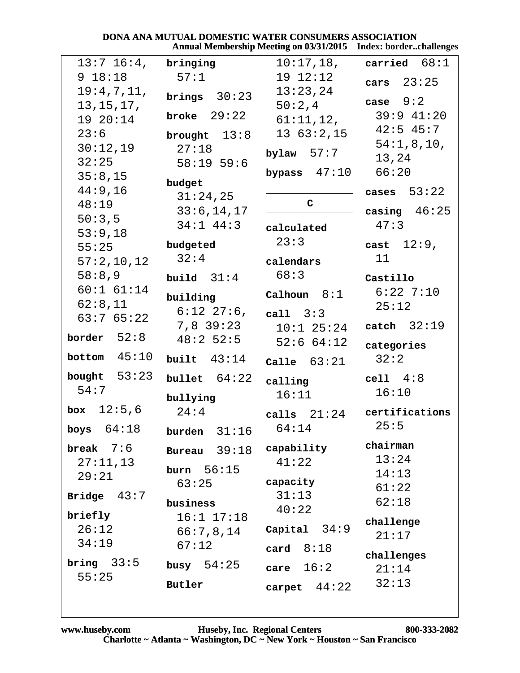#### DONA ANA MUTUAL DOMESTIC WATER CONSUMERS ASSOCIATION Annual Membership Meeting on 03/31/2015 Index: border..challenges

| $13:7$ 16:4,        | bringing                      | $10:17$ , $18$ ,    | carried $68:1$ |
|---------------------|-------------------------------|---------------------|----------------|
| 9 18:18             | 57:1                          | 19 12:12            | cars $23:25$   |
| 19:4,7,11,          | brings $30:23$                | 13:23,24            |                |
| 13, 15, 17,         |                               | 50:2,4              | case $9:2$     |
| 19 20:14            | broke $29:22$                 | 61:11,12,           | $39:9$ 41:20   |
| 23:6                | brought $13:8$                | $13\ \ 63:2,15$     | $42:5$ 45:7    |
| 30:12,19            | 27:18                         | bylaw $57:7$        | 54:1,8,10,     |
| 32:25               | $58:19$ 59:6                  |                     | 13,24          |
| 35:8,15             | budget                        | bypass $47:10$      | 66:20          |
| 44:9,16             | 31:24,25                      |                     | cases $53:22$  |
| 48:19               | 33:6, 14, 17                  | $\mathsf{C}$        | casing $46:25$ |
| 50:3,5              | $34:1$ $44:3$                 |                     | 47:3           |
| 53:9,18             |                               | calculated          |                |
| 55:25               | budgeted                      | 23:3                | cast $12:9$ ,  |
| 57:2,10,12          | 32:4                          | calendars           | 11             |
| 58:8,9              | build $31:4$                  | 68:3                | Castillo       |
| $60:1$ $61:14$      | building                      | Calhoun $8:1$       | $6:22$ 7:10    |
| 62:8,11             | $6:12$ $27:6$ ,               | call $3:3$          | 25:12          |
| 63:765:22           | $7,8$ 39:23                   | $10:1$ 25:24        | catch $32:19$  |
| border $52:8$       | $48:2$ 52:5                   | $52:6$ $64:12$      |                |
|                     |                               |                     | categories     |
| 45:10<br>bottom     | built $43:14$                 | Calle $63:21$       | 32:2           |
| bought $53:23$      | bullet $64:22$                | calling             | cell $4:8$     |
| 54:7                | bullying                      | 16:11               | 16:10          |
| <b>box</b> $12:5,6$ | 24:4                          | calls $21:24$       | certifications |
| boys $64:18$        | <b>burden</b> $31:16$ $64:14$ |                     | 25:5           |
|                     |                               |                     | chairman       |
| break $7:6$         | Bureau $39:18$                | capability<br>41:22 | 13:24          |
| 27:11,13<br>29:21   | burn $56:15$                  |                     | 14:13          |
|                     | 63:25                         | capacity            | 61:22          |
| Bridge $43:7$       | business                      | 31:13               | 62:18          |
| briefly             | $16:1$ $17:18$                | 40:22               |                |
| 26:12               | 66:7,8,14                     | Capital $34:9$      | challenge      |
| 34:19               | 67:12                         | card $8:18$         | 21:17          |
| bring $33:5$        |                               |                     | challenges     |
| 55:25               | busy $54:25$                  | 16:2<br>care        | 21:14          |
|                     | <b>Butler</b>                 | carpet $44:22$      | 32:13          |
|                     |                               |                     |                |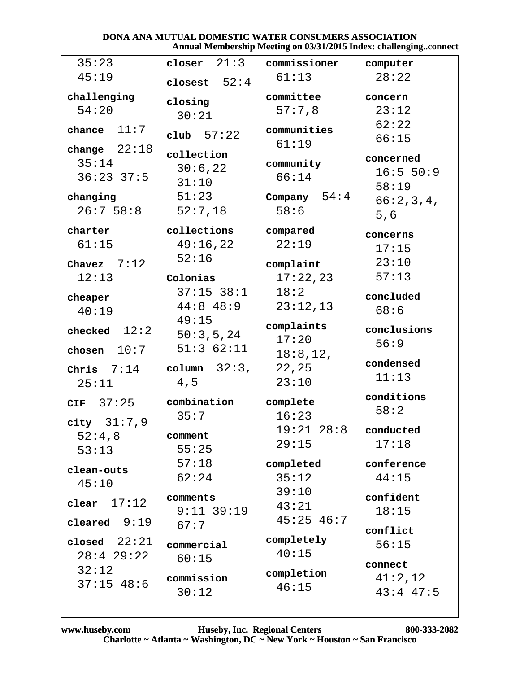### DONA ANA MUTUAL DOMESTIC WATER CONSUMERS ASSOCIATION Annual Membership Meeting on 03/31/2015 Index: challenging..connect

| 35:23           | closer $21:3$   | commissioner   | computer      |
|-----------------|-----------------|----------------|---------------|
| 45:19           | closest $52:4$  | 61:13          | 28:22         |
| challenging     | closing         | committee      | concern       |
| 54:20           | 30:21           | 57:7,8         | 23:12         |
| chance $11:7$   |                 | communities    | 62:22         |
|                 | club $57:22$    |                | 66:15         |
| change $22:18$  | collection      | 61:19          |               |
| 35:14           | 30:6,22         | community      | concerned     |
| $36:23$ $37:5$  |                 | 66:14          | 16:5 50:9     |
|                 | 31:10           |                | 58:19         |
| changing        | 51:23           | Company $54:4$ | 66:2,3,4,     |
| 26:758:8        | 52:7,18         | 58:6           | 5,6           |
| charter         | collections     | compared       | concerns      |
| 61:15           | 49:16,22        | 22:19          | 17:15         |
|                 | 52:16           |                |               |
| Chavez $7:12$   |                 | complaint      | 23:10         |
| 12:13           | Colonias        | 17:22,23       | 57:13         |
| cheaper         | $37:15$ $38:1$  | 18:2           | concluded     |
| 40:19           | $44:8$ $48:9$   | 23:12,13       | 68:6          |
|                 | 49:15           | complaints     |               |
| checked $12:2$  | 50:3,5,24       | 17:20          | conclusions   |
| chosen $10:7$   | 51:362:11       |                | 56:9          |
|                 |                 | 18:8, 12,      | condensed     |
| Chris $7:14$    | column $32:3$ , | 22,25          | 11:13         |
| 25:11           | 4,5             | 23:10          |               |
| CIF 37:25       | combination     | complete       | conditions    |
|                 | 35:7            | 16:23          | 58:2          |
| city $31:7,9$   |                 | $19:21$ $28:8$ | conducted     |
| 52:4,8          | comment         | 29:15          | 17:18         |
| 53:13           | 55:25           |                |               |
| clean-outs      | 57:18           | completed      | conference    |
| 45:10           | 62:24           | 35:12          | 44:15         |
|                 | comments        | 39:10          | confident     |
| 17:12<br>clear  | $9:11$ 39:19    | 43:21          | 18:15         |
| 9:19<br>cleared | 67:7            | $45:25$ $46:7$ |               |
|                 |                 |                | conflict      |
| closed $22:21$  | commercial      | completely     | 56:15         |
| $28:4$ 29:22    | 60:15           | 40:15          | connect       |
| 32:12           | commission      | completion     | 41:2,12       |
| $37:15$ 48:6    |                 | 46:15          |               |
|                 | 30:12           |                | $43:4$ $47:5$ |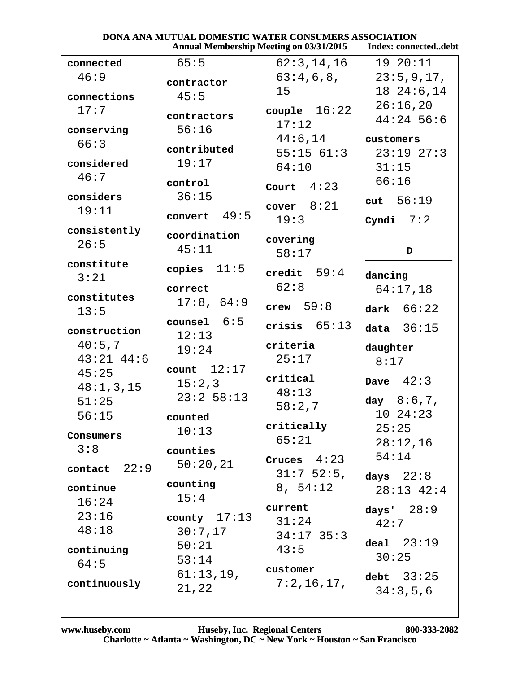| <b>DONA ANA MUTUAL DOMESTIC WATER CONSUMERS ASSOCIATION</b> |                    |
|-------------------------------------------------------------|--------------------|
| <b>Annual Membership Meeting on 03/31/2015</b>              | Index: connectedde |

|                |                 | <b>Annual Membership Meeting on 03/31/2015</b> | Index: connecteddebt          |
|----------------|-----------------|------------------------------------------------|-------------------------------|
| connected      | 65:5            | 62:3, 14, 16                                   | 19 20:11                      |
| 46:9           | contractor      | 63:4,6,8,                                      | 23:5,9,17,                    |
| connections    | 45:5            | 15                                             | 1824:6,14                     |
| 17:7           |                 | couple $16:22$                                 | 26:16,20                      |
|                | contractors     | 17:12                                          | $44:24$ 56:6                  |
| conserving     | 56:16           | $44:6, 14$ customers                           |                               |
| 66:3           | contributed     |                                                | $55:15$ $61:3$ $23:19$ $27:3$ |
| considered     | 19:17           | 64:10                                          | 31:15                         |
| 46:7           | control         |                                                | 66:16                         |
| considers      | 36:15           | Court $4:23$                                   |                               |
| 19:11          |                 | cover $8:21$                                   | cut $56:19$                   |
|                | 49:5<br>convert | 19:3                                           | Cyndi $7:2$                   |
| consistently   | coordination    | covering                                       |                               |
| 26:5           | 45:11           | 58:17                                          | D                             |
| constitute     | copies $11:5$   |                                                |                               |
| 3:21           |                 | credit $59:4$<br>62:8                          | dancing                       |
| constitutes    | correct         |                                                | 64:17,18                      |
| 13:5           | 17:8, 64:9      | crew $59:8$                                    | dark $66:22$                  |
| construction   | counsel $6:5$   | crisis $65:13$                                 | 36:15<br>data                 |
| 40:5,7         | 12:13           | criteria                                       |                               |
| $43:21$ $44:6$ | 19:24           | 25:17                                          | daughter<br>8:17              |
| 45:25          | count $12:17$   |                                                |                               |
| 48:1,3,15      | 15:2,3          | critical                                       | Dave $42:3$                   |
| 51:25          | $23:2$ 58:13    | 48:13                                          | day $8:6,7$ ,                 |
| 56:15          | counted         | 58:2,7                                         | 1024:23                       |
|                | 10:13           | critically                                     | 25:25                         |
| Consumers      |                 | 65:21                                          | 28:12,16                      |
| 3:8            | counties        | Cruces $4:23$                                  | 54:14                         |
| contact $22:9$ | 50:20,21        | $31:7$ 52:5,                                   | days $22:8$                   |
| continue       | counting        | 8, 54:12                                       | $28:13$ $42:4$                |
| 16:24          | 15:4            |                                                |                               |
| 23:16          | county $17:13$  | current                                        | days' $28:9$                  |
| 48:18          | 30:7,17         | 31:24<br>$34:17$ 35:3                          | 42:7                          |
| continuing     | 50:21           | 43:5                                           | deal $23:19$                  |
| 64:5           | 53:14           |                                                | 30:25                         |
|                | 61:13,19,       | customer                                       | debt $33:25$                  |
| continuously   | 21,22           | 7:2,16,17,                                     | 34:3,5,6                      |
|                |                 |                                                |                               |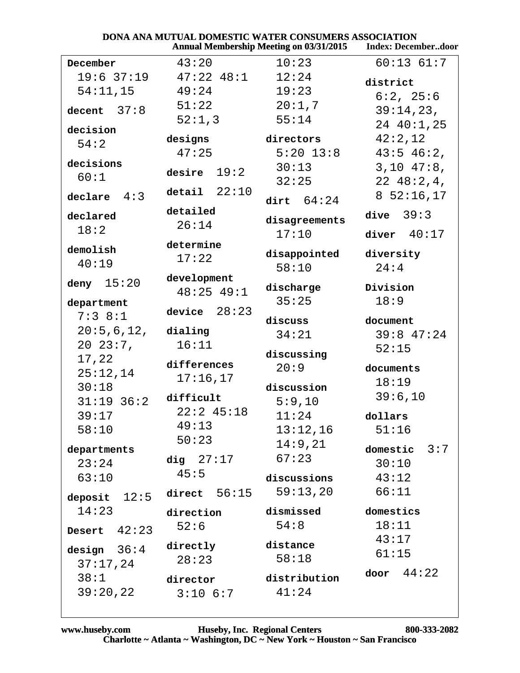|                  | DONA ANA MUTUAL DOMESTIC WATER CONSUMERS ASSOCIATION | <b>Annual Membership Meeting on 03/31/2015</b> | <b>Index: Decemberdoor</b> |
|------------------|------------------------------------------------------|------------------------------------------------|----------------------------|
| December         | 43:20                                                | 10:23                                          | $60:13$ $61:7$             |
| $19:6$ 37:19     | $47:22$ $48:1$                                       | 12:24                                          | district                   |
| 54:11,15         | 49:24                                                | 19:23                                          | 6:2, 25:6                  |
| decent $37:8$    | 51:22                                                | 20:1,7                                         | 39:14,23,                  |
|                  | 52:1,3                                               | 55:14                                          | 24 40:1,25                 |
| decision         | designs                                              | directors                                      | 42:2,12                    |
| 54:2             | 47:25                                                | $5:20$ $13:8$                                  | $43:5$ 46:2,               |
| decisions        |                                                      | 30:13                                          | $3,10$ 47:8,               |
| 60:1             | desire $19:2$                                        | 32:25                                          | 2248:2,4,                  |
| declare $4:3$    | detail $22:10$                                       | dirt $64:24$                                   | $8\ 52:16,17$              |
|                  | detailed                                             |                                                | dive $39:3$                |
| declared<br>18:2 | 26:14                                                | disagreements                                  |                            |
|                  | determine                                            | 17:10                                          | diver $40:17$              |
| demolish         | 17:22                                                | disappointed                                   | diversity                  |
| 40:19            |                                                      | 58:10                                          | 24:4                       |
| deny $15:20$     | development                                          | discharge                                      | Division                   |
| department       | $48:25$ $49:1$                                       | 35:25                                          | 18:9                       |
| 7:38:1           | device $28:23$                                       |                                                |                            |
| 20:5,6,12,       | dialing                                              | discuss                                        | document                   |
| $20\ \ 23:7$ ,   | 16:11                                                | 34:21                                          | $39:8$ 47:24               |
| 17,22            |                                                      | discussing                                     | 52:15                      |
| 25:12,14         | differences                                          | 20:9                                           | documents                  |
| 30:18            | 17:16,17                                             | discussion                                     | 18:19                      |
| $31:19$ 36:2     | difficult                                            | 5:9,10                                         | 39:6,10                    |
| 39:17            | $22:2$ 45:18                                         | 11:24                                          | dollars                    |
| 58:10            | 49:13                                                | 13:12,16                                       | 51:16                      |
| departments      | 50:23                                                | 14:9,21                                        | domestic $3:7$             |
| 23:24            | dig $27:17$                                          | 67:23                                          | 30:10                      |
| 63:10            | 45:5                                                 | discussions                                    | 43:12                      |
|                  | direct $56:15$                                       | 59:13,20                                       | 66:11                      |
| deposit $12:5$   |                                                      |                                                |                            |
| 14:23            | direction                                            | dismissed                                      | domestics                  |
| Desert $42:23$   | 52:6                                                 | 54:8                                           | 18:11                      |
| design $36:4$    | directly                                             | distance                                       | 43:17                      |
| 37:17,24         | 28:23                                                | 58:18                                          | 61:15                      |
| 38:1             | director                                             | distribution                                   | 44:22<br>door              |
| 39:20,22         | $3:10$ $6:7$                                         | 41:24                                          |                            |
|                  |                                                      |                                                |                            |

DOMESTIC WATER CONSUMERS ASSOCIATION

DOMA ANA MITTILAT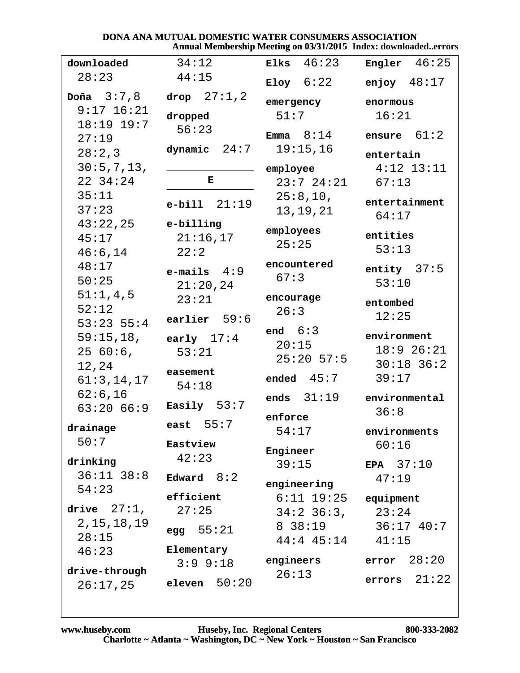#### DONA ANA MUTUAL DOMESTIC WATER CONSUMERS ASSOCIATION Annual Membership Meeting on 03/31/2015 Index: downloaded..errors

| downloaded     | 34:12             | 46:23<br>Elks   | <b>Engler</b> $46:25$ |
|----------------|-------------------|-----------------|-----------------------|
| 28:23          | 44:15             |                 |                       |
|                |                   | Eloy $6:22$     | enjoy $48:17$         |
| Doña $3:7,8$   | drop $27:1,2$     | emergency       | enormous              |
| $9:17$ 16:21   | dropped           | 51:7            | 16:21                 |
| $18:19$ $19:7$ | 56:23             | Emma $8:14$     | 61:2<br>ensure        |
| 27:19          | dynamic $24:7$    | 19:15,16        |                       |
| 28:2,3         |                   |                 | entertain             |
| 30:5,7,13,     |                   | employee        | $4:12$ $13:11$        |
| 22 34:24       | Е                 | $23:7$ $24:21$  | 67:13                 |
| 35:11          | $e$ -bill $21:19$ | 25:8,10,        | entertainment         |
| 37:23          |                   | 13, 19, 21      | 64:17                 |
| 43:22,25       | e-billing         | employees       |                       |
| 45:17          | 21:16,17          | 25:25           | entities              |
| 46:6,14        | 22:2              |                 | 53:13                 |
| 48:17          | $e$ -mails $4:9$  | encountered     | entity $37:5$         |
| 50:25          | 21:20,24          | 67:3            | 53:10                 |
| 51:1,4,5       | 23:21             | encourage       | entombed              |
| 52:12          |                   | 26:3            | 12:25                 |
| $53:23$ $55:4$ | earlier $59:6$    | end $6:3$       |                       |
| 59:15,18,      | early $17:4$      | 20:15           | environment           |
| 2560:6,        | 53:21             | $25:20$ 57:5    | $18:9$ 26:21          |
| 12,24          | easement          |                 | $30:18$ 36:2          |
| 61:3,14,17     | 54:18             | 45:7<br>ended   | 39:17                 |
| 62:6,16        |                   | ends $31:19$    | environmental         |
| 63:2066:9      | Easily $53:7$     |                 | 36:8                  |
| drainage       | east $55:7$       | enforce         |                       |
| 50:7           | Eastview          | 54:17           | environments<br>60:16 |
|                | 42:23             | Engineer        |                       |
| drinking       |                   | 39:15           | EPA $37:10$           |
| $36:11$ $38:8$ | Edward $8:2$      | engineering     | 47:19                 |
| 54:23          | efficient         | $6:11$ $19:25$  | equipment             |
| drive $27:1$ , | 27:25             | $34:2 \ 36:3$ , | 23:24                 |
| 2, 15, 18, 19  |                   | 8 38:19         | $36:17$ 40:7          |
| 28:15          | egg $55:21$       | $44:4$ $45:14$  | 41:15                 |
| 46:23          | Elementary        |                 |                       |
| drive-through  | $3:9$ $9:18$      | engineers       | error 28:20           |
| 26:17,25       | eleven $50:20$    | 26:13           | errors $21:22$        |
|                |                   |                 |                       |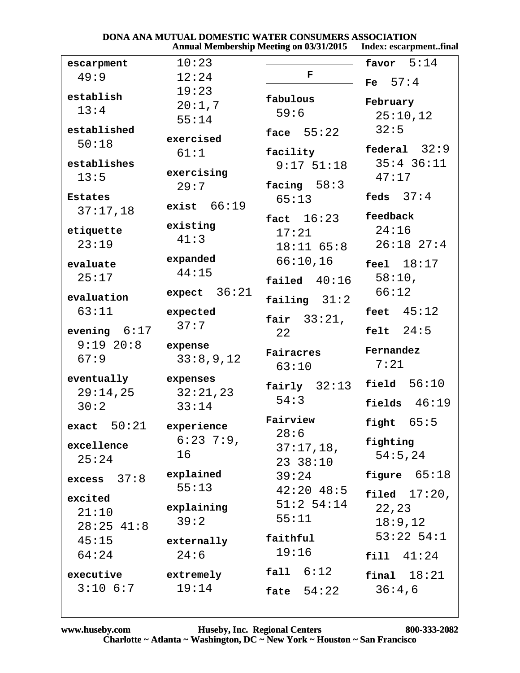#### **DONA ANA MUTUAL DOMESTIC WATER CONSUMERS ASSOCIATION**<br>Annual Membership Meeting on 03/31/2015 Index: escarpn st fir

|                |                 | <b>Annual Membership Meeting on 03/31/2015</b> | Index: escarpmentfinal |
|----------------|-----------------|------------------------------------------------|------------------------|
| escarpment     | 10:23           |                                                | 5:14<br>favor          |
| 49:9           | 12:24           | F                                              | Fe $57:4$              |
| establish      | 19:23           |                                                |                        |
| 13:4           | 20:1,7          | fabulous                                       | February               |
|                | 55:14           | 59:6                                           | 25:10,12               |
| established    | exercised       | face $55:22$                                   | 32:5                   |
| 50:18          | 61:1            | facility                                       | federal $32:9$         |
| establishes    |                 | $9:17$ $51:18$                                 | $35:4$ 36:11           |
| 13:5           | exercising      |                                                | 47:17                  |
|                | 29:7            | facing $58:3$                                  |                        |
| <b>Estates</b> | exist $66:19$   | 65:13                                          | feds $37:4$            |
| 37:17,18       |                 | fact $16:23$                                   | feedback               |
| etiquette      | existing        | 17:21                                          | 24:16                  |
| 23:19          | 41:3            | $18:11$ 65:8                                   | $26:18$ $27:4$         |
| evaluate       | expanded        | 66:10,16                                       | feel $18:17$           |
| 25:17          | 44:15           |                                                | 58:10,                 |
|                | 36:21<br>expect | failed $40:16$                                 | 66:12                  |
| evaluation     |                 | failing $31:2$                                 |                        |
| 63:11          | expected        | fair $33:21$ ,                                 | feet $45:12$           |
| evening $6:17$ | 37:7            | 22                                             | 24:5<br>felt           |
| $9:19$ 20:8    | expense         |                                                |                        |
| 67:9           | 33:8,9,12       | Fairacres                                      | Fernandez              |
|                |                 | 63:10                                          | 7:21                   |
| eventually     | expenses        | $fairly$ $32:13$                               | field $56:10$          |
| 29:14,25       | 32:21,23        | 54:3                                           | fields $46:19$         |
| 30:2           | 33:14           |                                                |                        |
| exact $50:21$  | experience      | Fairview<br>28:6                               | fight $65:5$           |
| excellence     | $6:23$ 7:9,     | 37:17,18,                                      | fighting               |
| 25:24          | 16              | 23 38:10                                       | 54:5,24                |
|                | explained       | 39:24                                          | figure $65:18$         |
| excess $37:8$  | 55:13           | $42:20$ $48:5$                                 |                        |
| excited        |                 | $51:2$ 54:14                                   | filed $17:20$ ,        |
| 21:10          | explaining      | 55:11                                          | 22,23                  |
| $28:25$ 41:8   | 39:2            |                                                | 18:9,12                |
| 45:15          | externally      | faithful                                       | $53:22$ $54:1$         |
| 64:24          | 24:6            | 19:16                                          | fill 41:24             |
| executive      | extremely       | fall 6:12                                      | final $18:21$          |
| $3:10$ 6:7     | 19:14           |                                                | 36:4,6                 |
|                |                 | fate $54:22$                                   |                        |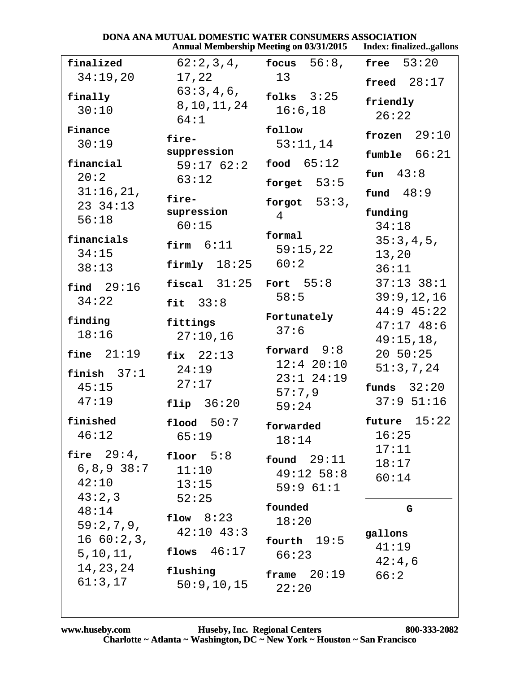|                                                                                  |                                                                                     | <b>Annual Membership Meeting on 03/31/2015</b>                        | Index: finalizedgallons                                  |
|----------------------------------------------------------------------------------|-------------------------------------------------------------------------------------|-----------------------------------------------------------------------|----------------------------------------------------------|
| finalized                                                                        | 62:2,3,4,                                                                           | focus $56:8$ ,                                                        | free $53:20$                                             |
| 34:19,20                                                                         | 17,22                                                                               | 13                                                                    | freed $28:17$                                            |
| finally<br>30:10                                                                 | 63:3,4,6,<br>8, 10, 11, 24<br>64:1                                                  | folks $3:25$<br>16:6, 18                                              | friendly<br>26:22                                        |
| Finance<br>30:19<br>financial                                                    | fire-<br>suppression<br>59:1762:2                                                   | follow<br>53:11,14<br>food $65:12$                                    | frozen $29:10$<br>fumble 66:21                           |
| 20:2<br>31:16,21,<br>23 34:13<br>56:18                                           | 63:12<br>fire-<br>supression<br>60:15                                               | forget $53:5$<br>forgot $53:3$ ,<br>$\overline{4}$                    | fun $43:8$<br>fund $48:9$<br>funding<br>34:18            |
| financials<br>34:15<br>38:13                                                     | firm $6:11$<br>firmly $18:25$                                                       | formal<br>59:15,22<br>60:2                                            | 35:3,4,5,<br>13,20<br>36:11                              |
| find $29:16$<br>34:22                                                            | fiscal $31:25$<br>fit $33:8$                                                        | Fort $55:8$<br>58:5                                                   | $37:13$ $38:1$<br>39:9,12,16<br>$44:9$ $45:22$           |
| finding<br>18:16                                                                 | fittings<br>27:10,16                                                                | Fortunately<br>37:6                                                   | $47:17$ $48:6$<br>49:15,18,                              |
| fine $21:19$<br>finish $37:1$<br>45:15<br>47:19                                  | fix $22:13$<br>24:19<br>27:17<br>flip $36:20$                                       | forward $9:8$<br>$12:4$ 20:10<br>$23:1$ $24:19$<br>57:7,9<br>59:24    | $20\;\;50:25$<br>51:3,7,24<br>funds $32:20$<br>37:951:16 |
| finished<br>46:12<br>fire $29:4$ ,<br>$6, 8, 9$ 38:7<br>42:10                    | 50:7<br>$f$ lood<br>65:19<br>floor $5:8$<br>11:10<br>13:15                          | forwarded<br>18:14<br>found $29:11$<br>$49:12$ 58:8<br>59:961:1       | 15:22<br>future<br>16:25<br>17:11<br>18:17<br>60:14      |
| 43:2,3<br>48:14<br>59:2,7,9,<br>1660:2,3,<br>5, 10, 11,<br>14, 23, 24<br>61:3,17 | 52:25<br>flow $8:23$<br>$42:10$ $43:3$<br>flows $46:17$<br>flushing<br>50:9, 10, 15 | founded<br>18:20<br>19:5<br>fourth<br>66:23<br>frame $20:19$<br>22:20 | G<br>gallons<br>41:19<br>42:4,6<br>66:2                  |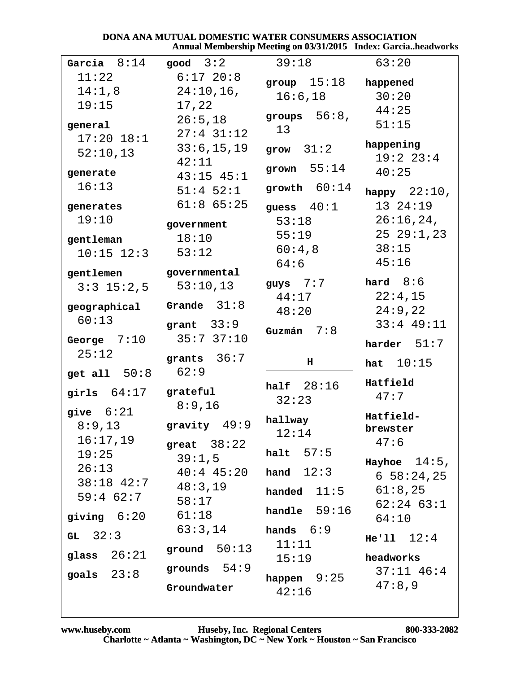#### DONA ANA MUTUAL DOMESTIC WATER CONSUMERS ASSOCIATION Annual Membership Meeting on 03/31/2015 Index: Garcia..headworks

| Garcia $8:14$        | good $3:2$               | 39:18                 | 63:20              |
|----------------------|--------------------------|-----------------------|--------------------|
| 11:22                | $6:17$ 20:8              | group $15:18$         | happened           |
| 14:1,8               | $24:10,16$ ,             | 16:6,18               | 30:20              |
| 19:15                | 17,22                    |                       | 44:25              |
| general              | 26:5,18                  | groups $56:8$ ,       | 51:15              |
| $17:20$ $18:1$       | $27:4$ 31:12             | 13                    |                    |
| 52:10,13             | 33:6, 15, 19             | grow $31:2$           | happening          |
|                      | 42:11                    | grown $55:14$         | 19:2 23:4          |
| generate             | $43:15$ $45:1$           |                       | 40:25              |
| 16:13                | $51:4$ $52:1$            | growth $60:14$        | happy $22:10$ ,    |
| generates            | $61:8$ $65:25$           | guess $40:1$          | 13 24:19           |
| 19:10                | government               | 53:18                 | 26:16,24,          |
| gentleman            | 18:10                    | 55:19                 | 2529:1,23          |
| $10:15$ $12:3$       | 53:12                    | 60:4,8                | 38:15              |
|                      |                          | 64:6                  | 45:16              |
| gentlemen            | governmental<br>53:10,13 | guys $7:7$ hard $8:6$ |                    |
| $3:3$ 15:2,5         |                          | 44:17                 | 22:4,15            |
| geographical         | Grande $31:8$            | 48:20                 | 24:9,22            |
| 60:13                | grant $33:9$             |                       | $33:4$ 49:11       |
| George $7:10$        | 35:737:10                | Guzmán $7:8$          | harder $51:7$      |
| 25:12                | grants $36:7$            |                       |                    |
| get all $50:8$       | 62:9                     | н                     | <b>hat</b> $10:15$ |
|                      |                          | half $28:16$          | Hatfield           |
| girls 64:17 grateful |                          | 32:23                 | 47:7               |
| give $6:21$          | 8:9,16                   |                       | Hatfield-          |
| 8:9,13               | gravity $49:9$           | hallway<br>12:14      | brewster           |
| 16:17,19             | great $38:22$            |                       | 47:6               |
| 19:25                | 39:1,5                   | halt $57:5$           | Hayhoe $14:5$ ,    |
| 26:13                | $40:4$ 45:20 hand $12:3$ |                       | $6\ 58:24,25$      |
| $38:18$ 42:7         | 48:3,19                  | handed $11:5$         | 61:8,25            |
| $59:4$ 62:7          | 58:17                    |                       | $62:24$ $63:1$     |
| giving $6:20$        | 61:18                    | handle $59:16$        | 64:10              |
| $GL$ 32:3            | 63:3,14                  | hands $6:9$           |                    |
|                      | ground $50:13$           | 11:11                 | He'11 12:4         |
| glass $26:21$        |                          | 15:19                 | headworks          |
| goals $23:8$         | grounds $54:9$           | happen $9:25$         | $37:11$ 46:4       |
|                      | Groundwater              | 42:16                 | 47:8,9             |
|                      |                          |                       |                    |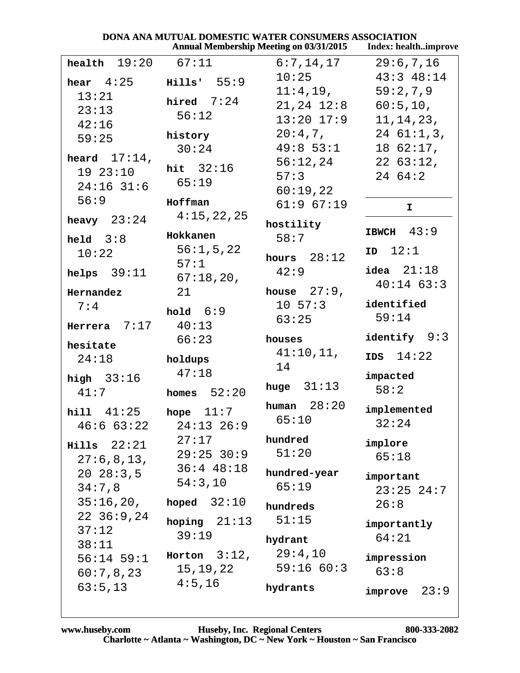|                                        |                         | DONA ANA MUTUAL DOMESTIC WATER CONSUMERS ASSOCIATION            |                              |
|----------------------------------------|-------------------------|-----------------------------------------------------------------|------------------------------|
|                                        |                         | Annual Membership Meeting on 03/31/2015    Index: healthimprove |                              |
| health $19:20$                         | 67:11                   | 6:7,14,17                                                       | 29:6,7,16                    |
| hear $4:25$                            | Hills' 55:9             | 10:25                                                           | $43:3$ $48:14$               |
| 13:21                                  |                         | $11:4,19$ ,                                                     | 59:2,7,9                     |
| 23:13                                  | hired $7:24$            | $21,24$ $12:8$                                                  | 60:5,10,                     |
| 42:16                                  | 56:12                   | $13:20$ $17:9$                                                  | 11, 14, 23,                  |
| 59:25                                  | history                 | $20:4,7$ ,                                                      | 2461:1,3,                    |
|                                        | 30:24                   | $49:8$ 53:1                                                     | 1862:17,                     |
| heard $17:14$ ,                        | hit $32:16$             | 56:12,24                                                        | 2263:12,                     |
| 1923:10                                | 65:19                   | 57:3                                                            | 2464:2                       |
| $24:16$ 31:6                           |                         | 60:19,22                                                        |                              |
| 56:9                                   | Hoffman                 | $61:9$ $67:19$                                                  | $\mathbf I$                  |
| heavy $23:24$                          | 4:15,22,25              | hostility                                                       | IBWCH $43:9$                 |
| held $3:8$                             | Hokkanen<br>56:1, 5, 22 | 58:7                                                            |                              |
| 10:22                                  | 57:1                    | hours $28:12$                                                   | ID 12:1                      |
| helps $39:11$                          | 67:18,20,               | 42:9                                                            | idea $21:18$<br>$40:14$ 63:3 |
| Hernandez                              | 21                      | house $27:9$ ,                                                  |                              |
| 7:4                                    | hold $6:9$              | $10\;\;57:3$                                                    | identified                   |
| Herrera $7:17$ 40:13                   |                         | 63:25                                                           | 59:14                        |
| hesitate                               | 66:23                   | houses                                                          | identify $9:3$               |
| 24:18                                  | holdups                 | 41:10,11,                                                       | $IBS$ $14:22$                |
|                                        | 47:18                   | 14                                                              |                              |
| high $33:16$                           |                         | huge $31:13$                                                    | impacted                     |
| 41:7                                   | homes $52:20$           |                                                                 | 58:2                         |
| <b>hill</b> $41:25$ <b>hope</b> $11:7$ |                         | human $28:20$<br>65:10                                          | implemented                  |
| 46:663:22                              | $24:13$ 26:9            |                                                                 | 32:24                        |
| $Hills$ $22:21$                        | 27:17                   | hundred                                                         | implore                      |
| 27:6,8,13,                             | $29:25$ 30:9            | 51:20                                                           | 65:18                        |
| $20\ \ 28:3.5$                         | $36:4$ 48:18            | hundred-year                                                    | important                    |
| 34:7,8                                 | 54:3,10                 | 65:19                                                           | $23:25$ $24:7$               |
| 35:16,20,                              | hoped $32:10$           | hundreds                                                        | 26:8                         |
| 2236:9,24                              |                         | 51:15                                                           |                              |
| 37:12                                  | hoping $21:13$<br>39:19 |                                                                 | importantly                  |
| 38:11                                  |                         | hydrant                                                         | 64:21                        |
| $56:14$ 59:1                           | Horton $3:12$ ,         | 29:4,10                                                         | impression                   |
| 60:7,8,23                              | 15,19,22                | 59:16 60:3                                                      | 63:8                         |
| 63:5,13                                | 4:5,16                  | hydrants                                                        | 23:9<br>improve              |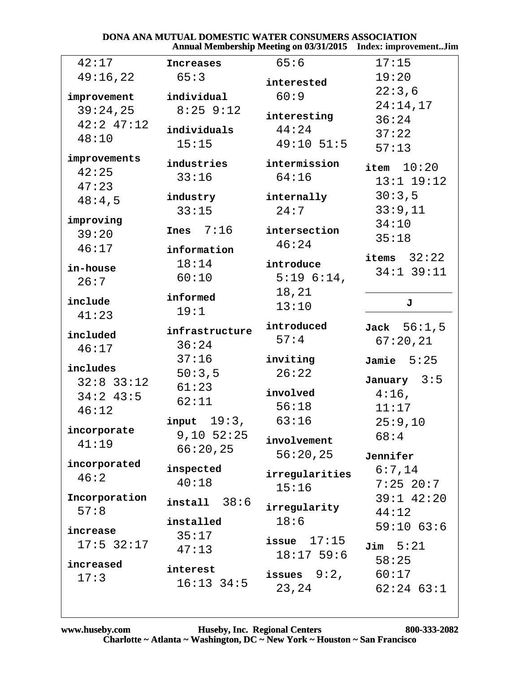#### DONA ANA MUTUAL DOMESTIC WATER CONSUMERS ASSOCIATION Annual Membership Meeting on 03/31/2015 Index: improvement..Jim

| 42:17                | Increases      | 65:6                    | 17:15                   |
|----------------------|----------------|-------------------------|-------------------------|
| 49:16,22             | 65:3           | interested              | 19:20                   |
| improvement          | individual     | 60:9                    | 22:3,6                  |
| 39:24,25             | $8:25$ $9:12$  |                         | 24:14,17                |
| $42:2$ $47:12$       |                | interesting             | 36:24                   |
| 48:10                | individuals    | 44:24                   | 37:22                   |
|                      | 15:15          | $49:10$ 51:5            | 57:13                   |
| improvements         | industries     | intermission            |                         |
| 42:25                | 33:16          | 64:16                   | item $10:20$            |
| 47:23                |                |                         | $13:1$ $19:12$          |
| 48:4,5               | industry       | internally              | 30:3,5                  |
| improving            | 33:15          | 24:7                    | 33:9,11                 |
| 39:20                | $Tnes$ 7:16    | intersection            | 34:10                   |
| 46:17                |                | 46:24                   | 35:18                   |
|                      | information    |                         | items $32:22$           |
| in-house             | 18:14          | introduce               | $34:1$ 39:11            |
| 26:7                 | 60:10          | 5:196:14,               |                         |
| include              | informed       | 18,21                   | J                       |
| 41:23                | 19:1           | 13:10                   |                         |
|                      |                |                         |                         |
|                      |                | introduced              |                         |
| included             | infrastructure | 57:4                    | Jack 56:1, 5            |
| 46:17                | 36:24          |                         | 67:20,21                |
|                      | 37:16          | inviting                | Jamie $5:25$            |
| includes             | 50:3,5         | 26:22                   | January 3:5             |
| $32:8$ $33:12$       | 61:23          | involved                | $4:16$ ,                |
| $34:2$ 43:5          | 62:11          | 56:18                   | 11:17                   |
| 46:12                | input $19:3$ , | 63:16                   | 25:9,10                 |
| incorporate          | $9,10$ $52:25$ |                         | 68:4                    |
| 41:19                | 66:20,25       | involvement             |                         |
|                      |                | 56:20,25                | Jennifer                |
| incorporated<br>46:2 | inspected      | irregularities          | 6:7,14                  |
|                      | 40:18          | 15:16                   | $7:25$ 20:7             |
| Incorporation        | install 38:6   |                         | $39:1$ $42:20$          |
| 57:8                 |                | irregularity            | 44:12                   |
| increase             | installed      | 18:6                    | $59:10$ 63:6            |
| $17:5$ 32:17         | 35:17          | issue $17:15$           | $Jim$ 5:21              |
|                      | 47:13          | $18:17$ 59:6            | 58:25                   |
| increased            | interest       |                         |                         |
| 17:3                 | $16:13$ 34:5   | issues $9:2$ ,<br>23,24 | 60:17<br>$62:24$ $63:1$ |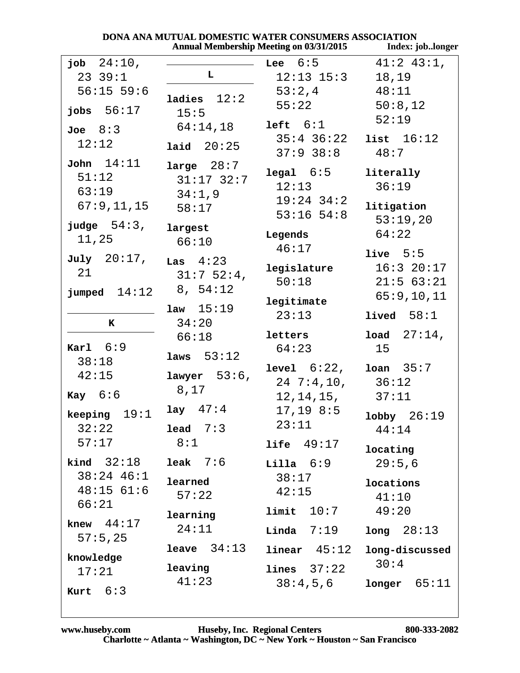|                                                       | DONA ANA MUTUAL DOMESTIC WATER CONSUMERS ASSOCIATION | <b>Annual Membership Meeting on 03/31/2015</b>                    | Index: joblonger                                     |
|-------------------------------------------------------|------------------------------------------------------|-------------------------------------------------------------------|------------------------------------------------------|
| job $24:10$ ,<br>2339:1                               | L.                                                   | Lee $6:5$<br>$12:13$ $15:3$                                       | $41:2$ $43:1$ ,<br>18,19                             |
| $56:15$ 59:6<br>jobs $56:17$                          | ladies $12:2$<br>15:5                                | 53:2,4<br>55:22                                                   | 48:11<br>50:8,12<br>52:19                            |
| Joe 8:3<br>12:12                                      | 64:14,18<br>laid $20:25$                             | left $6:1$<br>$35:4$ $36:22$<br>$37:9$ $38:8$                     | list $16:12$<br>48:7                                 |
| John 14:11<br>51:12<br>63:19<br>67:9,11,15            | large $28:7$<br>$31:17$ $32:7$<br>34:1,9<br>58:17    | $\texttt{legal}$ $6:5$<br>12:13<br>$19:24$ 34:2<br>$53:16$ $54:8$ | literally<br>36:19<br>litigation<br>53:19,20         |
| judge $54:3$ ,<br>11,25                               | largest<br>66:10                                     | Legends<br>46:17                                                  | 64:22                                                |
| $\texttt{July} \quad 20:17$ ,<br>21<br>jumped $14:12$ | Las $4:23$<br>31:752:4,<br>8, 54:12                  | legislature<br>50:18                                              | live $5:5$<br>16:320:17<br>21:563:21<br>65:9, 10, 11 |
| K                                                     | $1aw \quad 15:19$<br>34:20                           | legitimate<br>23:13                                               | lived $58:1$                                         |
| Karl $6:9$                                            | 66:18<br>laws $53:12$                                | letters<br>64:23                                                  | <b>load</b> $27:14$ ,<br>15                          |
| 38:18<br>42:15<br>$\kappa$ ay $6:6$                   | lawyer $53:6$ ,<br>8,17                              | level 6:22,<br>247:4,10,<br>12,14,15,                             | loan 35:7<br>36:12<br>37:11                          |
| 19:1<br>keeping<br>32:22                              | lay $47:4$<br>lead $7:3$                             | $17, 19$ $8:5$<br>23:11                                           | 26:19<br>lobby<br>44:14                              |
| 57:17<br>$\text{kind}$ 32:18                          | 8:1<br>$leak$ 7:6                                    | life $49:17$<br>Lilla 6:9                                         | locating<br>29:5,6                                   |
| 38:24 46:1<br>$48:15$ 61:6<br>66:21                   | learned<br>57:22                                     | 38:17<br>42:15                                                    | locations<br>41:10                                   |
| knew $44:17$<br>57:5,25                               | learning<br>24:11                                    | limit 10:7<br>$Linda$ $7:19$                                      | 49:20<br>long 28:13                                  |
| knowledge<br>17:21<br><b>Kurt</b> $6:3$               | <b>leave</b> $34:13$<br>leaving<br>41:23             | $linear$ $45:12$<br>$lines 37:22$<br>38:4,5,6                     | long-discussed<br>30:4<br>65:11<br>longer            |

#### DOMESTIC WATER CONSUMERS ASSOCIATION DONA ANA MITTILAT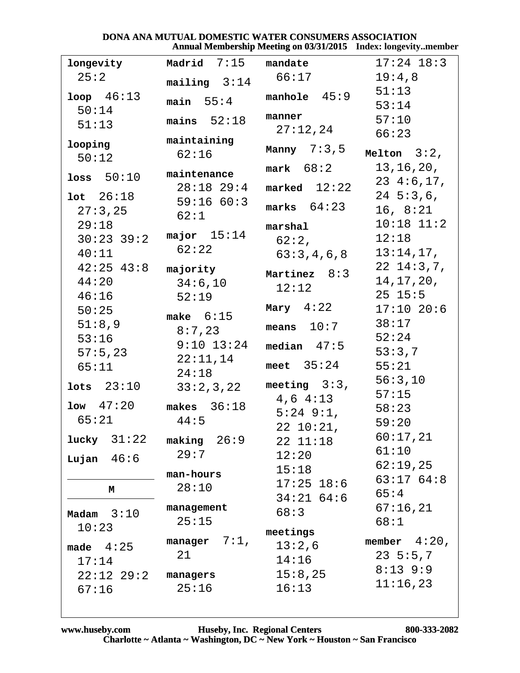#### DONA ANA MUTUAL DOMESTIC WATER CONSUMERS ASSOCIATION Annual Membership Meeting on 03/31/2015 Index: longevity..member

| longevity        | Madrid $7:15$ mandate |                    | $17:24$ $18:3$    |
|------------------|-----------------------|--------------------|-------------------|
| 25:2             | mailing $3:14$        | 66:17              | 19:4,8            |
| $100p$ $46:13$   | main $55:4$           | manhole $45:9$     | 51:13             |
| 50:14            |                       |                    | 53:14             |
| 51:13            | mains $52:18$         | manner<br>27:12,24 | 57:10             |
|                  | maintaining           |                    | 66:23             |
| looping<br>50:12 | 62:16                 | Manny $7:3,5$      | Melton $3:2$ ,    |
|                  | maintenance           | mark 68:2          | 13, 16, 20,       |
| loss $50:10$     | $28:18$ $29:4$        | marked $12:22$     | 234:6,17,         |
| $1$ ot $26:18$   | 59:16 60:3            |                    | $24\;\;5:3\;,6\;$ |
| 27:3,25          | 62:1                  | marks $64:23$      | 16, 8:21          |
| 29:18            |                       | marshal            | $10:18$ $11:2$    |
| $30:23$ 39:2     | major $15:14$         | 62:2,              | 12:18             |
| 40:11            | 62:22                 | 63:3,4,6,8         | 13:14,17,         |
| $42:25$ $43:8$   | majority              | Martinez $8:3$     | $22 \t14:3,7,$    |
| 44:20            | 34:6,10               | 12:12              | 14,17,20,         |
| 46:16            | 52:19                 |                    | $25 \t15:5$       |
| 50:25            | make $6:15$           | Mary $4:22$        | $17:10$ 20:6      |
| 51:8,9           | 8:7,23                | means $10:7$       | 38:17             |
| 53:16            | $9:10$ $13:24$        | median $47:5$      | 52:24             |
| 57:5,23          | 22:11,14              |                    | 53:3,7            |
| 65:11            | 24:18                 | meet $35:24$       | 55:21             |
| lots $23:10$     | 33:2,3,22             | meeting $3:3$ ,    | 56:3,10           |
| $1$ ow $47:20$   |                       | $4,6$ $4:13$       | 57:15             |
|                  | makes $36:18$         | $5:24$ $9:1$ ,     | 58:23             |
| 65:21            | 44:5                  | 22 10:21,          | 59:20             |
| lucky $31:22$    | making $26:9$         | 22 11:18           | 60:17,21          |
| Lujan $46:6$     | 29:7                  | 12:20              | 61:10             |
|                  | man-hours             | 15:18              | 62:19,25          |
| М                | 28:10                 | $17:25$ 18:6       | 63:1764:8         |
|                  |                       | $34:21$ 64:6       | 65:4              |
| Madam $3:10$     | management            | 68:3               | 67:16,21          |
| 10:23            | 25:15                 | meetings           | 68:1              |
| made $4:25$      | manager $7:1$ ,       | 13:2,6             | member $4:20$ ,   |
| 17:14            | 21                    | 14:16              | $23\;\;5:5.7$     |
| $22:12$ $29:2$   | managers              | 15:8,25            | $8:13$ 9:9        |
| 67:16            | 25:16                 | 16:13              | 11:16,23          |
|                  |                       |                    |                   |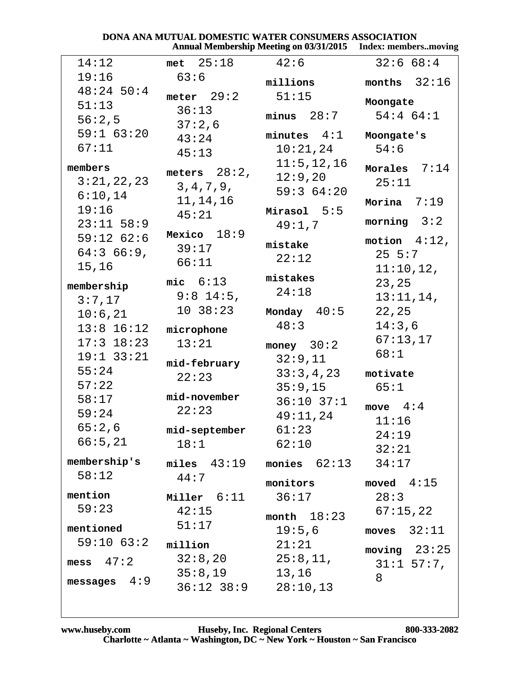|                 |                   | Annual Membership Meeting on 03/31/2015 | - Index: membersmoving |
|-----------------|-------------------|-----------------------------------------|------------------------|
| 14:12           | $met \quad 25:18$ | 42:6                                    | 32:668:4               |
| 19:16           | 63:6              | millions                                | months $32:16$         |
| $48:24$ 50:4    | meter $29:2$      | 51:15                                   |                        |
| 51:13           | 36:13             |                                         | Moongate               |
| 56:2,5          | 37:2,6            | minus 28:7                              | $54:4$ 64:1            |
| $59:1$ 63:20    | 43:24             | minutes $4:1$                           | Moongate's             |
| 67:11           | 45:13             | 10:21,24                                | 54:6                   |
| members         |                   | 11:5, 12, 16                            | 7:14<br>Morales        |
| 3:21,22,23      | meters $28:2$ ,   | 12:9,20                                 | 25:11                  |
| 6:10,14         | 3, 4, 7, 9,       | 59:364:20                               |                        |
| 19:16           | 11, 14, 16        | $Mirasol$ 5:5                           | Morina $7:19$          |
| $23:11$ 58:9    | 45:21             | 49:1,7                                  | morning $3:2$          |
| $59:12$ 62:6    | Mexico $18:9$     |                                         | motion $4:12$ ,        |
| 64:366:9,       | 39:17             | mistake                                 |                        |
| 15,16           | 66:11             | 22:12                                   | $25 \t 5:7$            |
|                 | mic $6:13$        | mistakes                                | 11:10,12,              |
| membership      | $9:8$ 14:5,       | 24:18                                   | 23, 25                 |
| 3:7,17          |                   |                                         | 13:11,14,              |
| 10:6,21         | 10.38:23          | Monday $40:5$                           | 22, 25                 |
| $13:8$ $16:12$  | microphone        | 48:3                                    | 14:3,6                 |
| $17:3$ $18:23$  | 13:21             | money $30:2$                            | 67:13,17               |
| $19:1$ 33:21    | mid-february      | 32:9,11                                 | 68:1                   |
| 55:24           | 22:23             | 33:3,4,23                               | motivate               |
| 57:22           |                   | 35:9,15                                 | 65:1                   |
| 58:17           | mid-november      | $36:10$ $37:1$                          | move $4:4$             |
| 59:24           | 22:23             | 49:11,24                                | 11:16                  |
| 65:2,6          | mid-september     | 61:23                                   | 24:19                  |
| 66:5,21         | 18:1              | 62:10                                   | 32:21                  |
| membership's    | $miles$ $43:19$   | monies $62:13$                          | 34:17                  |
| 58:12           | 44:7              |                                         |                        |
|                 |                   | monitors                                | moved $4:15$           |
| mention         | Miller $6:11$     | 36:17                                   | 28:3                   |
| 59:23           | 42:15             | month $18:23$                           | 67:15,22               |
| mentioned       | 51:17             | 19:5,6                                  | moves $32:11$          |
| $59:10$ $63:2$  | million           | 21:21                                   | moving $23:25$         |
| 47:2<br>mess    | 32:8,20           | 25:8,11,                                | $31:1$ 57:7,           |
|                 | 35:8,19           | 13,16                                   | 8                      |
| 4:9<br>messages | $36:12$ $38:9$    | 28:10,13                                |                        |
|                 |                   |                                         |                        |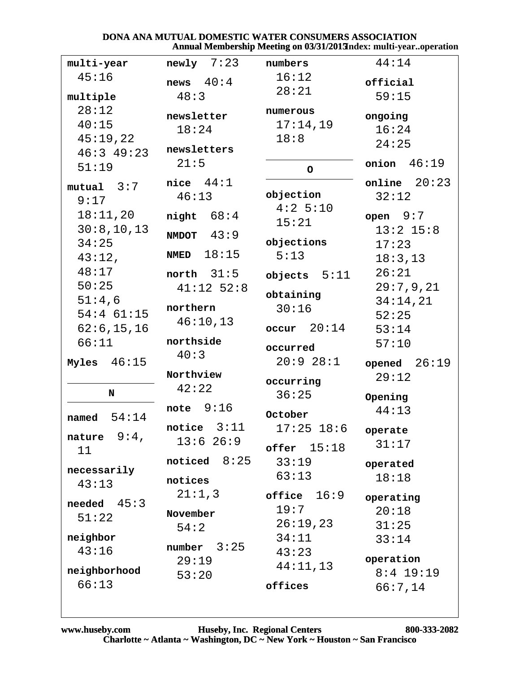#### DONA ANA MUTUAL DOMESTIC WATER CONSUMERS ASSOCIATION Annual Membership Meeting on 03/31/2013ndex: multi-year..operation

| multi-year     | $newly$ 7:23      | numbers              | 44:14          |
|----------------|-------------------|----------------------|----------------|
| 45:16          | news $40:4$       | 16:12                | official       |
| multiple       | 48:3              | 28:21                | 59:15          |
| 28:12<br>40:15 | newsletter        | numerous<br>17:14,19 | ongoing        |
| 45:19,22       | 18:24             | 18:8                 | 16:24          |
| $46:3$ 49:23   | newsletters       |                      | 24:25          |
| 51:19          | 21:5              | $\circ$              | onion $46:19$  |
| mutual 3:7     | nice $44:1$       |                      | online $20:23$ |
| 9:17           | 46:13             | objection            | 32:12          |
| 18:11,20       | night $68:4$      | 4:2 5:10<br>15:21    | open $9:7$     |
| 30:8,10,13     | $MMDOT$ 43:9      |                      | $13:2$ $15:8$  |
| 34:25          | <b>NMED</b> 18:15 | objections           | 17:23          |
| 43:12,         |                   | 5:13                 | 18:3,13        |
| 48:17          | north $31:5$      | objects $5:11$       | 26:21          |
| 50:25          | $41:12$ 52:8      | obtaining            | 29:7,9,21      |
| 51:4,6         | northern          | 30:16                | 34:14,21       |
| $54:4$ 61:15   | 46:10,13          |                      | 52:25          |
| 62:6, 15, 16   |                   | $occur$ 20:14        | 53:14          |
| 66:11          | northside<br>40:3 | occurred             | 57:10          |
| Myles $46:15$  |                   | 20:928:1             | opened $26:19$ |
|                | Northview         | occurring            | 29:12          |
| N              | 42:22             | 36:25                | Opening        |
|                | note $9:16$       | October              | 44:13          |
| 54:14<br>named | notice $3:11$     | $17:25$ 18:6         | operate        |
| nature $9:4$ , | 13:626:9          | $offer$ $15:18$      | 31:17          |
| 11             | noticed $8:25$    | 33:19                | operated       |
| necessarily    |                   | 63:13                | 18:18          |
| 43:13          | notices           |                      |                |
| needed $45:3$  | 21:1,3            | office $16:9$        | operating      |
| 51:22          | November          | 19:7                 | 20:18          |
|                | 54:2              | 26:19,23             | 31:25          |
| neighbor       | number $3:25$     | 34:11                | 33:14          |
| 43:16          | 29:19             | 43:23                | operation      |
| neighborhood   | 53:20             | 44:11,13             | $8:4$ 19:19    |
| 66:13          |                   | offices              | 66:7,14        |
|                |                   |                      |                |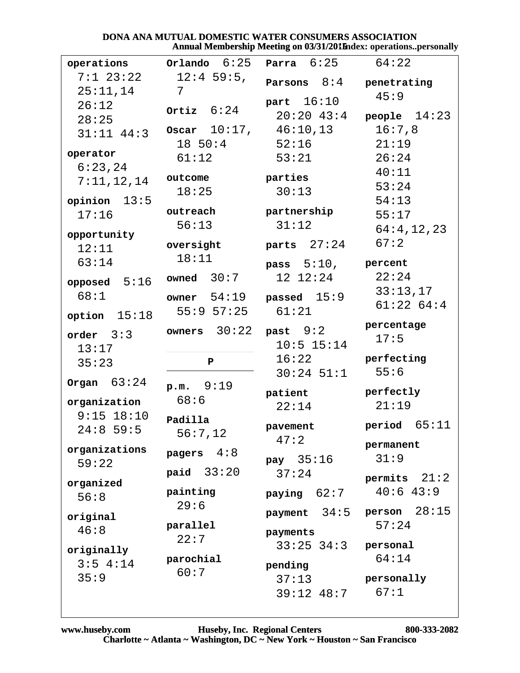### DONA ANA MUTUAL DOMESTIC WATER CONSUMERS ASSOCIATION Annual Membership Meeting on 03/31/2015 ndex: operations..personally

| $7:1$ 23:22<br>$12:4$ 59:5,<br>Parsons $8:4$<br>penetrating<br>25:11,14<br>7<br>45:9<br>part $16:10$<br>26:12<br>Ortiz $6:24$<br>$20:20$ 43:4<br>people $14:23$<br>28:25<br>Oscar $10:17$ , $46:10,13$<br>16:7,8<br>$31:11$ $44:3$<br>$18\;\;50:4$<br>52:16<br>21:19<br>operator<br>53:21<br>26:24<br>61:12<br>6:23,24<br>40:11<br>outcome<br>parties<br>7:11,12,14<br>53:24<br>30:13<br>18:25<br>54:13<br>opinion $13:5$<br>partnership<br>outreach<br>17:16<br>55:17<br>31:12<br>56:13<br>64:4,12,23<br>opportunity<br>67:2<br>parts $27:24$<br>oversight<br>12:11<br>18:11<br>63:14<br>pass $5:10$ , percent<br>22:24<br>owned 30:7<br>12 12:24<br>opposed $5:16$<br>33:13,17<br>68:1<br>passed $15:9$<br>$\texttt{owner}$ 54:19<br>61:2264:4<br>$55:9$ $57:25$<br>61:21<br>option $15:18$<br>percentage<br>past 9:2<br>owners $30:22$<br>order $3:3$<br>17:5<br>$10:5$ 15:14<br>13:17<br>perfecting<br>16:22<br>35:23<br>$\mathbf{P}$<br>55:6<br>$30:24$ 51:1<br>Organ $63:24$<br>p.m. 9:19<br>perfectly<br>patient<br>68:6<br>organization<br>21:19<br>22:14<br>$9:15$ $18:10$<br>Padilla<br>period $65:11$<br>pavement<br>$24:8$ 59:5<br>56:7,12<br>47:2<br>permanent<br>organizations<br>pagers $4:8$<br>31:9<br>pay $35:16$<br>59:22<br>paid $33:20$<br>37:24<br>permits $21:2$<br>organized<br>40:643:9<br>painting<br>paying $62:7$<br>56:8<br>29:6<br>person $28:15$<br>$\texttt{payment}$ 34:5<br>original<br>57:24<br>parallel<br>46:8<br>payments<br>22:7<br>$33:25$ $34:3$<br>personal<br>originally<br>64:14<br>parochial<br>$3:5$ 4:14<br>pending<br>60:7<br>35:9<br>37:13<br>personally | operations | Orlando $6:25$ | Parra $6:25$ | 64:22 |
|-----------------------------------------------------------------------------------------------------------------------------------------------------------------------------------------------------------------------------------------------------------------------------------------------------------------------------------------------------------------------------------------------------------------------------------------------------------------------------------------------------------------------------------------------------------------------------------------------------------------------------------------------------------------------------------------------------------------------------------------------------------------------------------------------------------------------------------------------------------------------------------------------------------------------------------------------------------------------------------------------------------------------------------------------------------------------------------------------------------------------------------------------------------------------------------------------------------------------------------------------------------------------------------------------------------------------------------------------------------------------------------------------------------------------------------------------------------------------------------------------------------------------------------------------------------------------------------------------------------|------------|----------------|--------------|-------|
|                                                                                                                                                                                                                                                                                                                                                                                                                                                                                                                                                                                                                                                                                                                                                                                                                                                                                                                                                                                                                                                                                                                                                                                                                                                                                                                                                                                                                                                                                                                                                                                                           |            |                |              |       |
|                                                                                                                                                                                                                                                                                                                                                                                                                                                                                                                                                                                                                                                                                                                                                                                                                                                                                                                                                                                                                                                                                                                                                                                                                                                                                                                                                                                                                                                                                                                                                                                                           |            |                |              |       |
|                                                                                                                                                                                                                                                                                                                                                                                                                                                                                                                                                                                                                                                                                                                                                                                                                                                                                                                                                                                                                                                                                                                                                                                                                                                                                                                                                                                                                                                                                                                                                                                                           |            |                |              |       |
|                                                                                                                                                                                                                                                                                                                                                                                                                                                                                                                                                                                                                                                                                                                                                                                                                                                                                                                                                                                                                                                                                                                                                                                                                                                                                                                                                                                                                                                                                                                                                                                                           |            |                |              |       |
|                                                                                                                                                                                                                                                                                                                                                                                                                                                                                                                                                                                                                                                                                                                                                                                                                                                                                                                                                                                                                                                                                                                                                                                                                                                                                                                                                                                                                                                                                                                                                                                                           |            |                |              |       |
|                                                                                                                                                                                                                                                                                                                                                                                                                                                                                                                                                                                                                                                                                                                                                                                                                                                                                                                                                                                                                                                                                                                                                                                                                                                                                                                                                                                                                                                                                                                                                                                                           |            |                |              |       |
|                                                                                                                                                                                                                                                                                                                                                                                                                                                                                                                                                                                                                                                                                                                                                                                                                                                                                                                                                                                                                                                                                                                                                                                                                                                                                                                                                                                                                                                                                                                                                                                                           |            |                |              |       |
|                                                                                                                                                                                                                                                                                                                                                                                                                                                                                                                                                                                                                                                                                                                                                                                                                                                                                                                                                                                                                                                                                                                                                                                                                                                                                                                                                                                                                                                                                                                                                                                                           |            |                |              |       |
|                                                                                                                                                                                                                                                                                                                                                                                                                                                                                                                                                                                                                                                                                                                                                                                                                                                                                                                                                                                                                                                                                                                                                                                                                                                                                                                                                                                                                                                                                                                                                                                                           |            |                |              |       |
|                                                                                                                                                                                                                                                                                                                                                                                                                                                                                                                                                                                                                                                                                                                                                                                                                                                                                                                                                                                                                                                                                                                                                                                                                                                                                                                                                                                                                                                                                                                                                                                                           |            |                |              |       |
|                                                                                                                                                                                                                                                                                                                                                                                                                                                                                                                                                                                                                                                                                                                                                                                                                                                                                                                                                                                                                                                                                                                                                                                                                                                                                                                                                                                                                                                                                                                                                                                                           |            |                |              |       |
|                                                                                                                                                                                                                                                                                                                                                                                                                                                                                                                                                                                                                                                                                                                                                                                                                                                                                                                                                                                                                                                                                                                                                                                                                                                                                                                                                                                                                                                                                                                                                                                                           |            |                |              |       |
|                                                                                                                                                                                                                                                                                                                                                                                                                                                                                                                                                                                                                                                                                                                                                                                                                                                                                                                                                                                                                                                                                                                                                                                                                                                                                                                                                                                                                                                                                                                                                                                                           |            |                |              |       |
|                                                                                                                                                                                                                                                                                                                                                                                                                                                                                                                                                                                                                                                                                                                                                                                                                                                                                                                                                                                                                                                                                                                                                                                                                                                                                                                                                                                                                                                                                                                                                                                                           |            |                |              |       |
|                                                                                                                                                                                                                                                                                                                                                                                                                                                                                                                                                                                                                                                                                                                                                                                                                                                                                                                                                                                                                                                                                                                                                                                                                                                                                                                                                                                                                                                                                                                                                                                                           |            |                |              |       |
|                                                                                                                                                                                                                                                                                                                                                                                                                                                                                                                                                                                                                                                                                                                                                                                                                                                                                                                                                                                                                                                                                                                                                                                                                                                                                                                                                                                                                                                                                                                                                                                                           |            |                |              |       |
|                                                                                                                                                                                                                                                                                                                                                                                                                                                                                                                                                                                                                                                                                                                                                                                                                                                                                                                                                                                                                                                                                                                                                                                                                                                                                                                                                                                                                                                                                                                                                                                                           |            |                |              |       |
|                                                                                                                                                                                                                                                                                                                                                                                                                                                                                                                                                                                                                                                                                                                                                                                                                                                                                                                                                                                                                                                                                                                                                                                                                                                                                                                                                                                                                                                                                                                                                                                                           |            |                |              |       |
|                                                                                                                                                                                                                                                                                                                                                                                                                                                                                                                                                                                                                                                                                                                                                                                                                                                                                                                                                                                                                                                                                                                                                                                                                                                                                                                                                                                                                                                                                                                                                                                                           |            |                |              |       |
|                                                                                                                                                                                                                                                                                                                                                                                                                                                                                                                                                                                                                                                                                                                                                                                                                                                                                                                                                                                                                                                                                                                                                                                                                                                                                                                                                                                                                                                                                                                                                                                                           |            |                |              |       |
|                                                                                                                                                                                                                                                                                                                                                                                                                                                                                                                                                                                                                                                                                                                                                                                                                                                                                                                                                                                                                                                                                                                                                                                                                                                                                                                                                                                                                                                                                                                                                                                                           |            |                |              |       |
|                                                                                                                                                                                                                                                                                                                                                                                                                                                                                                                                                                                                                                                                                                                                                                                                                                                                                                                                                                                                                                                                                                                                                                                                                                                                                                                                                                                                                                                                                                                                                                                                           |            |                |              |       |
|                                                                                                                                                                                                                                                                                                                                                                                                                                                                                                                                                                                                                                                                                                                                                                                                                                                                                                                                                                                                                                                                                                                                                                                                                                                                                                                                                                                                                                                                                                                                                                                                           |            |                |              |       |
|                                                                                                                                                                                                                                                                                                                                                                                                                                                                                                                                                                                                                                                                                                                                                                                                                                                                                                                                                                                                                                                                                                                                                                                                                                                                                                                                                                                                                                                                                                                                                                                                           |            |                |              |       |
|                                                                                                                                                                                                                                                                                                                                                                                                                                                                                                                                                                                                                                                                                                                                                                                                                                                                                                                                                                                                                                                                                                                                                                                                                                                                                                                                                                                                                                                                                                                                                                                                           |            |                |              |       |
|                                                                                                                                                                                                                                                                                                                                                                                                                                                                                                                                                                                                                                                                                                                                                                                                                                                                                                                                                                                                                                                                                                                                                                                                                                                                                                                                                                                                                                                                                                                                                                                                           |            |                |              |       |
|                                                                                                                                                                                                                                                                                                                                                                                                                                                                                                                                                                                                                                                                                                                                                                                                                                                                                                                                                                                                                                                                                                                                                                                                                                                                                                                                                                                                                                                                                                                                                                                                           |            |                |              |       |
|                                                                                                                                                                                                                                                                                                                                                                                                                                                                                                                                                                                                                                                                                                                                                                                                                                                                                                                                                                                                                                                                                                                                                                                                                                                                                                                                                                                                                                                                                                                                                                                                           |            |                |              |       |
|                                                                                                                                                                                                                                                                                                                                                                                                                                                                                                                                                                                                                                                                                                                                                                                                                                                                                                                                                                                                                                                                                                                                                                                                                                                                                                                                                                                                                                                                                                                                                                                                           |            |                |              |       |
|                                                                                                                                                                                                                                                                                                                                                                                                                                                                                                                                                                                                                                                                                                                                                                                                                                                                                                                                                                                                                                                                                                                                                                                                                                                                                                                                                                                                                                                                                                                                                                                                           |            |                |              |       |
|                                                                                                                                                                                                                                                                                                                                                                                                                                                                                                                                                                                                                                                                                                                                                                                                                                                                                                                                                                                                                                                                                                                                                                                                                                                                                                                                                                                                                                                                                                                                                                                                           |            |                |              |       |
|                                                                                                                                                                                                                                                                                                                                                                                                                                                                                                                                                                                                                                                                                                                                                                                                                                                                                                                                                                                                                                                                                                                                                                                                                                                                                                                                                                                                                                                                                                                                                                                                           |            |                |              |       |
|                                                                                                                                                                                                                                                                                                                                                                                                                                                                                                                                                                                                                                                                                                                                                                                                                                                                                                                                                                                                                                                                                                                                                                                                                                                                                                                                                                                                                                                                                                                                                                                                           |            |                |              |       |
| 67:1<br>39:12 48:7                                                                                                                                                                                                                                                                                                                                                                                                                                                                                                                                                                                                                                                                                                                                                                                                                                                                                                                                                                                                                                                                                                                                                                                                                                                                                                                                                                                                                                                                                                                                                                                        |            |                |              |       |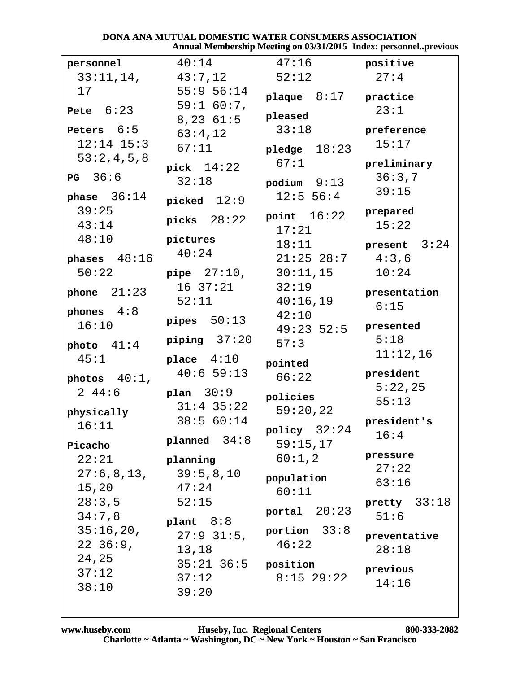#### DONA ANA MUTUAL DOMESTIC WATER CONSUMERS ASSOCIATION Annual Membership Meeting on 03/31/2015 Index: personnel..previous

| personnel           | 40:14                            | 47:16                      | positive                |
|---------------------|----------------------------------|----------------------------|-------------------------|
| 33:11,14,           | 43:7,12                          | 52:12                      | 27:4                    |
| 17                  | $55:9$ $56:14$<br>$59:1 60:7$ ,  | plaque $8:17$ practice     |                         |
| Pete $6:23$         | $8,23$ $61:5$                    | pleased                    | 23:1                    |
| Peters $6:5$        | 63:4,12                          | 33:18                      | preference              |
| $12:14$ $15:3$      | 67:11                            | pledge $18:23$             | 15:17                   |
| 53:2,4,5,8          |                                  | 67:1                       | preliminary             |
| <b>PG</b> 36:6      | pick $14:22$<br>32:18            |                            | 36:3,7                  |
| phase $36:14$       |                                  | podium $9:13$<br>12:5 56:4 | 39:15                   |
| 39:25               | picked $12:9$                    |                            | prepared                |
| 43:14               | picks $28:22$                    | point $16:22$              | 15:22                   |
| 48:10               | pictures                         | 17:21                      |                         |
| phases $48:16$      | 40:24                            | 18:11<br>$21:25$ $28:7$    | present $3:24$<br>4:3,6 |
| 50:22               |                                  | pipe 27:10, 30:11,15       | 10:24                   |
|                     | $16\ \ 37:21$                    | 32:19                      |                         |
| phone $21:23$       | 52:11                            | 40:16,19                   | presentation            |
| phones $4:8$        |                                  | 42:10                      | 6:15                    |
| 16:10               | pipes $50:13$                    | $49:23$ 52:5               | presented               |
| photo $41:4$        | piping $37:20$                   | 57:3                       | 5:18                    |
| 45:1                | place $4:10$                     | pointed                    | 11:12,16                |
| photos $40:1$ ,     | 40:659:13                        | 66:22                      | president               |
| 244:6               | plan 30:9                        |                            | 5:22,25                 |
|                     | $31:4$ $35:22$                   | policies<br>59:20,22       | 55:13                   |
| physically<br>16:11 | 38:5 60:14                       |                            | president's             |
|                     | planned $34:8$                   | policy $32:24$             | 16:4                    |
| Picacho             |                                  | 59:15,17                   | pressure                |
| 22:21               | planning                         | $60:1$ , $2$               | 27:22                   |
| 27:6,8,13,<br>15,20 | 39:5,8,10<br>47:24               | population                 | 63:16                   |
| 28:3,5              | 52:15                            | 60:11                      | pretty $33:18$          |
| 34:7,8              |                                  | portal $20:23$             | 51:6                    |
| 35:16,20,           | plant $8:8$                      | portion $33:8$             |                         |
| $22\;\;36:9$ ,      | $27:9$ 31:5,                     | 46:22                      | preventative<br>28:18   |
| 24,25               | 13,18<br>$35:21$ $36:5$ position |                            |                         |
| 37:12               | 37:12                            | $8:15$ 29:22               | previous                |
| 38:10               | 39:20                            |                            | 14:16                   |
|                     |                                  |                            |                         |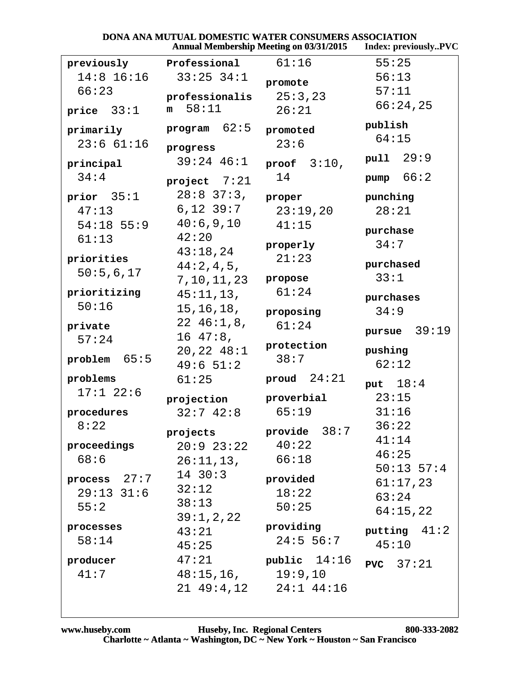| <b>DONA ANA MUTUAL DOMESTIC WATER CONSUMERS ASSOCIATION</b> |                      |
|-------------------------------------------------------------|----------------------|
| <b>Annual Membership Meeting on 03/31/2015</b>              | Index: previouslyPVC |

|                 |                        | Annual Membership Meeting on 03/31/2013 | THUEX: PERMOUSLY FVC |
|-----------------|------------------------|-----------------------------------------|----------------------|
| previously      | Professional           | 61:16                                   | 55:25                |
| $14:8$ 16:16    | $33:25$ $34:1$         | promote                                 | 56:13                |
| 66:23           | professionalis         | 25:3,23                                 | 57:11                |
| price $33:1$    | 58:11<br>m             | 26:21                                   | 66:24,25             |
|                 |                        |                                         |                      |
| primarily       | program $62:5$         | promoted                                | publish              |
| 23:661:16       | progress               | 23:6                                    | 64:15                |
| principal       | $39:24$ 46:1           | proof $3:10$ ,                          | pull 29:9            |
| 34:4            |                        | 14                                      | pump $66:2$          |
|                 | project $7:21$         |                                         |                      |
| prior $35:1$    | $28:8$ 37:3,           | proper                                  | punching             |
| 47:13           | $6,12$ 39:7            | 23:19,20                                | 28:21                |
| $54:18$ 55:9    | 40:6,9,10              | 41:15                                   | purchase             |
| 61:13           | 42:20                  | properly                                | 34:7                 |
| priorities      | 43:18,24               | 21:23                                   |                      |
| 50:5,6,17       | 44:2,4,5,              |                                         | purchased            |
|                 | 7, 10, 11, 23          | propose                                 | 33:1                 |
| prioritizing    | 45:11,13,              | 61:24                                   | purchases            |
| 50:16           | 15, 16, 18,            | proposing                               | 34:9                 |
| private         | $22\;46:1,8,$          | 61:24                                   | 39:19<br>pursue      |
| 57:24           | $16\;47:8$ ,           | protection                              |                      |
| 65:5<br>problem | 20, 22, 48:1           | 38:7                                    | pushing              |
|                 | 49:651:2               |                                         | 62:12                |
| problems        | 61:25                  | proud $24:21$                           | put $18:4$           |
| 17:122:6        | projection             | proverbial                              | 23:15                |
| procedures      | 32:742:8               | 65:19                                   | 31:16                |
| 8:22            |                        |                                         | 36:22                |
|                 | projects               | provide $38:7$                          | 41:14                |
| proceedings     | $20:9$ $23:22$ $40:22$ |                                         | 46:25                |
| 68:6            | $26:11,13$ ,           | 66:18                                   | $50:13$ $57:4$       |
| process 27:7    | $14 \ \ 30:3$          | provided                                | 61:17,23             |
| $29:13$ $31:6$  | 32:12                  | 18:22                                   | 63:24                |
| 55:2            | 38:13                  | 50:25                                   | 64:15,22             |
|                 | 39:1,2,22              |                                         |                      |
| processes       | 43:21                  | providing                               | putting $41:2$       |
| 58:14           | 45:25                  | 24:5 56:7                               | 45:10                |
| producer        | 47:21                  | public 14:16                            | <b>PVC</b> $37:21$   |
| 41:7            | 48:15, 16, 19:9, 10    |                                         |                      |
|                 |                        | 21 49:4,12 24:1 44:16                   |                      |
|                 |                        |                                         |                      |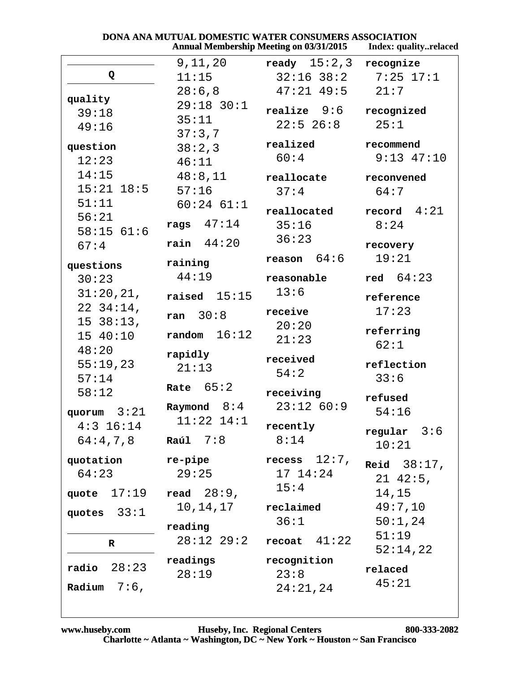| <b>DONA ANA MUTUAL DOMESTIC WATER CONSUMERS ASSOCIATION</b> |                     |
|-------------------------------------------------------------|---------------------|
| <b>Annual Membership Meeting on 03/31/2015</b>              | Index: qualityrelac |

|                   |                | <b>Annual Membership Meeting on 03/31/2015</b> | Index: qualityrelaced |
|-------------------|----------------|------------------------------------------------|-----------------------|
|                   | 9,11,20        | ready $15:2,3$                                 | recognize             |
| Q                 | 11:15          | $32:16$ $38:2$ $7:25$ $17:1$                   |                       |
|                   | 28:6,8         | $47:21$ $49:5$                                 | 21:7                  |
| quality<br>39:18  | 29:18 30:1     | realize 9:6                                    | recognized            |
|                   | 35:11          | $22:5$ 26:8                                    | 25:1                  |
| 49:16             | 37:3,7         |                                                |                       |
| question          | 38:2,3         | realized                                       | recommend             |
| 12:23             | 46:11          | 60:4                                           | $9:13$ $47:10$        |
| 14:15             | 48:8,11        | reallocate                                     | reconvened            |
| $15:21$ $18:5$    | 57:16          | 37:4                                           | 64:7                  |
| 51:11             | $60:24$ $61:1$ |                                                | record $4:21$         |
| 56:21             | rags $47:14$   | reallocated                                    |                       |
| 58:1561:6         |                | 35:16                                          | 8:24                  |
| 67:4              | rain $44:20$   | 36:23                                          | recovery              |
| questions         | raining        | $r$ eason $64:6$                               | 19:21                 |
| 30:23             | 44:19          | reasonable                                     | red $64:23$           |
| 31:20,21,         | raised $15:15$ | 13:6                                           |                       |
| $22\ \ 34:14$ ,   |                |                                                | reference             |
| 1538:13,          | ran $30:8$     | receive                                        | 17:23                 |
| 15 40:10          | random $16:12$ | 20:20                                          | referring             |
| 48:20             |                | 21:23                                          | 62:1                  |
| 55:19,23          | rapidly        | received                                       | reflection            |
| 57:14             | 21:13          | 54:2                                           | 33:6                  |
| 58:12             | Rate $65:2$    | receiving                                      |                       |
|                   | Raymond $8:4$  | $23:12$ 60:9                                   | refused               |
| quorum $3:21$     | $11:22$ $14:1$ |                                                | 54:16                 |
| $4:3$ 16:14       |                | recently                                       | regular $3:6$         |
| 64:4,7,8          | Raúl $7:8$     | 8:14                                           | 10:21                 |
| quotation         | re-pipe        | recess $12:7$ ,                                | <b>Reid</b> $38:17$ , |
| 64:23             | 29:25          | 17 14:24                                       | $21 \t42:5$ ,         |
| quote $17:19$     | read $28:9$ ,  | 15:4                                           | 14,15                 |
|                   | 10,14,17       | reclaimed                                      | 49:7,10               |
| quotes $33:1$     |                | 36:1                                           | 50:1,24               |
|                   | reading        |                                                | 51:19                 |
| R                 | 28:12 29:2     | recoat $41:22$                                 | 52:14,22              |
|                   | readings       | recognition                                    |                       |
| 28:23<br>radio    | 28:19          | 23:8                                           | relaced               |
| Radium<br>$7:6$ , |                | 24:21,24                                       | 45:21                 |
|                   |                |                                                |                       |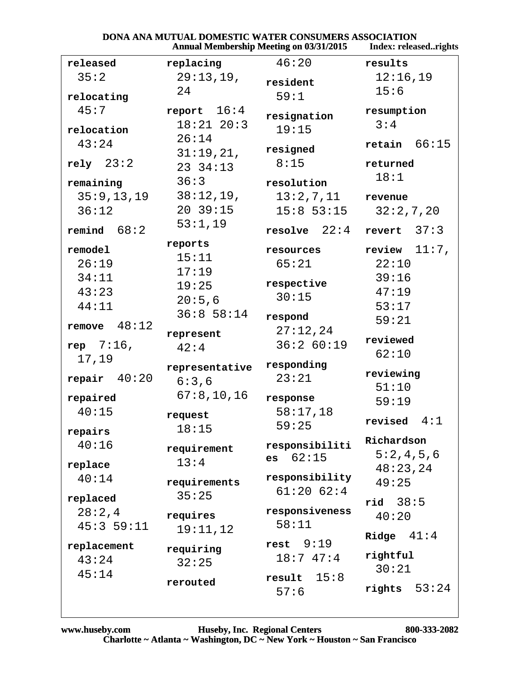|                 |                       | <b>Annual Membership Meeting on 03/31/2015</b> | Index: releasedrights   |
|-----------------|-----------------------|------------------------------------------------|-------------------------|
| released        | replacing             | 46:20                                          | results                 |
| 35:2            | 29:13,19,             | resident                                       | 12:16,19                |
| relocating      | 24                    | 59:1                                           | 15:6                    |
| 45:7            | report $16:4$         |                                                |                         |
|                 | $18:21$ $20:3$        | resignation                                    | resumption<br>3:4       |
| relocation      |                       | 19:15                                          |                         |
| 43:24           | 26:14                 | resigned                                       | $\texttt{retain}$ 66:15 |
| rely $23:2$     | 31:19,21,<br>23 34:13 | 8:15                                           | returned                |
|                 |                       |                                                | 18:1                    |
| remaining       | 36:3                  | resolution                                     |                         |
| 35:9, 13, 19    | 38:12,19,             | 13:2,7,11                                      | revenue                 |
| 36:12           | 20.39:15              | $15:8$ 53:15                                   | 32:2,7,20               |
| remind $68:2$   | 53:1,19               | resolve $22:4$                                 | revert $37:3$           |
| remodel         | reports               | resources                                      | review $11:7$ ,         |
| 26:19           | 15:11                 | 65:21                                          | 22:10                   |
| 34:11           | 17:19                 |                                                | 39:16                   |
| 43:23           | 19:25                 | respective                                     | 47:19                   |
| 44:11           | 20:5,6                | 30:15                                          | 53:17                   |
|                 | 36:858:14             | respond                                        | 59:21                   |
| 48:12<br>remove | represent             | 27:12,24                                       |                         |
| rep 7:16,       | 42:4                  | 36:260:19                                      | reviewed<br>62:10       |
| 17,19           | representative        | responding                                     |                         |
| repair $40:20$  | 6:3,6                 | 23:21                                          | reviewing               |
|                 | 67:8, 10, 16          |                                                | 51:10                   |
| repaired        |                       | response                                       | 59:19                   |
| 40:15           | request               | 58:17,18                                       | 4:1<br>revised          |
| repairs         | 18:15                 | 59:25                                          |                         |
| 40:16           | requirement           | responsibiliti                                 | Richardson              |
| replace         | 13:4                  | 62:15<br>es                                    | 5:2,4,5,6               |
| 40:14           | requirements          | responsibility                                 | 48:23,24<br>49:25       |
|                 | 35:25                 | 61:2062:4                                      |                         |
| replaced        |                       |                                                | $rid$ 38:5              |
| 28:2,4          | requires              | responsiveness<br>58:11                        | 40:20                   |
| 45:359:11       | 19:11,12              |                                                | 41:4<br>Ridge           |
| replacement     | requiring             | $rest$ $9:19$                                  |                         |
| 43:24           | 32:25                 | 18:747:4                                       | rightful<br>30:21       |
| 45:14           | rerouted              | 15:8<br>result                                 |                         |
|                 |                       | 57:6                                           | 53:24<br>rights         |
|                 |                       |                                                |                         |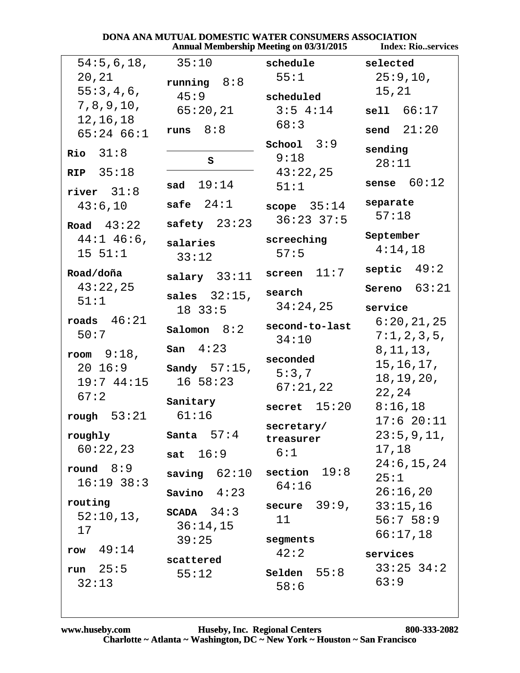|                             | Annual Membership Meeting on 03/31/2015 |                         | <b>Index: Rioservices</b>  |
|-----------------------------|-----------------------------------------|-------------------------|----------------------------|
| 54:5,6,18,                  | 35:10                                   | schedule                | selected                   |
| 20,21                       | running $8:8$                           | 55:1                    | 25:9,10,                   |
| 55:3,4,6,                   | 45:9                                    | scheduled               | 15,21                      |
| 7, 8, 9, 10,                | 65:20,21                                | $3:5$ 4:14              | sell1 66:17                |
| 12,16,18<br>$65:24$ $66:1$  | 8:8<br>runs                             | 68:3                    | send $21:20$               |
| $Rio$ $31:8$                |                                         | School $3:9$            | sending                    |
|                             | S                                       | 9:18                    | 28:11                      |
| RIP $35:18$<br>river $31:8$ | 19:14<br>sad                            | 43:22,25<br>51:1        | 60:12<br>sense             |
| 43:6,10                     | safe $24:1$                             | scope $35:14$           | separate<br>57:18          |
| Road $43:22$                | safety $23:23$                          | $36:23$ $37:5$          |                            |
| $44:1$ $46:6$ ,<br>15 51:1  | salaries<br>33:12                       | screeching<br>57:5      | September<br>4:14,18       |
| Road/doña                   | salary $33:11$                          | 11:7<br>screen          | septic $49:2$              |
| 43:22,25                    |                                         | search                  | Sereno $63:21$             |
| 51:1                        | sales $32:15$ ,<br>$18$ 33:5            | 34:24,25                | service                    |
| roads $46:21$               | Salomon $8:2$                           | second-to-last          | 6:20,21,25                 |
| 50:7                        | 4:23                                    | 34:10                   | 7:1,2,3,5,                 |
| room $9:18$ ,               | San                                     | seconded                | 8, 11, 13,                 |
| $20 \t16:9$                 | Sandy $57:15$ ,                         | 5:3,7                   | 15, 16, 17,<br>18, 19, 20, |
| 19:744:15                   | $16\;\;58:23$                           | 67:21,22                | 22,24                      |
| 67:2                        | Sanitary                                | 15:20<br>secret         | 8:16,18                    |
| rough $53:21$               | 61:16                                   |                         | 17:620:11                  |
| roughly                     | Santa $57:4$                            | secretary/<br>treasurer | 23:5,9,11,                 |
| 60:22,23                    | sat $16:9$                              | 6:1                     | 17,18                      |
| round $8:9$                 | saving $62:10$                          | section $19:8$          | 24:6, 15, 24               |
| $16:19$ 38:3                |                                         | 64:16                   | 25:1                       |
| routing                     | Savino $4:23$                           |                         | 26:16,20                   |
| 52:10,13,                   | SCADA $34:3$                            | secure $39:9$ ,<br>11   | 33:15,16<br>56:758:9       |
| 17                          | 36:14,15                                |                         | 66:17,18                   |
| 49:14<br>row                | 39:25                                   | segments<br>42:2        |                            |
|                             | scattered                               |                         | services<br>$33:25$ $34:2$ |
| run $25:5$<br>32:13         | 55:12                                   | Selden $55:8$<br>58:6   | 63:9                       |
|                             |                                         |                         |                            |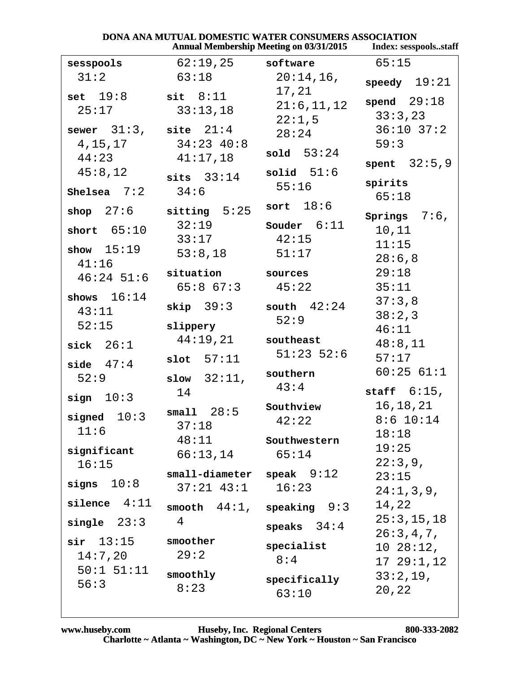| <b>DONA ANA MUTUAL DOMESTIC WATER CONSUMERS ASSOCIATION</b> |                    |
|-------------------------------------------------------------|--------------------|
| <b>Annual Membership Meeting on 03/31/2015</b>              | Index: sesspoolsst |

| <b>Annual Membership Meeting on 03/31/2015</b> |                                |                                | Index: sesspoolsstaff |  |
|------------------------------------------------|--------------------------------|--------------------------------|-----------------------|--|
| sesspools                                      | 62:19,25                       | software                       | 65:15                 |  |
| 31:2                                           | 63:18                          | $20:14,16$ ,                   | speedy $19:21$        |  |
| set $19:8$                                     | $\texttt{sit} \quad 8:11$      | 17,21                          | spend $29:18$         |  |
| 25:17                                          | 33:13,18                       | 21:6, 11, 12                   | 33:3,23               |  |
| sewer $31:3$ , site $21:4$                     |                                | 22:1,5                         | $36:10$ $37:2$        |  |
| 4, 15, 17                                      | $34:23$ $40:8$                 | 28:24                          | 59:3                  |  |
| 44:23                                          | 41:17,18                       | sold $53:24$                   |                       |  |
| 45:8,12                                        |                                | solid $51:6$                   | spent $32:5,9$        |  |
| Shelsea $7:2$                                  | sits $33:14$<br>34:6           | 55:16                          | spirits               |  |
|                                                |                                | sort $18:6$                    | 65:18                 |  |
| shop $27:6$                                    | sitting $5:25$                 |                                | Springs $7:6$ ,       |  |
| short $65:10$                                  | 32:19                          | Souder $6:11$                  | 10,11                 |  |
| show $15:19$                                   | 33:17                          | 42:15                          | 11:15                 |  |
| 41:16                                          | 53:8,18                        | 51:17                          | 28:6,8                |  |
| $46:24$ 51:6                                   | situation                      | sources                        | 29:18                 |  |
| shows $16:14$                                  | $65:8$ $67:3$                  | 45:22                          | 35:11                 |  |
| 43:11                                          | skip 39:3                      | south $42:24$                  | 37:3,8                |  |
| 52:15                                          | slippery                       | 52:9                           | 38:2,3                |  |
|                                                | 44:19,21                       | southeast                      | 46:11                 |  |
| sick $26:1$                                    |                                | $51:23$ 52:6                   | 48:8,11<br>57:17      |  |
| side $47:4$                                    | $slot$ 57:11                   |                                | 60:2561:1             |  |
| 52:9                                           | slow $32:11$ ,                 | southern<br>43:4               |                       |  |
| sign $10:3$                                    | 14                             |                                | staff $6:15$ ,        |  |
| signed $10:3$                                  | small $28:5$                   | Southview                      | 16,18,21              |  |
| 11:6                                           | 37:18                          | 42:22                          | $8:6$ 10:14           |  |
|                                                | 48:11                          | Southwestern                   | 18:18<br>19:25        |  |
| significant                                    | 66:13,14                       | 65:14                          | 22:3,9,               |  |
| 16:15                                          | $small$ -diameter speak $9:12$ |                                | 23:15                 |  |
| signs $10:8$                                   | $37:21$ $43:1$ $16:23$         |                                | 24:1,3,9,             |  |
| $\texttt{silence} \quad 4:11$                  |                                | smooth $44:1$ , speaking $9:3$ | 14,22                 |  |
| single $23:3$                                  | 4                              |                                | 25:3, 15, 18          |  |
|                                                |                                | speaks $34:4$                  | 26:3,4,7,             |  |
| $\sin$ 13:15                                   | smoother<br>29:2               | specialist                     | 1028:12,              |  |
| 14:7,20<br>$50:1$ $51:11$                      |                                | 8:4                            | 1729:1,12             |  |
| 56:3                                           | smoothly                       | specifically                   | 33:2,19,              |  |
|                                                | 8:23                           | 63:10                          | 20,22                 |  |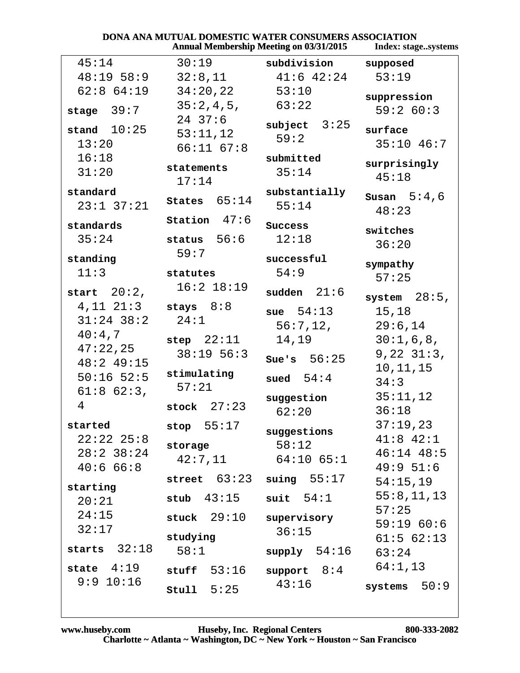|                 |                           | <b>Annual Membership Meeting on 03/31/2015</b> | Index: stagesystems |
|-----------------|---------------------------|------------------------------------------------|---------------------|
| 45:14           | 30:19                     | subdivision                                    | supposed            |
| $48:19$ 58:9    | 32:8,11                   | $41:6$ $42:24$                                 | 53:19               |
| $62:8$ $64:19$  | 34:20,22                  | 53:10                                          | suppression         |
| stage $39:7$    | 35:2,4,5,                 | 63:22                                          | 59:260:3            |
| stand $10:25$   | $24$ 37:6                 | subject $3:25$                                 |                     |
|                 | 53:11,12                  | 59:2                                           | surface             |
| 13:20           | $66:11$ $67:8$            |                                                | $35:10$ 46:7        |
| 16:18<br>31:20  | statements                | submitted<br>35:14                             | surprisingly        |
|                 | 17:14                     |                                                | 45:18               |
| standard        |                           | substantially                                  | Susan $5:4,6$       |
| $23:1$ $37:21$  | States $65:14$            | 55:14                                          | 48:23               |
| standards       | Station $47:6$            | Success                                        | switches            |
| 35:24           | status $56:6$             | 12:18                                          | 36:20               |
| standing        | 59:7                      | successful                                     |                     |
| 11:3            | statutes                  | 54:9                                           | sympathy            |
|                 | $16:2$ $18:19$            |                                                | 57:25               |
| start $20:2$ ,  |                           | sudden $21:6$                                  | system $28:5$ ,     |
| $4,11$ $21:3$   | stays $8:8$               | sue $54:13$                                    | 15,18               |
| $31:24$ 38:2    | 24:1                      | 56:7,12,                                       | 29:6,14             |
| 40:4,7          | step $22:11$              | 14,19                                          | 30:1,6,8,           |
| 47:22,25        | 38:1956:3                 |                                                | 9, 22, 31:3,        |
| $48:2$ 49:15    |                           | Sue's $56:25$                                  | 10, 11, 15          |
| $50:16$ 52:5    | stimulating               | sued $54:4$                                    | 34:3                |
| $61:8$ $62:3$ , | 57:21                     | suggestion                                     | 35:11,12            |
| 4               | stock $27:23$             | 62:20                                          | 36:18               |
| started         | stop $55:17$              |                                                | 37:19,23            |
| $22:22$ $25:8$  |                           | suggestions                                    | $41:8$ $42:1$       |
| $28:2$ 38:24    | storage                   | 58:12                                          | $46:14$ $48:5$      |
| 40:666:8        | 42:7,11                   | 64:10 65:1                                     | 49:951:6            |
| starting        | street $63:23$            | suing 55:17                                    | 54:15,19            |
| 20:21           | stub $43:15$              | suit $54:1$                                    | 55:8,11,13          |
| 24:15           | $stuck$ $29:10$           | supervisory                                    | 57:25               |
| 32:17           |                           | 36:15                                          | 59:1960:6           |
|                 | studying                  |                                                | 61:562:13           |
| starts $32:18$  | 58:1                      | supply 54:16                                   | 63:24               |
| state $4:19$    | $_{\texttt{stuff}}$ 53:16 | support $8:4$                                  | 64:1,13             |
| 9:9 10:16       | stu11 5:25                | 43:16                                          | systems $50:9$      |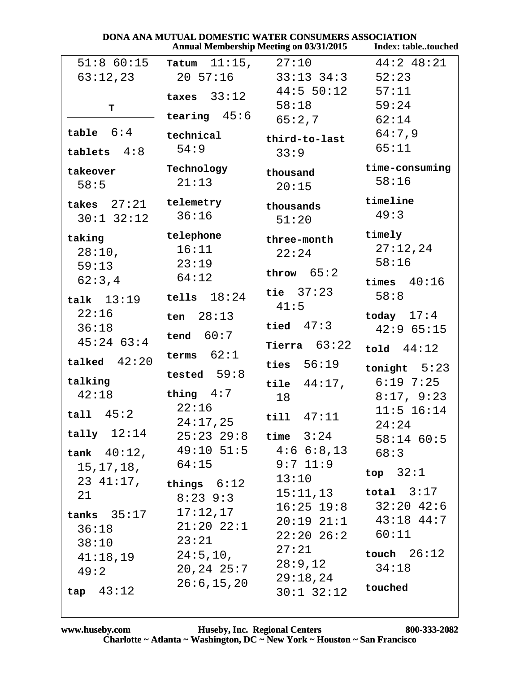|                          | <b>DONA ANA MUTUAL DOMESTIC WATER CONSUMERS ASSOCIATION</b> |                                                |                            |
|--------------------------|-------------------------------------------------------------|------------------------------------------------|----------------------------|
|                          |                                                             | <b>Annual Membership Meeting on 03/31/2015</b> | <b>Index: tabletouched</b> |
| $51:8$ 60:15             | $11:15$ ,<br>Tatum                                          | 27:10                                          | $44:2$ $48:21$             |
| 63:12,23                 | 20 57:16                                                    | $33:13$ $34:3$                                 | 52:23                      |
|                          | taxes $33:12$                                               | $44:5$ 50:12                                   | 57:11                      |
| т                        |                                                             | 58:18                                          | 59:24                      |
|                          | tearing $45:6$                                              | 65:2,7                                         | 62:14                      |
| table $6:4$              | technical                                                   | third-to-last                                  | 64:7,9                     |
| tablets $4:8$            | 54:9                                                        | 33:9                                           | 65:11                      |
| takeover                 | Technology                                                  | thousand                                       | time-consuming             |
| 58:5                     | 21:13                                                       | 20:15                                          | 58:16                      |
| takes $27:21$            | telemetry                                                   | thousands                                      | timeline                   |
| $30:1$ $32:12$           | 36:16                                                       | 51:20                                          | 49:3                       |
| taking                   | telephone                                                   | three-month                                    | timely                     |
| 28:10,                   | 16:11                                                       | 22:24                                          | 27:12,24                   |
| 59:13                    | 23:19                                                       |                                                | 58:16                      |
| 62:3,4                   | 64:12                                                       | throw $65:2$                                   | times $40:16$              |
|                          | 18:24<br>tells                                              | tie $37:23$                                    | 58:8                       |
| talk $13:19$             |                                                             | 41:5                                           |                            |
| 22:16                    | 28:13<br>ten                                                |                                                | today $17:4$               |
| 36:18                    | tend $60:7$                                                 | tied $47:3$                                    | 42:965:15                  |
| $45:24$ 63:4             |                                                             | Tierra $63:22$                                 | told $44:12$               |
| talked $42:20$           | terms $62:1$                                                | ties $56:19$                                   | tonight $5:23$             |
| talking                  | tested $59:8$                                               | 44:17,                                         | $6:19$ 7:25                |
| 42:18                    | thing $4:7$                                                 | tile                                           | 8:17, 9:23                 |
|                          | 22:16                                                       | 18                                             | $11:5$ 16:14               |
| tall $45:2$              | 24:17,25                                                    | $til1$ $47:11$                                 | 24:24                      |
| tau 12:14                |                                                             | $25:23$ $29:8$ time $3:24$                     |                            |
|                          | tank $40:12$ , $49:10$ 51:5 $4:6$ 6:8,13                    |                                                | $58:14$ 60:5               |
|                          | 64:15                                                       | 9:7 11:9                                       | 68:3                       |
| 15,17,18,                |                                                             | 13:10                                          | top $32:1$                 |
|                          | $23 \t41:17$ , things $6:12$                                |                                                | $15:11,13$ total $3:17$    |
| 21                       | $8:23$ 9:3                                                  |                                                | $16:25$ 19:8 32:20 42:6    |
| tanks $35:17$ $17:12,17$ |                                                             |                                                |                            |
| 36:18                    | $21:20$ $22:1$                                              |                                                | 20:19 21:1 43:18 44:7      |
| 38:10                    | 23:21                                                       | $22:20$ $26:2$ $60:11$                         |                            |
|                          | $41:18,19$ $24:5,10,$                                       | 27:21                                          | touch $26:12$              |
| 49:2                     | 20,24 25:7                                                  | 28:9,12                                        | 34:18                      |
|                          | 26:6, 15, 20                                                | 29:18,24                                       | touched                    |
| tan 43:12                |                                                             | $30:1$ $32:12$                                 |                            |

### www.huseby.com Huseby, Inc. Regional Centers 800<br>Charlotte ~ Atlanta ~ Washington, DC ~ New York ~ Houston ~ San Francisco 800-333-2082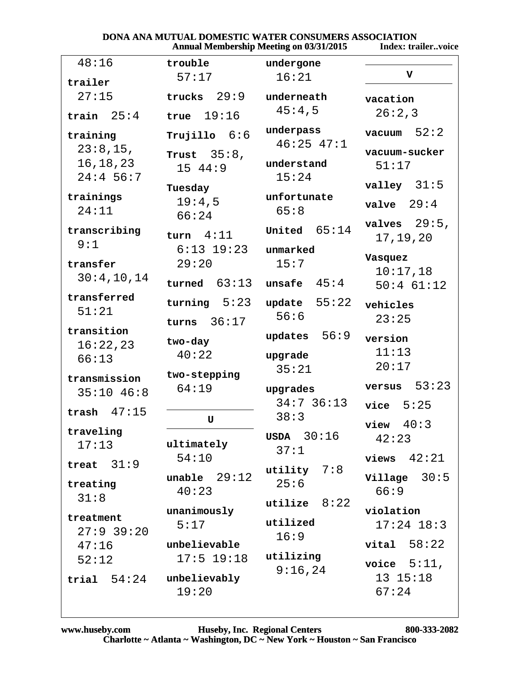#### DONA ANA MUTUAL DOMESTIC WATER CONSUMERS ASSOCIATION **Annual Membership Meeting on 03/31/2015** Index: trailer..voice

| 48:16          | trouble           | undergone       |                  |
|----------------|-------------------|-----------------|------------------|
| trailer        | 57:17             | 16:21           | $\mathbf v$      |
| 27:15          | trucks $29:9$     |                 |                  |
|                |                   | underneath      | vacation         |
| train $25:4$   | true $19:16$      | 45:4,5          | 26:2,3           |
| training       | $Tru$ jillo $6:6$ | underpass       | 52:2<br>vacuum   |
| 23:8,15,       | Trust $35:8$ ,    | $46:25$ $47:1$  | vacuum-sucker    |
| 16, 18, 23     |                   | understand      | 51:17            |
| $24:4$ 56:7    | 15 44:9           | 15:24           |                  |
|                | Tuesday           |                 | valley $31:5$    |
| trainings      | 19:4,5            | unfortunate     | $value$ 29:4     |
| 24:11          | 66:24             | 65:8            |                  |
| transcribing   |                   | United $65:14$  | valves $29:5$ ,  |
| 9:1            | turn $4:11$       |                 | 17, 19, 20       |
|                | $6:13$ 19:23      | unmarked        | Vasquez          |
| transfer       | 29:20             | 15:7            | 10:17,18         |
| 30:4,10,14     | turned $63:13$    | unsafe $45:4$   | $50:4$ 61:12     |
| transferred    |                   |                 |                  |
| 51:21          | turning $5:23$    | 55:22<br>update | vehicles         |
|                | 36:17<br>turns    | 56:6            | 23:25            |
| transition     |                   | updates $56:9$  | version          |
| 16:22,23       | two-day           |                 | 11:13            |
| 66:13          | 40:22             | upgrade         | 20:17            |
| transmission   | two-stepping      | 35:21           |                  |
| $35:10$ 46:8   | 64:19             | upgrades        | 53:23<br>versus  |
|                |                   | $34:7$ 36:13    | vice $5:25$      |
| trash $47:15$  | U                 | 38:3            |                  |
| traveling      |                   |                 | 40:3<br>view     |
| 17:13          | ultimately        | $USDA$ 30:16    | 42:23            |
|                | 54:10             | 37:1            | views $42:21$    |
| 31:9<br>treat  |                   | utility $7:8$   |                  |
| treating       | unable $29:12$    | 25:6            | $Village$ $30:5$ |
| 31:8           | 40:23             |                 | 66:9             |
|                | unanimously       | utilize $8:22$  | violation        |
| treatment      | 5:17              | utilized        | $17:24$ $18:3$   |
| $27:9$ 39:20   |                   | 16:9            |                  |
| 47:16          | unbelievable      |                 | $vital$ 58:22    |
| 52:12          | $17:5$ 19:18      | utilizing       | voice $5:11$ ,   |
| 54:24<br>trial | unbelievably      | 9:16,24         | 13 15:18         |
|                | 19:20             |                 | 67:24            |
|                |                   |                 |                  |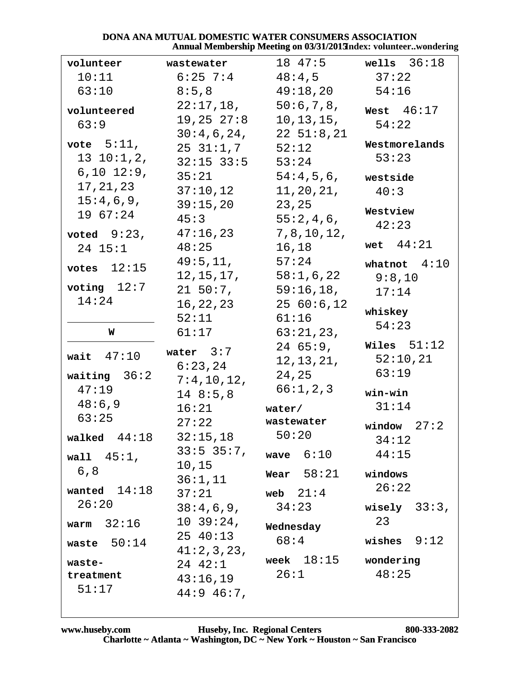### DONA ANA MUTUAL DOMESTIC WATER CONSUMERS ASSOCIATION Annual Membership Meeting on 03/31/2013ndex: volunteer..wondering

| volunteer       | wastewater      | 18 47:5         | wells $36:18$   |
|-----------------|-----------------|-----------------|-----------------|
| 10:11           | $6:25$ 7:4      | 48:4,5          | 37:22           |
| 63:10           | 8:5,8           | 49:18,20        | 54:16           |
| volunteered     | $22:17,18$ ,    | 50:6,7,8,       | West $46:17$    |
| 63:9            | 19,25 27:8      | 10, 13, 15,     | 54:22           |
|                 | 30:4,6,24,      | $22\;\;51:8,21$ |                 |
| vote $5:11$ ,   | $25\ \ 31:1,7$  | 52:12           | Westmorelands   |
| 13 10:1, 2,     | $32:15$ $33:5$  | 53:24           | 53:23           |
| $6, 10$ $12:9,$ | 35:21           | 54:4,5,6,       | westside        |
| 17, 21, 23      | 37:10,12        | 11, 20, 21,     | 40:3            |
| 15:4,6,9,       | 39:15,20        | 23,25           |                 |
| 19 67:24        | 45:3            | 55:2,4,6,       | Westview        |
| voted $9:23$ ,  | 47:16,23        | 7, 8, 10, 12,   | 42:23           |
| $24$ $15:1$     | 48:25           | 16,18           | wet $44:21$     |
|                 | 49:5,11,        | 57:24           | whatnot $4:10$  |
| votes $12:15$   | 12, 15, 17,     | 58:1,6,22       | 9:8,10          |
| voting $12:7$   | $21\;\;50:7$ ,  | 59:16,18,       | 17:14           |
| 14:24           | 16,22,23        | 2560:6,12       |                 |
|                 | 52:11           | 61:16           | whiskey         |
| W               | 61:17           | 63:21,23,       | 54:23           |
|                 |                 | $24\,65:9$ ,    | Wiles $51:12$   |
| wait $47:10$    | water $3:7$     | 12, 13, 21,     | 52:10,21        |
| waiting $36:2$  | 6:23,24         | 24,25           | 63:19           |
| 47:19           | 7:4,10,12,      | 66:1, 2, 3      |                 |
| 48:6,9          | 148:5,8         |                 | win-win         |
| 63:25           | 16:21           | water/          | 31:14           |
|                 | 27:22           | wastewater      | window $27:2$   |
| walked $44:18$  | 32:15,18        | 50:20           | 34:12           |
| wall $45:1$ ,   | $33:5$ 35:7,    | wave $6:10$     | 44:15           |
| 6, 8            | 10,15           | Wear $58:21$    | windows         |
|                 | 36:1,11         |                 | 26:22           |
| wanted $14:18$  | 37:21           | web $21:4$      |                 |
| 26:20           | 38:4,6,9,       | 34:23           | wisely $33:3$ , |
| warm $32:16$    | $10\ \ 39:24$ , | Wednesday       | 23              |
| waste $50:14$   | 25 40:13        | 68:4            | wishes $9:12$   |
|                 | 41:2,3,23,      | week $18:15$    | wondering       |
| waste-          | 24 42:1         | 26:1            | 48:25           |
| treatment       | 43:16,19        |                 |                 |
| 51:17           | $44:9$ 46:7,    |                 |                 |